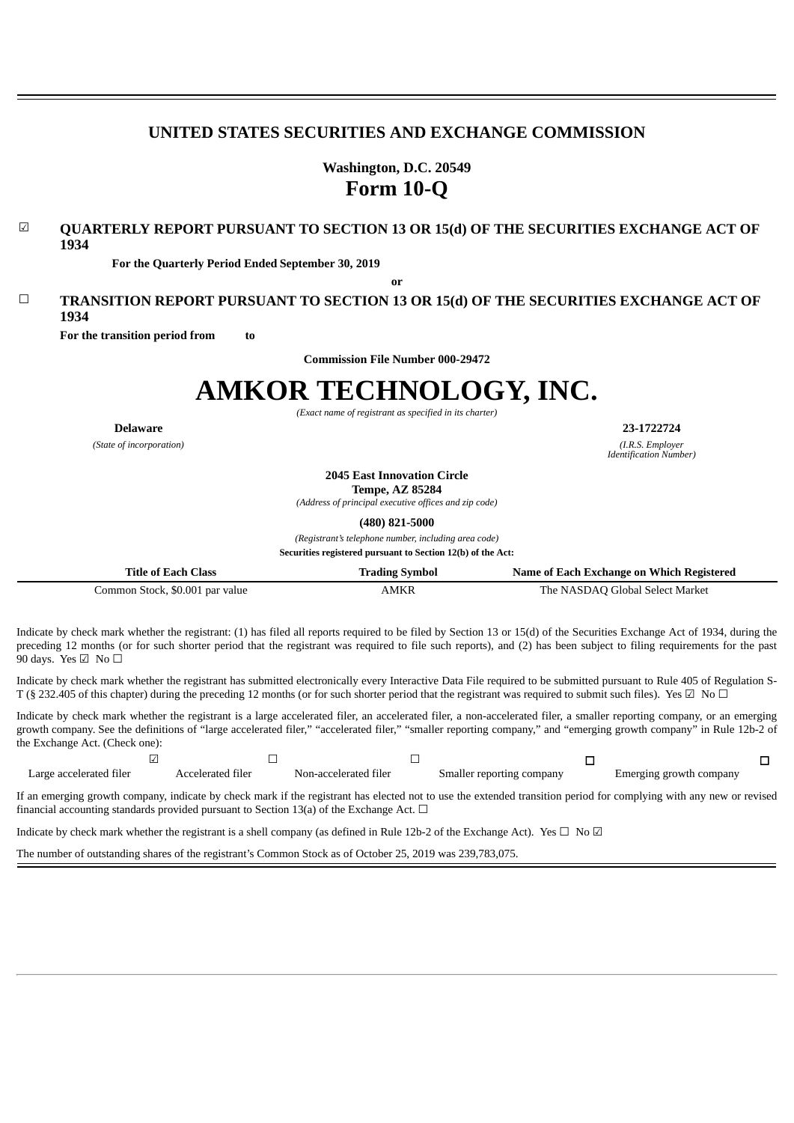# **UNITED STATES SECURITIES AND EXCHANGE COMMISSION**

# **Washington, D.C. 20549 Form 10-Q**

### ☑ **QUARTERLY REPORT PURSUANT TO SECTION 13 OR 15(d) OF THE SECURITIES EXCHANGE ACT OF 1934**

**For the Quarterly Period Ended September 30, 2019**

**or**

# ☐ **TRANSITION REPORT PURSUANT TO SECTION 13 OR 15(d) OF THE SECURITIES EXCHANGE ACT OF 1934**

**For the transition period from to**

**Commission File Number 000-29472**

# **AMKOR TECHNOLOGY, INC.**

*(Exact name of registrant as specified in its charter)*

*(State of incorporation) (I.R.S. Employer*

**Delaware 23-1722724**

*Identification Number)*

☐

**2045 East Innovation Circle**

**Tempe, AZ 85284**

*(Address of principal executive offices and zip code)*

**(480) 821-5000**

*(Registrant's telephone number, including area code)*

**Securities registered pursuant to Section 12(b) of the Act:**

| <b>Title of Each Class</b>      | <b>Trading Symbol</b> | Name of Each Exchange on Which Registered |
|---------------------------------|-----------------------|-------------------------------------------|
| Common Stock, \$0.001 par value | AMKR                  | The NASDAO Global Select Market           |

Indicate by check mark whether the registrant: (1) has filed all reports required to be filed by Section 13 or 15(d) of the Securities Exchange Act of 1934, during the preceding 12 months (or for such shorter period that the registrant was required to file such reports), and (2) has been subject to filing requirements for the past 90 days. Yes ☑ No □

Indicate by check mark whether the registrant has submitted electronically every Interactive Data File required to be submitted pursuant to Rule 405 of Regulation S-T (§ 232.405 of this chapter) during the preceding 12 months (or for such shorter period that the registrant was required to submit such files). Yes  $\Box$  No  $\Box$ 

Indicate by check mark whether the registrant is a large accelerated filer, an accelerated filer, a non-accelerated filer, a smaller reporting company, or an emerging growth company. See the definitions of "large accelerated filer," "accelerated filer," "smaller reporting company," and "emerging growth company" in Rule 12b-2 of the Exchange Act. (Check one):

| $\rm\mu$ arge accelerated filer | Accelerated filer | Non-accelerated filer | Smaller reporting company | Emerging growth company |
|---------------------------------|-------------------|-----------------------|---------------------------|-------------------------|

If an emerging growth company, indicate by check mark if the registrant has elected not to use the extended transition period for complying with any new or revised financial accounting standards provided pursuant to Section 13(a) of the Exchange Act.  $\Box$ 

Indicate by check mark whether the registrant is a shell company (as defined in Rule 12b-2 of the Exchange Act). Yes  $\Box$  No  $\Box$ 

<span id="page-0-0"></span>The number of outstanding shares of the registrant's Common Stock as of October 25, 2019 was 239,783,075.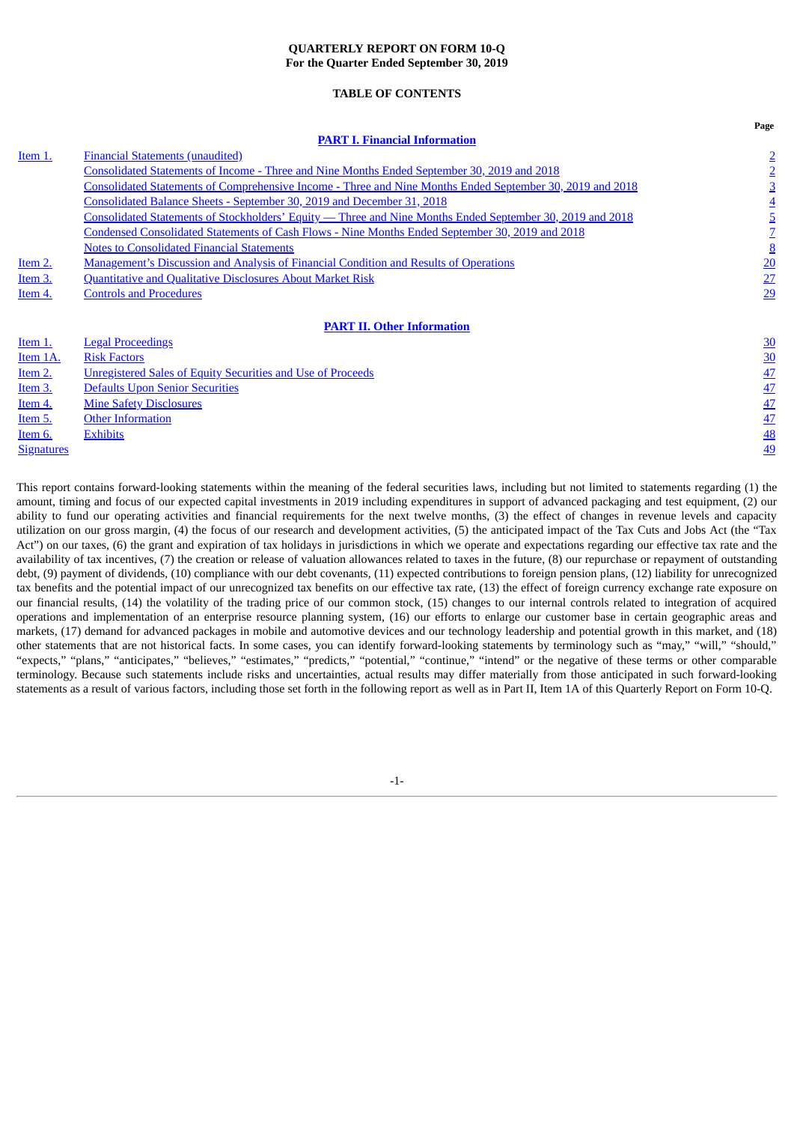#### **QUARTERLY REPORT ON FORM 10-Q For the Quarter Ended September 30, 2019**

# **TABLE OF CONTENTS**

**Page**

| <b>Financial Statements (unaudited)</b>                                                                   |                 |
|-----------------------------------------------------------------------------------------------------------|-----------------|
| Consolidated Statements of Income - Three and Nine Months Ended September 30, 2019 and 2018               |                 |
| Consolidated Statements of Comprehensive Income - Three and Nine Months Ended September 30, 2019 and 2018 |                 |
| Consolidated Balance Sheets - September 30, 2019 and December 31, 2018                                    |                 |
| Consolidated Statements of Stockholders' Equity — Three and Nine Months Ended September 30, 2019 and 2018 |                 |
| <u>Condensed Consolidated Statements of Cash Flows - Nine Months Ended September 30, 2019 and 2018</u>    |                 |
| <b>Notes to Consolidated Financial Statements</b>                                                         | <u>8</u>        |
| <b>Management's Discussion and Analysis of Financial Condition and Results of Operations</b>              | $\overline{20}$ |
| <b>Quantitative and Qualitative Disclosures About Market Risk</b>                                         | 27              |
| <b>Controls and Procedures</b>                                                                            | 29              |
|                                                                                                           |                 |
| <b>PART II. Other Information</b>                                                                         |                 |
| <b>Legal Proceedings</b>                                                                                  | 30              |
| <b>Risk Factors</b>                                                                                       | 30              |
| <b>Unregistered Sales of Equity Securities and Use of Proceeds</b>                                        | 47              |
| Defaults Upon Senior Securities                                                                           | 47              |
| <b>Mine Safety Disclosures</b>                                                                            | 47              |
| <b>Other Information</b>                                                                                  | 47              |
| <b>Exhibits</b>                                                                                           | 48              |
|                                                                                                           | 49              |
|                                                                                                           |                 |

<span id="page-1-0"></span>This report contains forward-looking statements within the meaning of the federal securities laws, including but not limited to statements regarding (1) the amount, timing and focus of our expected capital investments in 2019 including expenditures in support of advanced packaging and test equipment, (2) our ability to fund our operating activities and financial requirements for the next twelve months, (3) the effect of changes in revenue levels and capacity utilization on our gross margin, (4) the focus of our research and development activities, (5) the anticipated impact of the Tax Cuts and Jobs Act (the "Tax Act") on our taxes, (6) the grant and expiration of tax holidays in jurisdictions in which we operate and expectations regarding our effective tax rate and the availability of tax incentives, (7) the creation or release of valuation allowances related to taxes in the future, (8) our repurchase or repayment of outstanding debt, (9) payment of dividends, (10) compliance with our debt covenants, (11) expected contributions to foreign pension plans, (12) liability for unrecognized tax benefits and the potential impact of our unrecognized tax benefits on our effective tax rate, (13) the effect of foreign currency exchange rate exposure on our financial results, (14) the volatility of the trading price of our common stock, (15) changes to our internal controls related to integration of acquired operations and implementation of an enterprise resource planning system, (16) our efforts to enlarge our customer base in certain geographic areas and markets, (17) demand for advanced packages in mobile and automotive devices and our technology leadership and potential growth in this market, and (18) other statements that are not historical facts. In some cases, you can identify forward-looking statements by terminology such as "may," "will," "should," "expects," "plans," "anticipates," "believes," "estimates," "predicts," "potential," "continue," "intend" or the negative of these terms or other comparable terminology. Because such statements include risks and uncertainties, actual results may differ materially from those anticipated in such forward-looking statements as a result of various factors, including those set forth in the following report as well as in Part II, Item 1A of this Quarterly Report on Form 10-Q.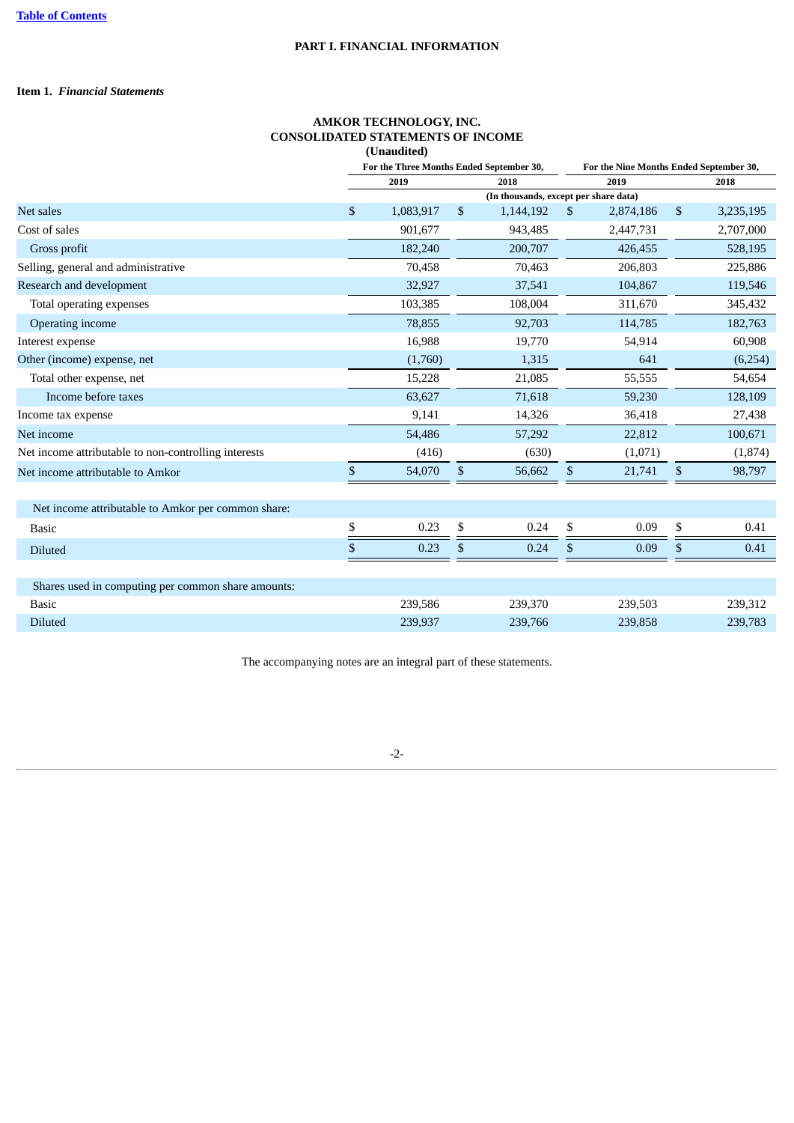# **PART I. FINANCIAL INFORMATION**

# <span id="page-2-1"></span><span id="page-2-0"></span>**Item 1.** *Financial Statements*

### **AMKOR TECHNOLOGY, INC. CONSOLIDATED STATEMENTS OF INCOME (Unaudited)**

|                                                      | For the Three Months Ended September 30, |                                       | For the Nine Months Ended September 30, |           |    |           |  |
|------------------------------------------------------|------------------------------------------|---------------------------------------|-----------------------------------------|-----------|----|-----------|--|
|                                                      | 2019                                     | 2018                                  |                                         | 2019      |    | 2018      |  |
|                                                      |                                          | (In thousands, except per share data) |                                         |           |    |           |  |
| Net sales                                            | \$<br>1,083,917                          | \$<br>1,144,192                       | $\mathfrak{S}$                          | 2,874,186 | \$ | 3,235,195 |  |
| Cost of sales                                        | 901,677                                  | 943,485                               |                                         | 2,447,731 |    | 2,707,000 |  |
| Gross profit                                         | 182,240                                  | 200,707                               |                                         | 426,455   |    | 528,195   |  |
| Selling, general and administrative                  | 70,458                                   | 70,463                                |                                         | 206,803   |    | 225,886   |  |
| Research and development                             | 32,927                                   | 37,541                                |                                         | 104,867   |    | 119,546   |  |
| Total operating expenses                             | 103,385                                  | 108,004                               |                                         | 311,670   |    | 345,432   |  |
| Operating income                                     | 78,855                                   | 92,703                                |                                         | 114,785   |    | 182,763   |  |
| Interest expense                                     | 16,988                                   | 19,770                                |                                         | 54,914    |    | 60,908    |  |
| Other (income) expense, net                          | (1,760)                                  | 1,315                                 |                                         | 641       |    | (6,254)   |  |
| Total other expense, net                             | 15,228                                   | 21,085                                |                                         | 55,555    |    | 54,654    |  |
| Income before taxes                                  | 63,627                                   | 71,618                                |                                         | 59,230    |    | 128,109   |  |
| Income tax expense                                   | 9,141                                    | 14,326                                |                                         | 36,418    |    | 27,438    |  |
| Net income                                           | 54,486                                   | 57,292                                |                                         | 22,812    |    | 100,671   |  |
| Net income attributable to non-controlling interests | (416)                                    | (630)                                 |                                         | (1,071)   |    | (1,874)   |  |
| Net income attributable to Amkor                     | \$<br>54,070                             | \$<br>56,662                          | \$                                      | 21,741    | \$ | 98,797    |  |
| Net income attributable to Amkor per common share:   |                                          |                                       |                                         |           |    |           |  |
| <b>Basic</b>                                         | \$<br>0.23                               | \$<br>0.24                            | \$                                      | 0.09      | \$ | 0.41      |  |
|                                                      | \$<br>0.23                               | \$<br>0.24                            | \$                                      | 0.09      | \$ | 0.41      |  |
| <b>Diluted</b>                                       |                                          |                                       |                                         |           |    |           |  |
| Shares used in computing per common share amounts:   |                                          |                                       |                                         |           |    |           |  |
| <b>Basic</b>                                         | 239,586                                  | 239,370                               |                                         | 239,503   |    | 239,312   |  |
| Diluted                                              | 239,937                                  | 239,766                               |                                         | 239,858   |    | 239,783   |  |

<span id="page-2-2"></span>The accompanying notes are an integral part of these statements.

-2-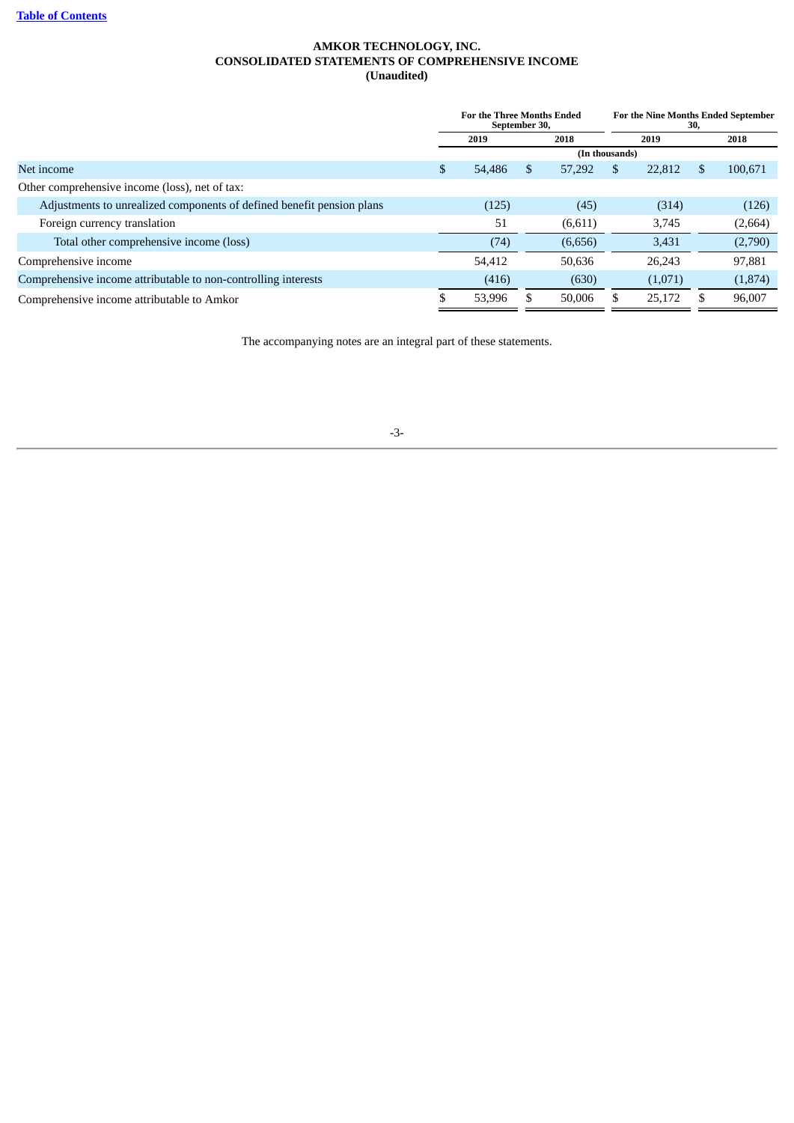### **AMKOR TECHNOLOGY, INC. CONSOLIDATED STATEMENTS OF COMPREHENSIVE INCOME (Unaudited)**

|                                                                       |     | <b>For the Three Months Ended</b><br>September 30, |   |                | <b>For the Nine Months Ended September</b><br>30, |         |  |         |  |  |
|-----------------------------------------------------------------------|-----|----------------------------------------------------|---|----------------|---------------------------------------------------|---------|--|---------|--|--|
|                                                                       |     | 2019                                               |   | 2018           |                                                   | 2019    |  | 2018    |  |  |
|                                                                       |     |                                                    |   | (In thousands) |                                                   |         |  |         |  |  |
| Net income                                                            | \$  | 54,486                                             | S | 57,292         | S                                                 | 22,812  |  | 100,671 |  |  |
| Other comprehensive income (loss), net of tax:                        |     |                                                    |   |                |                                                   |         |  |         |  |  |
| Adjustments to unrealized components of defined benefit pension plans |     | (125)                                              |   | (45)           |                                                   | (314)   |  | (126)   |  |  |
| Foreign currency translation                                          |     | 51                                                 |   | (6,611)        |                                                   | 3,745   |  | (2,664) |  |  |
| Total other comprehensive income (loss)                               |     | (74)                                               |   | (6,656)        |                                                   | 3,431   |  | (2,790) |  |  |
| Comprehensive income                                                  |     | 54,412                                             |   | 50,636         |                                                   | 26,243  |  | 97,881  |  |  |
| Comprehensive income attributable to non-controlling interests        |     | (416)                                              |   | (630)          |                                                   | (1,071) |  | (1,874) |  |  |
| Comprehensive income attributable to Amkor                            | \$. | 53.996                                             |   | 50,006         |                                                   | 25.172  |  | 96,007  |  |  |

<span id="page-3-0"></span>The accompanying notes are an integral part of these statements.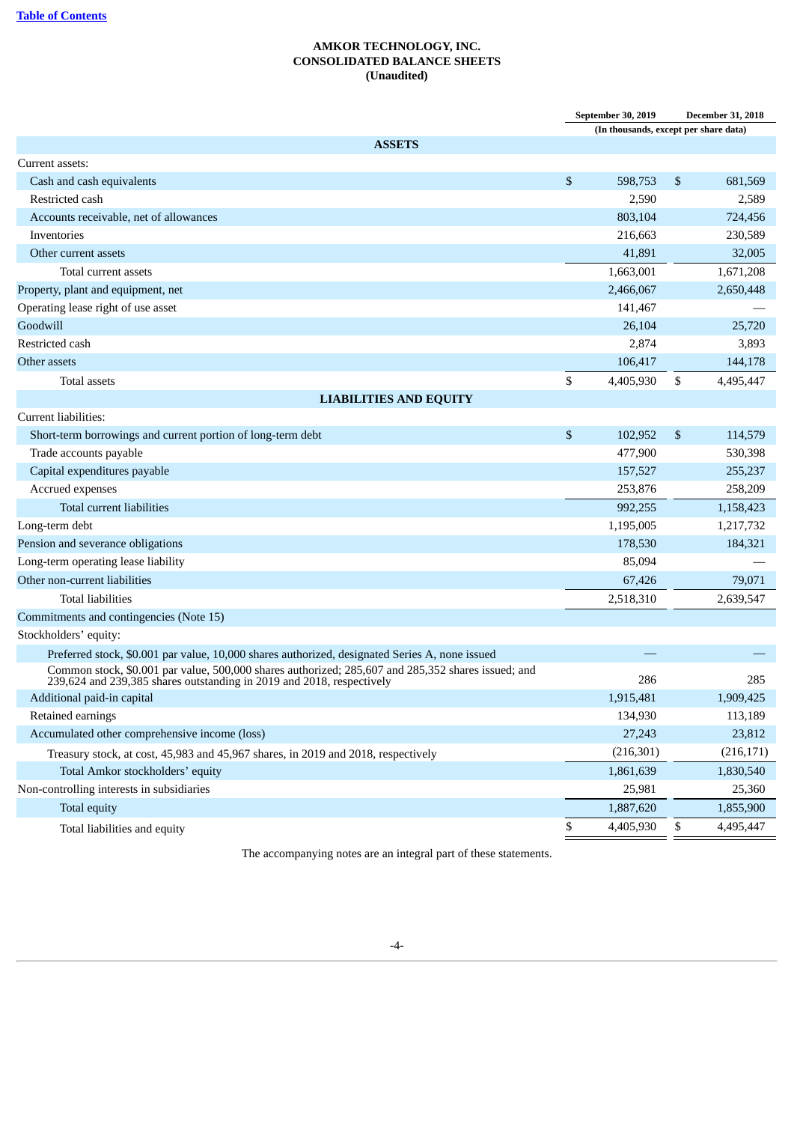### **AMKOR TECHNOLOGY, INC. CONSOLIDATED BALANCE SHEETS (Unaudited)**

|                                                                                                                                                                             | September 30, 2019 | <b>December 31, 2018</b><br>(In thousands, except per share data) |    |            |
|-----------------------------------------------------------------------------------------------------------------------------------------------------------------------------|--------------------|-------------------------------------------------------------------|----|------------|
| <b>ASSETS</b>                                                                                                                                                               |                    |                                                                   |    |            |
| Current assets:                                                                                                                                                             |                    |                                                                   |    |            |
| Cash and cash equivalents                                                                                                                                                   | \$                 | 598,753                                                           | \$ | 681,569    |
| Restricted cash                                                                                                                                                             |                    | 2,590                                                             |    | 2,589      |
| Accounts receivable, net of allowances                                                                                                                                      |                    | 803,104                                                           |    | 724,456    |
| Inventories                                                                                                                                                                 |                    | 216,663                                                           |    | 230,589    |
| Other current assets                                                                                                                                                        |                    | 41,891                                                            |    | 32,005     |
| Total current assets                                                                                                                                                        |                    | 1,663,001                                                         |    | 1,671,208  |
| Property, plant and equipment, net                                                                                                                                          |                    | 2,466,067                                                         |    | 2,650,448  |
| Operating lease right of use asset                                                                                                                                          |                    | 141,467                                                           |    |            |
| Goodwill                                                                                                                                                                    |                    | 26,104                                                            |    | 25,720     |
| Restricted cash                                                                                                                                                             |                    | 2,874                                                             |    | 3,893      |
| Other assets                                                                                                                                                                |                    | 106,417                                                           |    | 144,178    |
| <b>Total assets</b>                                                                                                                                                         | \$                 | 4,405,930                                                         | \$ | 4,495,447  |
| <b>LIABILITIES AND EQUITY</b>                                                                                                                                               |                    |                                                                   |    |            |
| Current liabilities:                                                                                                                                                        |                    |                                                                   |    |            |
| Short-term borrowings and current portion of long-term debt                                                                                                                 | $\mathfrak{S}$     | 102,952                                                           | \$ | 114,579    |
| Trade accounts payable                                                                                                                                                      |                    | 477,900                                                           |    | 530,398    |
| Capital expenditures payable                                                                                                                                                |                    | 157,527                                                           |    | 255,237    |
| Accrued expenses                                                                                                                                                            |                    | 253,876                                                           |    | 258,209    |
| Total current liabilities                                                                                                                                                   |                    | 992,255                                                           |    | 1,158,423  |
| Long-term debt                                                                                                                                                              |                    | 1,195,005                                                         |    | 1,217,732  |
| Pension and severance obligations                                                                                                                                           |                    | 178,530                                                           |    | 184,321    |
| Long-term operating lease liability                                                                                                                                         |                    | 85,094                                                            |    |            |
| Other non-current liabilities                                                                                                                                               |                    | 67,426                                                            |    | 79,071     |
| <b>Total liabilities</b>                                                                                                                                                    |                    | 2,518,310                                                         |    | 2,639,547  |
| Commitments and contingencies (Note 15)                                                                                                                                     |                    |                                                                   |    |            |
| Stockholders' equity:                                                                                                                                                       |                    |                                                                   |    |            |
| Preferred stock, \$0.001 par value, 10,000 shares authorized, designated Series A, none issued                                                                              |                    |                                                                   |    |            |
| Common stock, \$0.001 par value, 500,000 shares authorized; 285,607 and 285,352 shares issued; and<br>239,624 and 239,385 shares outstanding in 2019 and 2018, respectively |                    | 286                                                               |    | 285        |
| Additional paid-in capital                                                                                                                                                  |                    | 1,915,481                                                         |    | 1,909,425  |
| Retained earnings                                                                                                                                                           |                    | 134,930                                                           |    | 113,189    |
| Accumulated other comprehensive income (loss)                                                                                                                               |                    | 27,243                                                            |    | 23,812     |
| Treasury stock, at cost, 45,983 and 45,967 shares, in 2019 and 2018, respectively                                                                                           |                    | (216, 301)                                                        |    | (216, 171) |
| Total Amkor stockholders' equity                                                                                                                                            |                    | 1,861,639                                                         |    | 1,830,540  |
| Non-controlling interests in subsidiaries                                                                                                                                   |                    | 25,981                                                            |    | 25,360     |
| Total equity                                                                                                                                                                |                    | 1,887,620                                                         |    | 1,855,900  |
| Total liabilities and equity                                                                                                                                                | \$                 | 4,405,930                                                         | \$ | 4,495,447  |

<span id="page-4-0"></span>The accompanying notes are an integral part of these statements.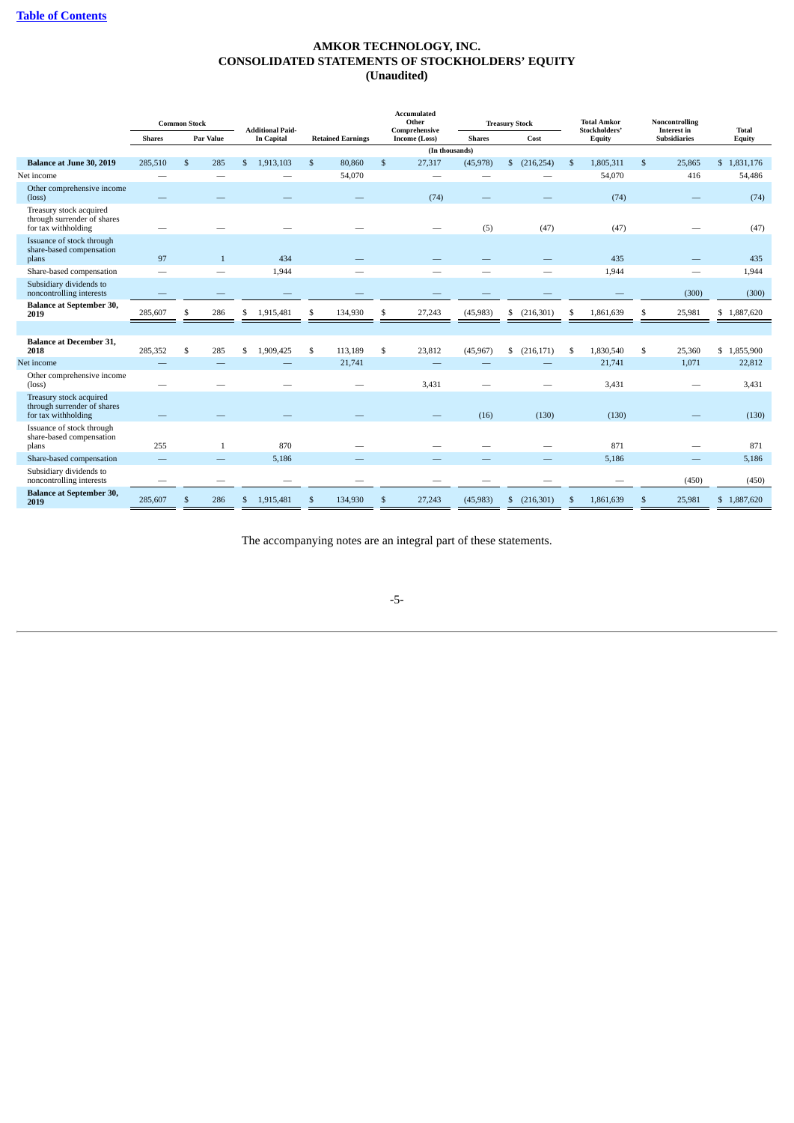### **AMKOR TECHNOLOGY, INC. CONSOLIDATED STATEMENTS OF STOCKHOLDERS' EQUITY (Unaudited)**

|                                                                               |               | <b>Common Stock</b> |                  | <b>Additional Paid-</b> |    |                          | <b>Accumulated</b><br>Other<br><b>Treasury Stock</b><br>Comprehensive |                                 |               |                  | <b>Total Amkor</b><br>Stockholders' |               | Noncontrolling<br><b>Interest in</b> | <b>Total</b>        |             |
|-------------------------------------------------------------------------------|---------------|---------------------|------------------|-------------------------|----|--------------------------|-----------------------------------------------------------------------|---------------------------------|---------------|------------------|-------------------------------------|---------------|--------------------------------------|---------------------|-------------|
|                                                                               | <b>Shares</b> |                     | <b>Par Value</b> | <b>In Capital</b>       |    | <b>Retained Earnings</b> |                                                                       | Income (Loss)                   | <b>Shares</b> | Cost             |                                     | <b>Equity</b> |                                      | <b>Subsidiaries</b> | Equity      |
|                                                                               |               |                     |                  |                         |    |                          |                                                                       | (In thousands)                  |               |                  |                                     |               |                                      |                     |             |
| Balance at June 30, 2019                                                      | 285,510       | \$                  | 285              | 1,913,103<br>\$.        | \$ | 80,860                   | $\mathbb{S}$                                                          | 27,317                          | (45,978)      | \$(216,254)      | \$                                  | 1,805,311     | \$                                   | 25,865              | \$1,831,176 |
| Net income                                                                    |               |                     |                  |                         |    | 54,070                   |                                                                       |                                 |               |                  |                                     | 54,070        |                                      | 416                 | 54,486      |
| Other comprehensive income<br>$(\text{loss})$                                 |               |                     |                  |                         |    |                          |                                                                       | (74)                            |               |                  |                                     | (74)          |                                      |                     | (74)        |
| Treasury stock acquired<br>through surrender of shares<br>for tax withholding |               |                     |                  |                         |    |                          |                                                                       | $\hspace{0.1mm}-\hspace{0.1mm}$ | (5)           | (47)             |                                     | (47)          |                                      |                     | (47)        |
| Issuance of stock through<br>share-based compensation<br>plans                | 97            |                     | $\mathbf{1}$     | 434                     |    |                          |                                                                       |                                 |               |                  |                                     | 435           |                                      |                     | 435         |
| Share-based compensation                                                      |               |                     | -                | 1,944                   |    |                          |                                                                       | -                               |               | -                |                                     | 1,944         |                                      | -                   | 1,944       |
| Subsidiary dividends to<br>noncontrolling interests                           |               |                     |                  |                         |    |                          |                                                                       |                                 |               |                  |                                     |               |                                      | (300)               | (300)       |
| <b>Balance at September 30,</b><br>2019                                       | 285,607       | S                   | 286              | 1,915,481<br>S          | .S | 134,930                  | S.                                                                    | 27,243                          | (45, 983)     | (216, 301)<br>\$ | \$.                                 | 1,861,639     | -S                                   | 25,981              | \$1,887,620 |
|                                                                               |               |                     |                  |                         |    |                          |                                                                       |                                 |               |                  |                                     |               |                                      |                     |             |
| <b>Balance at December 31,</b><br>2018                                        | 285,352       | \$                  | 285              | 1,909,425<br>\$         | \$ | 113,189                  | \$                                                                    | 23,812                          | (45, 967)     | (216, 171)<br>\$ | \$                                  | 1,830,540     | \$                                   | 25,360              | \$1,855,900 |
| Net income                                                                    |               |                     |                  |                         |    | 21,741                   |                                                                       |                                 |               |                  |                                     | 21,741        |                                      | 1,071               | 22,812      |
| Other comprehensive income<br>$(\text{loss})$                                 | -             |                     |                  |                         |    |                          |                                                                       | 3.431                           |               |                  |                                     | 3,431         |                                      |                     | 3,431       |
| Treasury stock acquired<br>through surrender of shares<br>for tax withholding |               |                     |                  |                         |    |                          |                                                                       |                                 | (16)          | (130)            |                                     | (130)         |                                      |                     | (130)       |
| Issuance of stock through<br>share-based compensation<br>plans                | 255           |                     | $\mathbf{1}$     | 870                     |    |                          |                                                                       |                                 |               |                  |                                     | 871           |                                      |                     | 871         |
| Share-based compensation                                                      |               |                     |                  | 5,186                   |    |                          |                                                                       |                                 |               |                  |                                     | 5,186         |                                      |                     | 5,186       |
| Subsidiary dividends to<br>noncontrolling interests                           |               |                     |                  |                         |    |                          |                                                                       |                                 |               |                  |                                     |               |                                      | (450)               | (450)       |
| <b>Balance at September 30,</b><br>2019                                       | 285,607       | \$.                 | 286              | 1,915,481<br>.S         | .S | 134,930                  | \$                                                                    | 27,243                          | (45, 983)     | (216, 301)<br>\$ | \$.                                 | 1,861,639     | \$                                   | 25,981              | \$1,887,620 |

The accompanying notes are an integral part of these statements.

-5-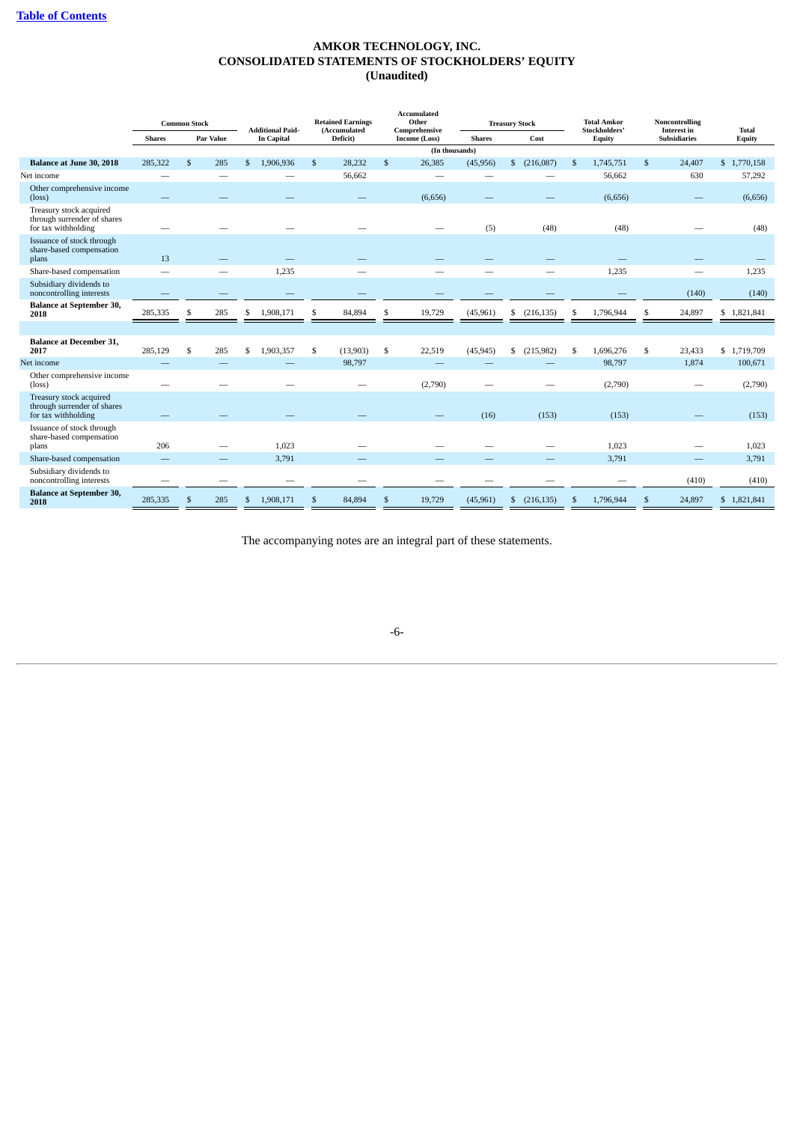### **AMKOR TECHNOLOGY, INC. CONSOLIDATED STATEMENTS OF STOCKHOLDERS' EQUITY (Unaudited)**

|                                                                               |                          | <b>Common Stock</b> |           |    | <b>Accumulated</b><br>Other<br><b>Retained Earnings</b><br><b>Additional Paid-</b><br>(Accumulated<br>Comprehensive |    |          | <b>Treasury Stock</b> |                | <b>Total Amkor</b><br>Stockholders' |                   | Noncontrolling<br>Interest in | <b>Total</b> |    |                     |             |
|-------------------------------------------------------------------------------|--------------------------|---------------------|-----------|----|---------------------------------------------------------------------------------------------------------------------|----|----------|-----------------------|----------------|-------------------------------------|-------------------|-------------------------------|--------------|----|---------------------|-------------|
|                                                                               | <b>Shares</b>            |                     | Par Value |    | <b>In Capital</b>                                                                                                   |    | Deficit) |                       | Income (Loss)  | <b>Shares</b>                       | Cost              | <b>Equity</b>                 |              |    | <b>Subsidiaries</b> | Equity      |
|                                                                               |                          |                     |           |    |                                                                                                                     |    |          |                       | (In thousands) |                                     |                   |                               |              |    |                     |             |
| Balance at June 30, 2018                                                      | 285,322                  | \$                  | 285       | .S | 1,906,936                                                                                                           | \$ | 28,232   | \$                    | 26,385         | (45,956)                            | (216,087)<br>\$.  | .S                            | 1,745,751    | \$ | 24,407              | \$1,770,158 |
| Net income                                                                    |                          |                     |           |    |                                                                                                                     |    | 56,662   |                       |                |                                     |                   |                               | 56,662       |    | 630                 | 57,292      |
| Other comprehensive income<br>$(\text{loss})$                                 |                          |                     |           |    |                                                                                                                     |    |          |                       | (6,656)        |                                     |                   |                               | (6,656)      |    |                     | (6,656)     |
| Treasury stock acquired<br>through surrender of shares<br>for tax withholding |                          |                     |           |    |                                                                                                                     |    |          |                       |                | (5)                                 | (48)              |                               | (48)         |    |                     | (48)        |
| Issuance of stock through<br>share-based compensation<br>plans                | 13                       |                     |           |    |                                                                                                                     |    |          |                       |                |                                     |                   |                               |              |    |                     |             |
| Share-based compensation                                                      |                          |                     |           |    | 1,235                                                                                                               |    |          |                       |                | -                                   | -                 |                               | 1,235        |    |                     | 1,235       |
| Subsidiary dividends to<br>noncontrolling interests                           |                          |                     |           |    |                                                                                                                     |    |          |                       |                |                                     |                   |                               |              |    | (140)               | (140)       |
| <b>Balance at September 30,</b><br>2018                                       | 285,335                  | S                   | 285       | S  | 1,908,171                                                                                                           |    | 84,894   | \$                    | 19,729         | (45, 961)                           | (216, 135)<br>\$  |                               | 1,796,944    | S  | 24,897              | \$1,821,841 |
|                                                                               |                          |                     |           |    |                                                                                                                     |    |          |                       |                |                                     |                   |                               |              |    |                     |             |
| <b>Balance at December 31,</b><br>2017                                        | 285,129                  | $\mathfrak{s}$      | 285       | \$ | 1,903,357                                                                                                           | \$ | (13,903) | \$                    | 22,519         | (45, 945)                           | (215, 982)<br>S   | .S                            | 1,696,276    | \$ | 23,433              | \$1,719,709 |
| Net income                                                                    |                          |                     |           |    |                                                                                                                     |    | 98,797   |                       |                |                                     |                   |                               | 98,797       |    | 1,874               | 100,671     |
| Other comprehensive income<br>$(\text{loss})$                                 | $\overline{\phantom{a}}$ |                     |           |    |                                                                                                                     |    |          |                       | (2,790)        |                                     |                   |                               | (2,790)      |    |                     | (2,790)     |
| Treasury stock acquired<br>through surrender of shares<br>for tax withholding |                          |                     |           |    |                                                                                                                     |    |          |                       |                | (16)                                | (153)             |                               | (153)        |    |                     | (153)       |
| Issuance of stock through<br>share-based compensation<br>plans                | 206                      |                     |           |    | 1,023                                                                                                               |    |          |                       |                |                                     |                   |                               | 1,023        |    |                     | 1,023       |
| Share-based compensation                                                      |                          |                     |           |    | 3,791                                                                                                               |    |          |                       |                |                                     |                   |                               | 3,791        |    |                     | 3,791       |
| Subsidiary dividends to<br>noncontrolling interests                           |                          |                     |           |    |                                                                                                                     |    |          |                       |                |                                     |                   |                               |              |    | (410)               | (410)       |
| <b>Balance at September 30,</b><br>2018                                       | 285,335                  |                     | 285       | S  | 1,908,171                                                                                                           | S. | 84,894   | \$.                   | 19,729         | (45, 961)                           | (216, 135)<br>\$. |                               | 1,796,944    | \$ | 24,897              | \$1,821,841 |

<span id="page-6-0"></span>The accompanying notes are an integral part of these statements.

-6-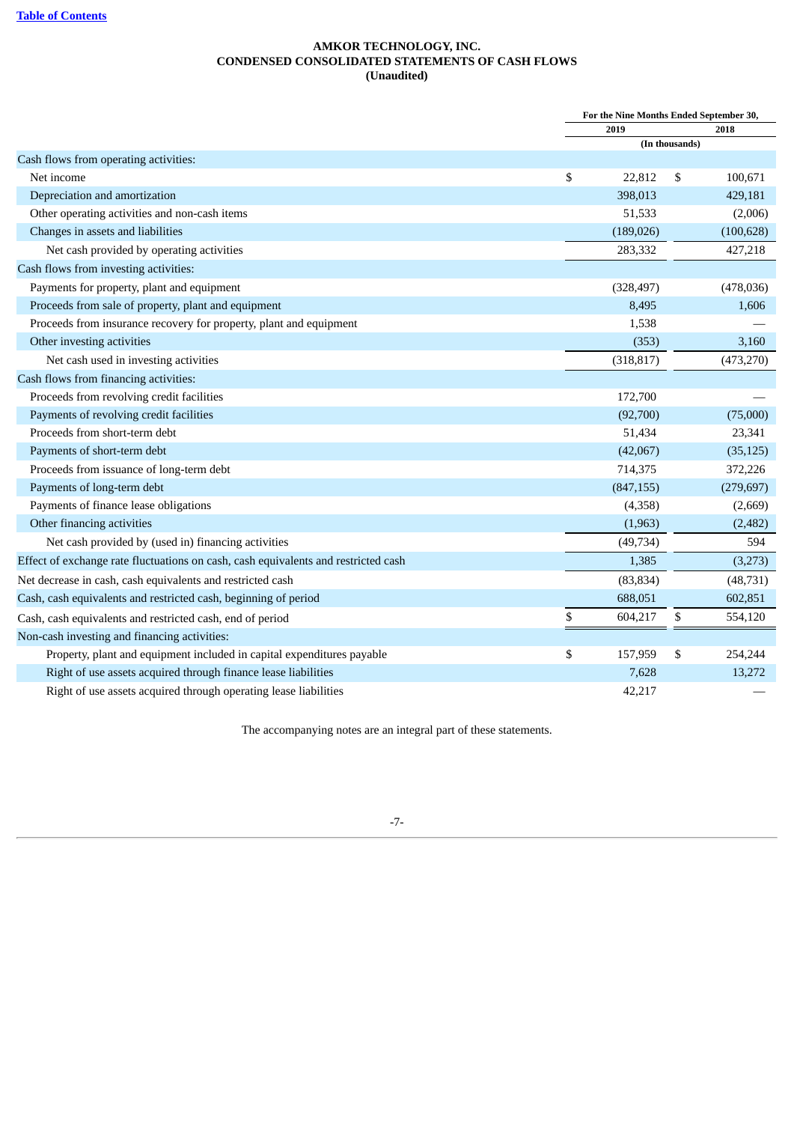### **AMKOR TECHNOLOGY, INC. CONDENSED CONSOLIDATED STATEMENTS OF CASH FLOWS (Unaudited)**

|                                                                                    | For the Nine Months Ended September 30, |                |            |  |  |
|------------------------------------------------------------------------------------|-----------------------------------------|----------------|------------|--|--|
|                                                                                    | 2019                                    |                | 2018       |  |  |
|                                                                                    |                                         | (In thousands) |            |  |  |
| Cash flows from operating activities:                                              |                                         |                |            |  |  |
| Net income                                                                         | \$<br>22,812                            | \$             | 100,671    |  |  |
| Depreciation and amortization                                                      | 398,013                                 |                | 429,181    |  |  |
| Other operating activities and non-cash items                                      | 51,533                                  |                | (2,006)    |  |  |
| Changes in assets and liabilities                                                  | (189, 026)                              |                | (100, 628) |  |  |
| Net cash provided by operating activities                                          | 283,332                                 |                | 427,218    |  |  |
| Cash flows from investing activities:                                              |                                         |                |            |  |  |
| Payments for property, plant and equipment                                         | (328, 497)                              |                | (478, 036) |  |  |
| Proceeds from sale of property, plant and equipment                                | 8,495                                   |                | 1,606      |  |  |
| Proceeds from insurance recovery for property, plant and equipment                 | 1,538                                   |                |            |  |  |
| Other investing activities                                                         | (353)                                   |                | 3,160      |  |  |
| Net cash used in investing activities                                              | (318, 817)                              |                | (473, 270) |  |  |
| Cash flows from financing activities:                                              |                                         |                |            |  |  |
| Proceeds from revolving credit facilities                                          | 172,700                                 |                |            |  |  |
| Payments of revolving credit facilities                                            | (92,700)                                |                | (75,000)   |  |  |
| Proceeds from short-term debt                                                      | 51,434                                  |                | 23,341     |  |  |
| Payments of short-term debt                                                        | (42,067)                                |                | (35, 125)  |  |  |
| Proceeds from issuance of long-term debt                                           | 714,375                                 |                | 372,226    |  |  |
| Payments of long-term debt                                                         | (847, 155)                              |                | (279, 697) |  |  |
| Payments of finance lease obligations                                              | (4,358)                                 |                | (2,669)    |  |  |
| Other financing activities                                                         | (1,963)                                 |                | (2,482)    |  |  |
| Net cash provided by (used in) financing activities                                | (49, 734)                               |                | 594        |  |  |
| Effect of exchange rate fluctuations on cash, cash equivalents and restricted cash | 1,385                                   |                | (3,273)    |  |  |
| Net decrease in cash, cash equivalents and restricted cash                         | (83, 834)                               |                | (48, 731)  |  |  |
| Cash, cash equivalents and restricted cash, beginning of period                    | 688,051                                 |                | 602,851    |  |  |
| Cash, cash equivalents and restricted cash, end of period                          | \$<br>604,217                           | \$             | 554,120    |  |  |
| Non-cash investing and financing activities:                                       |                                         |                |            |  |  |
| Property, plant and equipment included in capital expenditures payable             | \$<br>157,959                           | \$             | 254,244    |  |  |
| Right of use assets acquired through finance lease liabilities                     | 7,628                                   |                | 13,272     |  |  |
| Right of use assets acquired through operating lease liabilities                   | 42,217                                  |                |            |  |  |

<span id="page-7-0"></span>The accompanying notes are an integral part of these statements.

-7-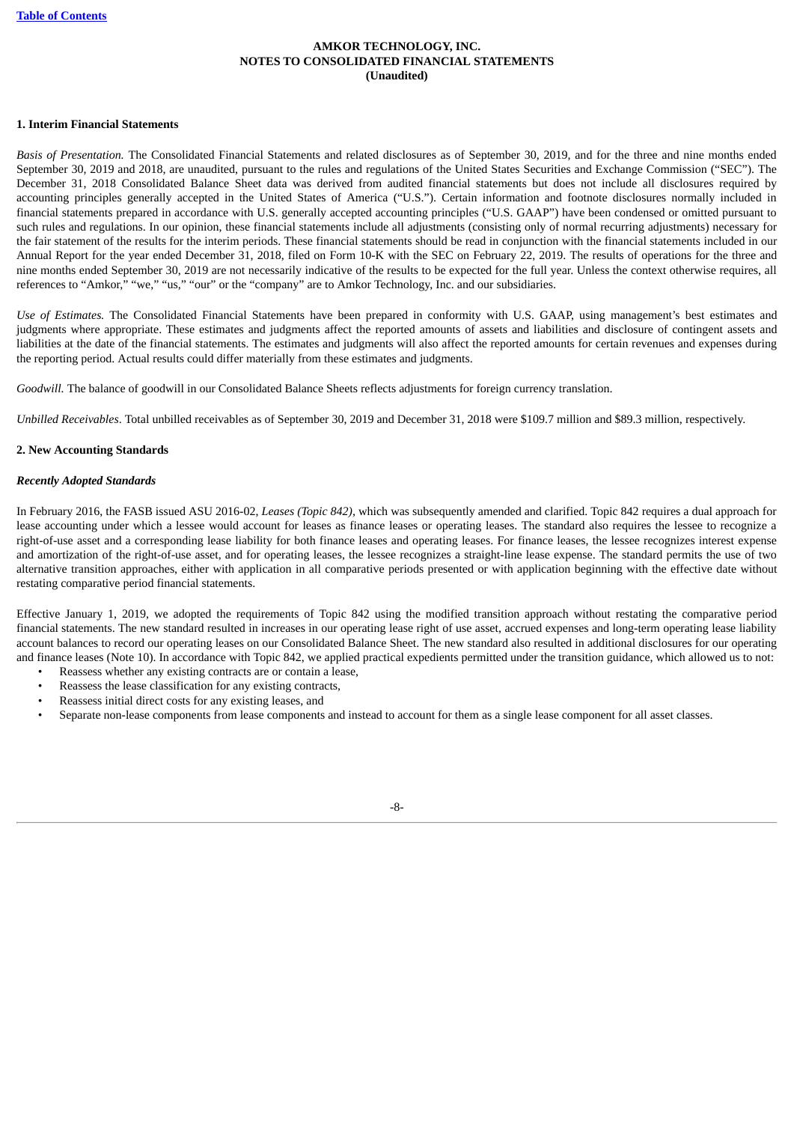### **1. Interim Financial Statements**

*Basis of Presentation.* The Consolidated Financial Statements and related disclosures as of September 30, 2019, and for the three and nine months ended September 30, 2019 and 2018, are unaudited, pursuant to the rules and regulations of the United States Securities and Exchange Commission ("SEC"). The December 31, 2018 Consolidated Balance Sheet data was derived from audited financial statements but does not include all disclosures required by accounting principles generally accepted in the United States of America ("U.S."). Certain information and footnote disclosures normally included in financial statements prepared in accordance with U.S. generally accepted accounting principles ("U.S. GAAP") have been condensed or omitted pursuant to such rules and regulations. In our opinion, these financial statements include all adjustments (consisting only of normal recurring adjustments) necessary for the fair statement of the results for the interim periods. These financial statements should be read in conjunction with the financial statements included in our Annual Report for the year ended December 31, 2018, filed on Form 10-K with the SEC on February 22, 2019. The results of operations for the three and nine months ended September 30, 2019 are not necessarily indicative of the results to be expected for the full year. Unless the context otherwise requires, all references to "Amkor," "we," "us," "our" or the "company" are to Amkor Technology, Inc. and our subsidiaries.

*Use of Estimates.* The Consolidated Financial Statements have been prepared in conformity with U.S. GAAP, using management's best estimates and judgments where appropriate. These estimates and judgments affect the reported amounts of assets and liabilities and disclosure of contingent assets and liabilities at the date of the financial statements. The estimates and judgments will also affect the reported amounts for certain revenues and expenses during the reporting period. Actual results could differ materially from these estimates and judgments.

*Goodwill.* The balance of goodwill in our Consolidated Balance Sheets reflects adjustments for foreign currency translation.

*Unbilled Receivables*. Total unbilled receivables as of September 30, 2019 and December 31, 2018 were \$109.7 million and \$89.3 million, respectively.

#### **2. New Accounting Standards**

#### *Recently Adopted Standards*

In February 2016, the FASB issued ASU 2016-02, *Leases (Topic 842)*, which was subsequently amended and clarified. Topic 842 requires a dual approach for lease accounting under which a lessee would account for leases as finance leases or operating leases. The standard also requires the lessee to recognize a right-of-use asset and a corresponding lease liability for both finance leases and operating leases. For finance leases, the lessee recognizes interest expense and amortization of the right-of-use asset, and for operating leases, the lessee recognizes a straight-line lease expense. The standard permits the use of two alternative transition approaches, either with application in all comparative periods presented or with application beginning with the effective date without restating comparative period financial statements.

Effective January 1, 2019, we adopted the requirements of Topic 842 using the modified transition approach without restating the comparative period financial statements. The new standard resulted in increases in our operating lease right of use asset, accrued expenses and long-term operating lease liability account balances to record our operating leases on our Consolidated Balance Sheet. The new standard also resulted in additional disclosures for our operating and finance leases (Note 10). In accordance with Topic 842, we applied practical expedients permitted under the transition guidance, which allowed us to not:

- Reassess whether any existing contracts are or contain a lease,
- Reassess the lease classification for any existing contracts,
- Reassess initial direct costs for any existing leases, and
- Separate non-lease components from lease components and instead to account for them as a single lease component for all asset classes.

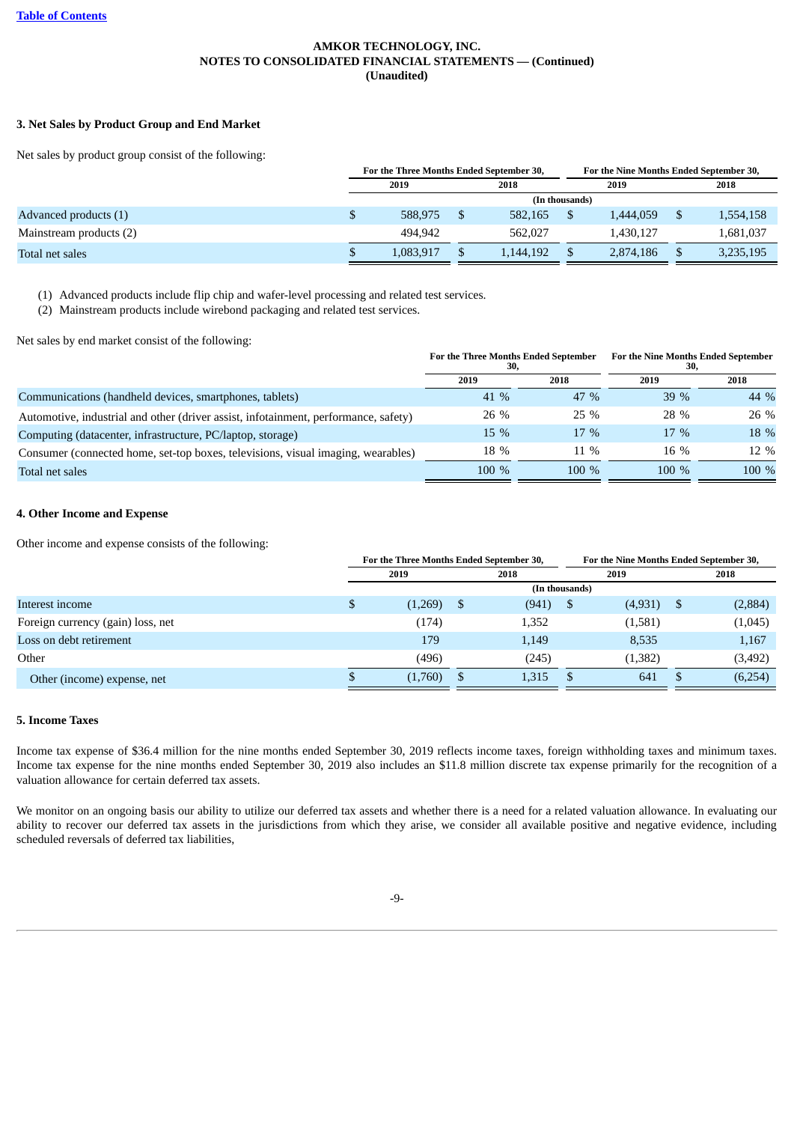### **3. Net Sales by Product Group and End Market**

Net sales by product group consist of the following:

|                         | For the Three Months Ended September 30, |           |  |           |  | For the Nine Months Ended September 30, |      |           |  |  |
|-------------------------|------------------------------------------|-----------|--|-----------|--|-----------------------------------------|------|-----------|--|--|
|                         |                                          | 2019      |  | 2018      |  | 2019                                    | 2018 |           |  |  |
|                         | (In thousands)                           |           |  |           |  |                                         |      |           |  |  |
| Advanced products (1)   |                                          | 588,975   |  | 582,165   |  | 1.444.059                               |      | 1,554,158 |  |  |
| Mainstream products (2) |                                          | 494.942   |  | 562,027   |  | 1,430,127                               |      | 1,681,037 |  |  |
| Total net sales         |                                          | 1.083.917 |  | 1,144,192 |  | 2,874,186                               |      | 3,235,195 |  |  |

(1) Advanced products include flip chip and wafer-level processing and related test services.

(2) Mainstream products include wirebond packaging and related test services.

Net sales by end market consist of the following:

|                                                                                     | For the Three Months Ended September<br>30. |         | For the Nine Months Ended September<br>30, |        |  |  |
|-------------------------------------------------------------------------------------|---------------------------------------------|---------|--------------------------------------------|--------|--|--|
|                                                                                     | 2019                                        | 2018    | 2019                                       | 2018   |  |  |
| Communications (handheld devices, smartphones, tablets)                             | 41 %                                        | $47\%$  | 39 %                                       | 44 %   |  |  |
| Automotive, industrial and other (driver assist, infotainment, performance, safety) | 26 %                                        | $25\%$  | 28 %                                       | 26 %   |  |  |
| Computing (datacenter, infrastructure, PC/laptop, storage)                          | 15 %                                        | $17\%$  | $17\%$                                     | 18 %   |  |  |
| Consumer (connected home, set-top boxes, televisions, visual imaging, wearables)    | $18\%$                                      | $11\%$  | $16\%$                                     | $12\%$ |  |  |
| Total net sales                                                                     | $100\%$                                     | $100\%$ | $100\%$                                    | 100 %  |  |  |

### **4. Other Income and Expense**

Other income and expense consists of the following:

|                                   | For the Three Months Ended September 30, |  |       |                | For the Nine Months Ended September 30, |    |          |  |  |
|-----------------------------------|------------------------------------------|--|-------|----------------|-----------------------------------------|----|----------|--|--|
|                                   | 2019                                     |  | 2018  |                | 2019                                    |    | 2018     |  |  |
|                                   |                                          |  |       | (In thousands) |                                         |    |          |  |  |
| Interest income                   | (1,269)                                  |  | (941) | - \$           | (4,931)                                 | -S | (2,884)  |  |  |
| Foreign currency (gain) loss, net | (174)                                    |  | 1,352 |                | (1, 581)                                |    | (1,045)  |  |  |
| Loss on debt retirement           | 179                                      |  | 1,149 |                | 8,535                                   |    | 1,167    |  |  |
| Other                             | (496)                                    |  | (245) |                | (1, 382)                                |    | (3, 492) |  |  |
| Other (income) expense, net       | (1,760)                                  |  | 1,315 |                | 641                                     |    | (6,254)  |  |  |

### **5. Income Taxes**

Income tax expense of \$36.4 million for the nine months ended September 30, 2019 reflects income taxes, foreign withholding taxes and minimum taxes. Income tax expense for the nine months ended September 30, 2019 also includes an \$11.8 million discrete tax expense primarily for the recognition of a valuation allowance for certain deferred tax assets.

We monitor on an ongoing basis our ability to utilize our deferred tax assets and whether there is a need for a related valuation allowance. In evaluating our ability to recover our deferred tax assets in the jurisdictions from which they arise, we consider all available positive and negative evidence, including scheduled reversals of deferred tax liabilities,

-9-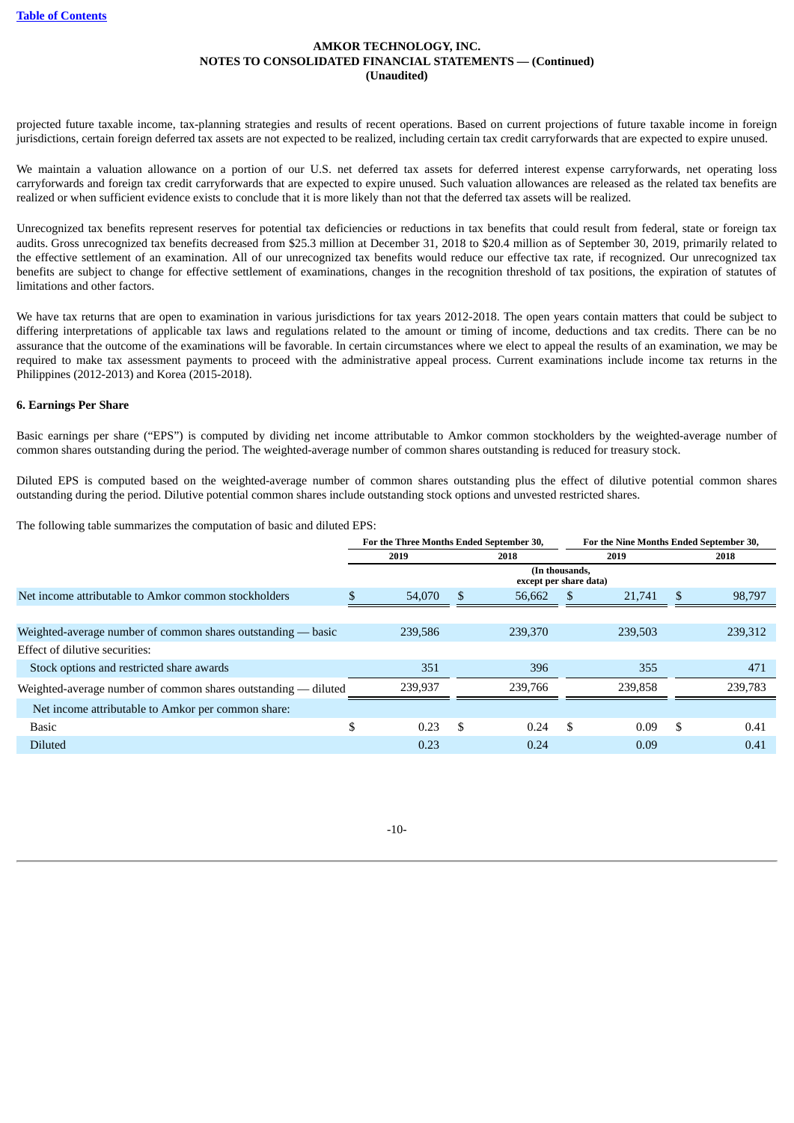projected future taxable income, tax-planning strategies and results of recent operations. Based on current projections of future taxable income in foreign jurisdictions, certain foreign deferred tax assets are not expected to be realized, including certain tax credit carryforwards that are expected to expire unused.

We maintain a valuation allowance on a portion of our U.S. net deferred tax assets for deferred interest expense carryforwards, net operating loss carryforwards and foreign tax credit carryforwards that are expected to expire unused. Such valuation allowances are released as the related tax benefits are realized or when sufficient evidence exists to conclude that it is more likely than not that the deferred tax assets will be realized.

Unrecognized tax benefits represent reserves for potential tax deficiencies or reductions in tax benefits that could result from federal, state or foreign tax audits. Gross unrecognized tax benefits decreased from \$25.3 million at December 31, 2018 to \$20.4 million as of September 30, 2019, primarily related to the effective settlement of an examination. All of our unrecognized tax benefits would reduce our effective tax rate, if recognized. Our unrecognized tax benefits are subject to change for effective settlement of examinations, changes in the recognition threshold of tax positions, the expiration of statutes of limitations and other factors.

We have tax returns that are open to examination in various jurisdictions for tax years 2012-2018. The open years contain matters that could be subject to differing interpretations of applicable tax laws and regulations related to the amount or timing of income, deductions and tax credits. There can be no assurance that the outcome of the examinations will be favorable. In certain circumstances where we elect to appeal the results of an examination, we may be required to make tax assessment payments to proceed with the administrative appeal process. Current examinations include income tax returns in the Philippines (2012-2013) and Korea (2015-2018).

### **6. Earnings Per Share**

Basic earnings per share ("EPS") is computed by dividing net income attributable to Amkor common stockholders by the weighted-average number of common shares outstanding during the period. The weighted-average number of common shares outstanding is reduced for treasury stock.

Diluted EPS is computed based on the weighted-average number of common shares outstanding plus the effect of dilutive potential common shares outstanding during the period. Dilutive potential common shares include outstanding stock options and unvested restricted shares.

The following table summarizes the computation of basic and diluted EPS:

|                                                                | For the Three Months Ended September 30, |         |      |         |    | For the Nine Months Ended September 30, |    |         |
|----------------------------------------------------------------|------------------------------------------|---------|------|---------|----|-----------------------------------------|----|---------|
|                                                                | 2019                                     |         | 2018 |         |    | 2019                                    |    | 2018    |
|                                                                | (In thousands,<br>except per share data) |         |      |         |    |                                         |    |         |
| Net income attributable to Amkor common stockholders           |                                          | 54,070  | \$.  | 56.662  |    | 21,741                                  | -S | 98,797  |
|                                                                |                                          |         |      |         |    |                                         |    |         |
| Weighted-average number of common shares outstanding — basic   |                                          | 239,586 |      | 239,370 |    | 239,503                                 |    | 239,312 |
| Effect of dilutive securities:                                 |                                          |         |      |         |    |                                         |    |         |
| Stock options and restricted share awards                      |                                          | 351     |      | 396     |    | 355                                     |    | 471     |
| Weighted-average number of common shares outstanding - diluted |                                          | 239,937 |      | 239.766 |    | 239,858                                 |    | 239,783 |
| Net income attributable to Amkor per common share:             |                                          |         |      |         |    |                                         |    |         |
| <b>Basic</b>                                                   | \$                                       | 0.23    | \$   | 0.24    | -S | 0.09                                    | -S | 0.41    |
| <b>Diluted</b>                                                 |                                          | 0.23    |      | 0.24    |    | 0.09                                    |    | 0.41    |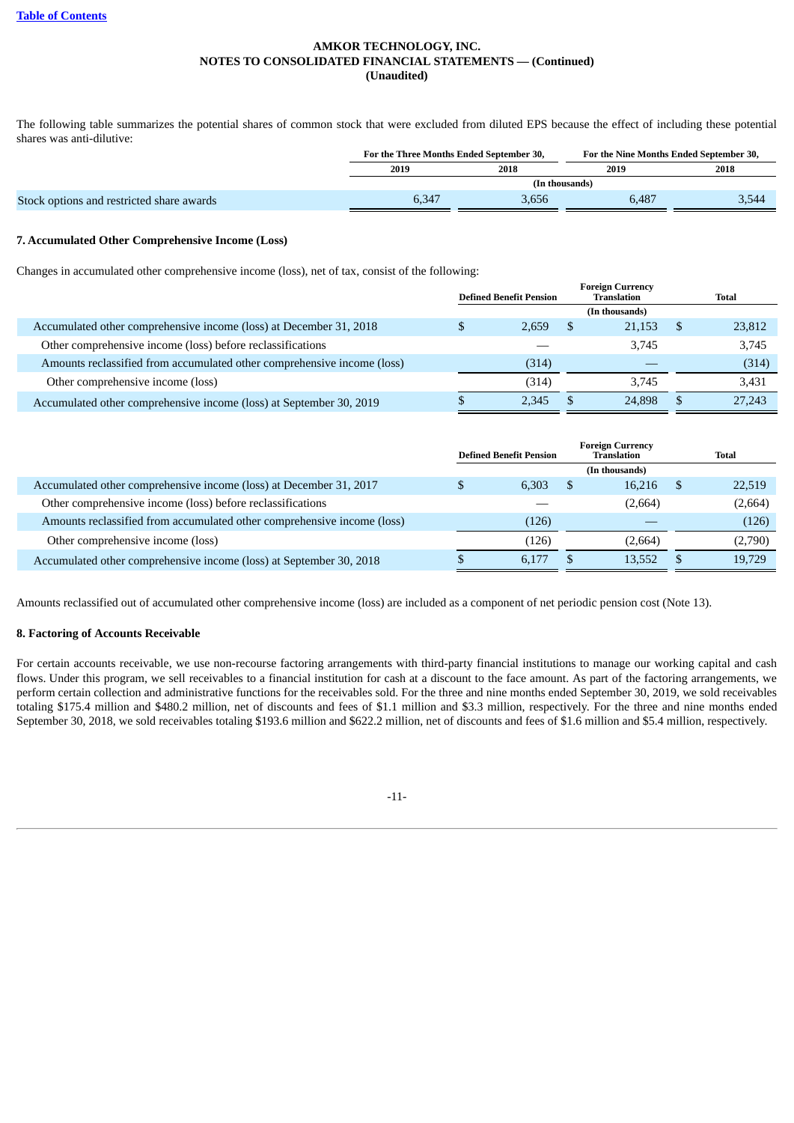The following table summarizes the potential shares of common stock that were excluded from diluted EPS because the effect of including these potential shares was anti-dilutive:

|                                           | For the Three Months Ended September 30, |                | For the Nine Months Ended September 30, |       |  |
|-------------------------------------------|------------------------------------------|----------------|-----------------------------------------|-------|--|
|                                           | 2019                                     | 2018           | 2018                                    |       |  |
|                                           |                                          | (In thousands) |                                         |       |  |
| Stock options and restricted share awards | 6,347                                    | 3,656          | 6.487                                   | 3,544 |  |

### **7. Accumulated Other Comprehensive Income (Loss)**

Changes in accumulated other comprehensive income (loss), net of tax, consist of the following:

|                                                                         | <b>Defined Benefit Pension</b> |   | <b>Foreign Currency</b><br>Translation | Total |        |
|-------------------------------------------------------------------------|--------------------------------|---|----------------------------------------|-------|--------|
|                                                                         |                                |   | (In thousands)                         |       |        |
| Accumulated other comprehensive income (loss) at December 31, 2018      | 2,659                          | S | 21,153                                 |       | 23,812 |
| Other comprehensive income (loss) before reclassifications              |                                |   | 3.745                                  |       | 3,745  |
| Amounts reclassified from accumulated other comprehensive income (loss) | (314)                          |   |                                        |       | (314)  |
| Other comprehensive income (loss)                                       | (314)                          |   | 3.745                                  |       | 3,431  |
| Accumulated other comprehensive income (loss) at September 30, 2019     | 2,345                          |   | 24,898                                 |       | 27,243 |

|                                                                         | <b>Defined Benefit Pension</b> |       |   | <b>Foreign Currency</b><br><b>Translation</b> | Total |         |
|-------------------------------------------------------------------------|--------------------------------|-------|---|-----------------------------------------------|-------|---------|
|                                                                         |                                |       |   | (In thousands)                                |       |         |
| Accumulated other comprehensive income (loss) at December 31, 2017      |                                | 6,303 | S | 16.216                                        |       | 22,519  |
| Other comprehensive income (loss) before reclassifications              |                                |       |   | (2,664)                                       |       | (2,664) |
| Amounts reclassified from accumulated other comprehensive income (loss) |                                | (126) |   |                                               |       | (126)   |
| Other comprehensive income (loss)                                       |                                | (126) |   | (2,664)                                       |       | (2,790) |
| Accumulated other comprehensive income (loss) at September 30, 2018     |                                | 6.177 |   | 13,552                                        |       | 19.729  |

Amounts reclassified out of accumulated other comprehensive income (loss) are included as a component of net periodic pension cost (Note 13).

### **8. Factoring of Accounts Receivable**

For certain accounts receivable, we use non-recourse factoring arrangements with third-party financial institutions to manage our working capital and cash flows. Under this program, we sell receivables to a financial institution for cash at a discount to the face amount. As part of the factoring arrangements, we perform certain collection and administrative functions for the receivables sold. For the three and nine months ended September 30, 2019, we sold receivables totaling \$175.4 million and \$480.2 million, net of discounts and fees of \$1.1 million and \$3.3 million, respectively. For the three and nine months ended September 30, 2018, we sold receivables totaling \$193.6 million and \$622.2 million, net of discounts and fees of \$1.6 million and \$5.4 million, respectively.

-11-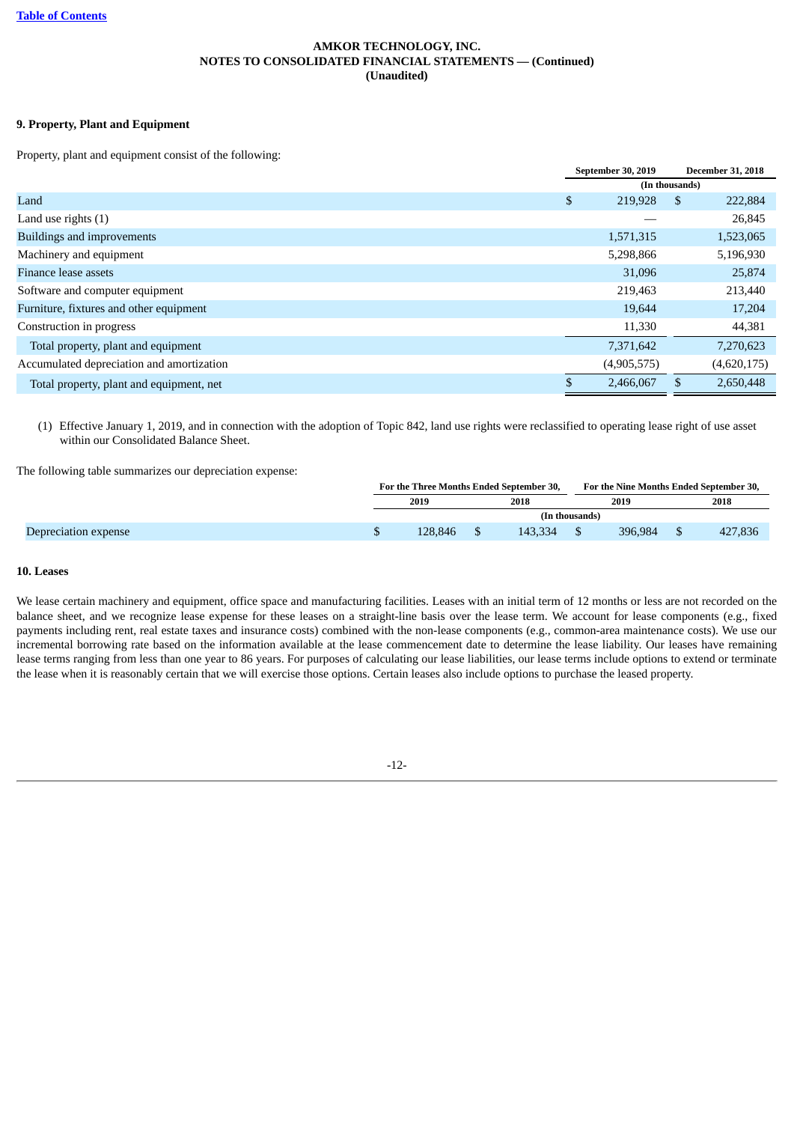# **9. Property, Plant and Equipment**

Property, plant and equipment consist of the following:

|               | <b>December 31, 2018</b>                                                                     |                |  |
|---------------|----------------------------------------------------------------------------------------------|----------------|--|
|               |                                                                                              |                |  |
| \$<br>219,928 | \$                                                                                           | 222,884        |  |
|               |                                                                                              | 26,845         |  |
|               |                                                                                              | 1,523,065      |  |
|               |                                                                                              | 5,196,930      |  |
| 31,096        |                                                                                              | 25,874         |  |
| 219,463       |                                                                                              | 213,440        |  |
| 19,644        |                                                                                              | 17,204         |  |
| 11,330        |                                                                                              | 44,381         |  |
|               |                                                                                              | 7,270,623      |  |
|               |                                                                                              | (4,620,175)    |  |
|               |                                                                                              | 2,650,448      |  |
|               | <b>September 30, 2019</b><br>1,571,315<br>5,298,866<br>7,371,642<br>(4,905,575)<br>2,466,067 | (In thousands) |  |

(1) Effective January 1, 2019, and in connection with the adoption of Topic 842, land use rights were reclassified to operating lease right of use asset within our Consolidated Balance Sheet.

The following table summarizes our depreciation expense:

|                      | For the Three Months Ended September 30, |  |                |  | For the Nine Months Ended September 30, |      |         |  |
|----------------------|------------------------------------------|--|----------------|--|-----------------------------------------|------|---------|--|
|                      | 2019                                     |  | 2018           |  | 2019                                    | 2018 |         |  |
|                      |                                          |  | (In thousands) |  |                                         |      |         |  |
| Depreciation expense | 128,846                                  |  | 143.334        |  | 396.984                                 |      | 427,836 |  |

### **10. Leases**

We lease certain machinery and equipment, office space and manufacturing facilities. Leases with an initial term of 12 months or less are not recorded on the balance sheet, and we recognize lease expense for these leases on a straight-line basis over the lease term. We account for lease components (e.g., fixed payments including rent, real estate taxes and insurance costs) combined with the non-lease components (e.g., common-area maintenance costs). We use our incremental borrowing rate based on the information available at the lease commencement date to determine the lease liability. Our leases have remaining lease terms ranging from less than one year to 86 years. For purposes of calculating our lease liabilities, our lease terms include options to extend or terminate the lease when it is reasonably certain that we will exercise those options. Certain leases also include options to purchase the leased property.

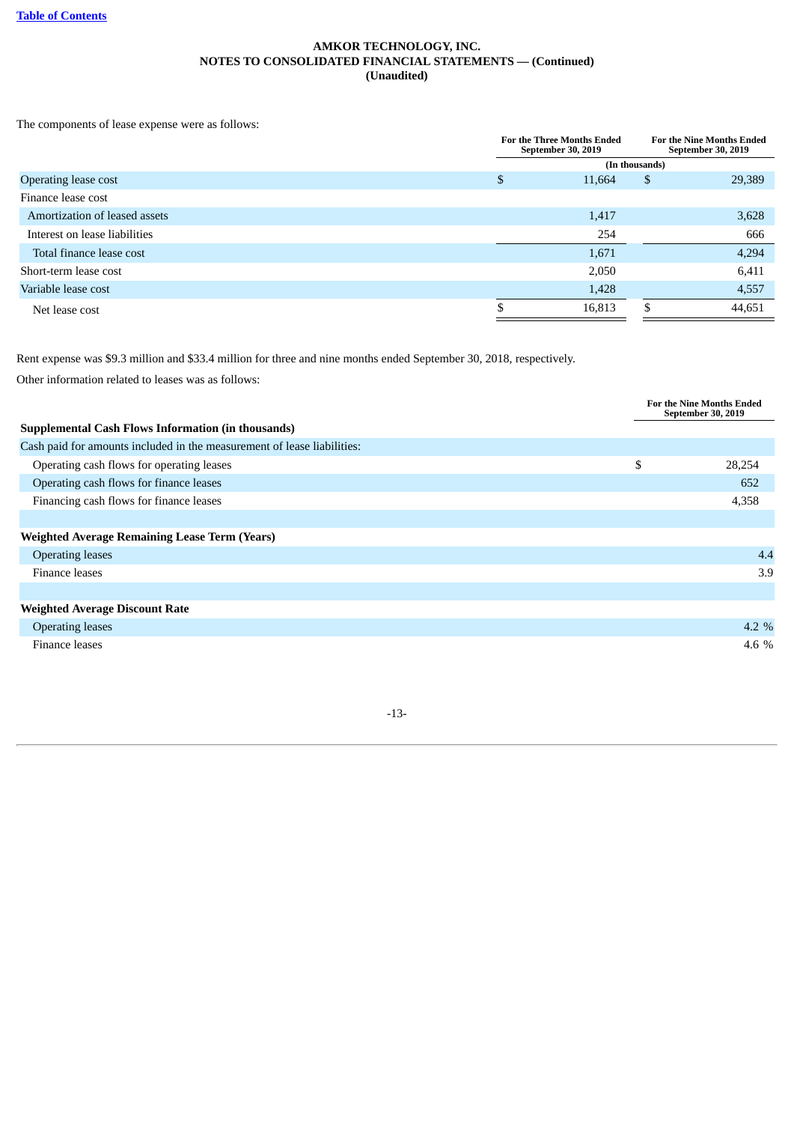The components of lease expense were as follows:

|                               | <b>For the Three Months Ended</b><br>September 30, 2019 |        | <b>For the Nine Months Ended</b><br>September 30, 2019 |        |  |
|-------------------------------|---------------------------------------------------------|--------|--------------------------------------------------------|--------|--|
|                               | (In thousands)                                          |        |                                                        |        |  |
| Operating lease cost          | \$                                                      | 11,664 | $\mathfrak{F}$                                         | 29,389 |  |
| Finance lease cost            |                                                         |        |                                                        |        |  |
| Amortization of leased assets |                                                         | 1,417  |                                                        | 3,628  |  |
| Interest on lease liabilities |                                                         | 254    | 666                                                    |        |  |
| Total finance lease cost      |                                                         | 1,671  |                                                        | 4,294  |  |
| Short-term lease cost         |                                                         | 2,050  |                                                        | 6,411  |  |
| Variable lease cost           | 4,557<br>1,428                                          |        |                                                        |        |  |
| Net lease cost                |                                                         | 16,813 | \$.                                                    | 44,651 |  |

Rent expense was \$9.3 million and \$33.4 million for three and nine months ended September 30, 2018, respectively.

Other information related to leases was as follows:

|                                                                         | <b>For the Nine Months Ended</b><br>September 30, 2019 |
|-------------------------------------------------------------------------|--------------------------------------------------------|
| <b>Supplemental Cash Flows Information (in thousands)</b>               |                                                        |
| Cash paid for amounts included in the measurement of lease liabilities: |                                                        |
| Operating cash flows for operating leases                               | \$<br>28,254                                           |
| Operating cash flows for finance leases                                 | 652                                                    |
| Financing cash flows for finance leases                                 | 4,358                                                  |
|                                                                         |                                                        |
| <b>Weighted Average Remaining Lease Term (Years)</b>                    |                                                        |
| <b>Operating leases</b>                                                 | 4.4                                                    |
| Finance leases                                                          | 3.9                                                    |
|                                                                         |                                                        |
| <b>Weighted Average Discount Rate</b>                                   |                                                        |
| <b>Operating leases</b>                                                 | 4.2 %                                                  |
| Finance leases                                                          | 4.6 %                                                  |

-13-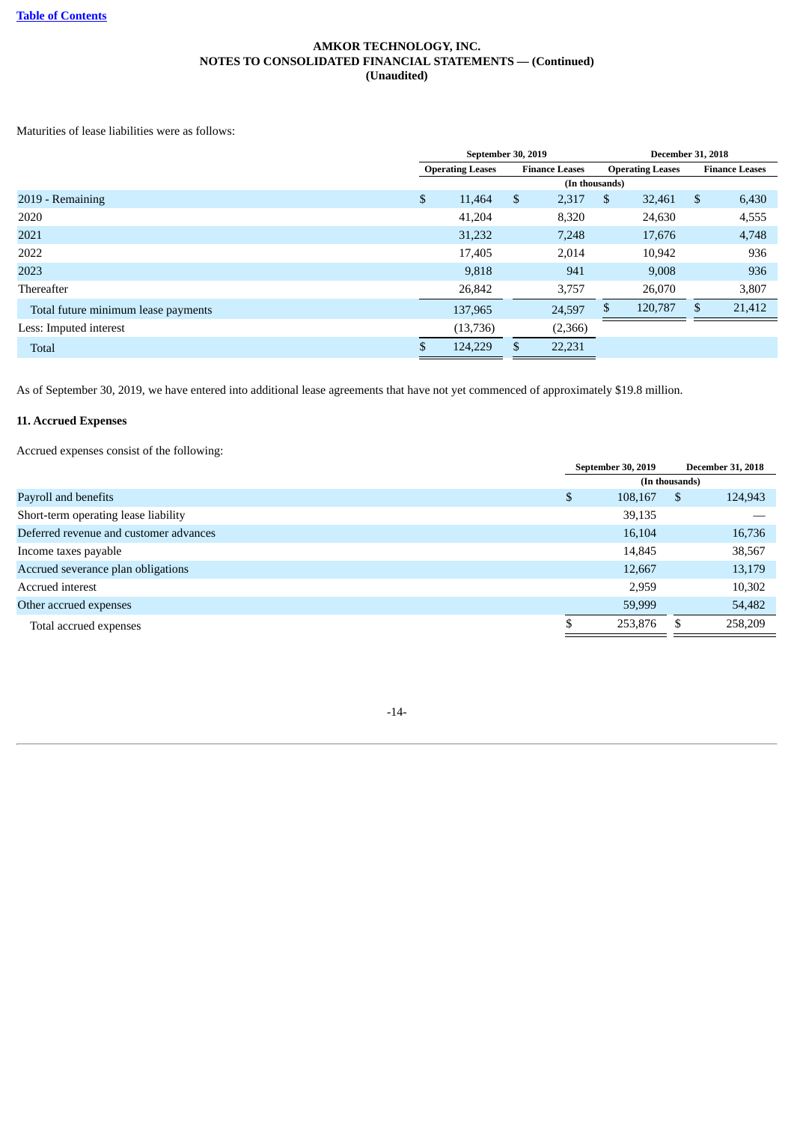Maturities of lease liabilities were as follows:

| <b>September 30, 2019</b> |          |     |                       |     |         |                                           |                          |
|---------------------------|----------|-----|-----------------------|-----|---------|-------------------------------------------|--------------------------|
| <b>Operating Leases</b>   |          |     | <b>Finance Leases</b> |     |         |                                           | <b>Finance Leases</b>    |
|                           |          |     |                       |     |         |                                           |                          |
| \$                        | 11,464   | \$  | 2,317                 | \$  | 32,461  | \$                                        | 6,430                    |
|                           | 41,204   |     | 8,320                 |     | 24,630  |                                           | 4,555                    |
|                           | 31,232   |     | 7,248                 |     | 17,676  |                                           | 4,748                    |
|                           | 17,405   |     | 2,014                 |     | 10,942  |                                           | 936                      |
|                           | 9,818    |     | 941                   |     | 9,008   |                                           | 936                      |
|                           | 26,842   |     | 3,757                 |     | 26,070  |                                           | 3,807                    |
|                           | 137,965  |     | 24,597                | \$. | 120,787 |                                           | 21,412                   |
|                           | (13,736) |     | (2,366)               |     |         |                                           |                          |
|                           | 124,229  | \$. | 22,231                |     |         |                                           |                          |
|                           |          |     |                       |     |         | <b>Operating Leases</b><br>(In thousands) | <b>December 31, 2018</b> |

As of September 30, 2019, we have entered into additional lease agreements that have not yet commenced of approximately \$19.8 million.

# **11. Accrued Expenses**

Accrued expenses consist of the following:

|                                        | <b>September 30, 2019</b> |         |   | <b>December 31, 2018</b> |  |  |
|----------------------------------------|---------------------------|---------|---|--------------------------|--|--|
|                                        |                           |         |   | (In thousands)           |  |  |
| Payroll and benefits                   | \$                        | 108,167 | S | 124,943                  |  |  |
| Short-term operating lease liability   |                           | 39,135  |   |                          |  |  |
| Deferred revenue and customer advances |                           | 16,104  |   | 16,736                   |  |  |
| Income taxes payable                   |                           | 14,845  |   | 38,567                   |  |  |
| Accrued severance plan obligations     |                           | 12,667  |   | 13,179                   |  |  |
| Accrued interest                       |                           | 2,959   |   | 10,302                   |  |  |
| Other accrued expenses                 |                           | 59,999  |   | 54,482                   |  |  |
| Total accrued expenses                 |                           | 253,876 |   | 258,209                  |  |  |

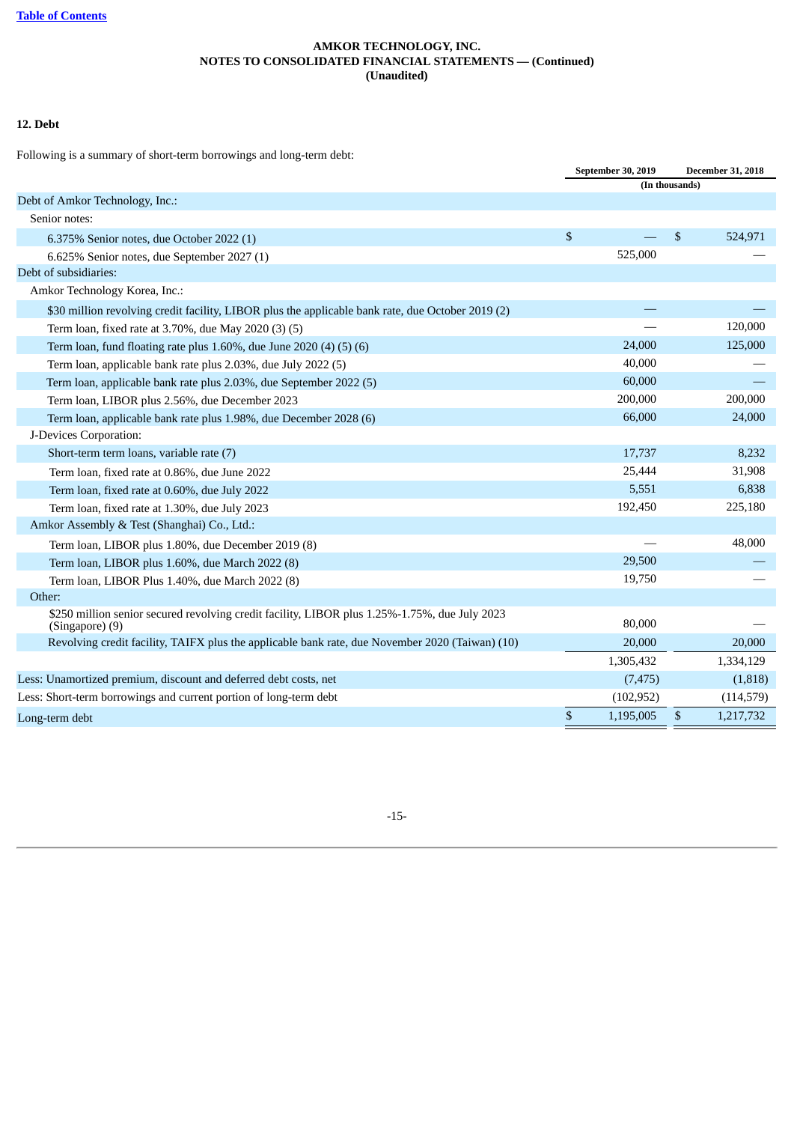# **12. Debt**

Following is a summary of short-term borrowings and long-term debt:

|                                                                                                                  | September 30, 2019        |            |                | <b>December 31, 2018</b> |  |
|------------------------------------------------------------------------------------------------------------------|---------------------------|------------|----------------|--------------------------|--|
|                                                                                                                  | (In thousands)            |            |                |                          |  |
| Debt of Amkor Technology, Inc.:                                                                                  |                           |            |                |                          |  |
| Senior notes:                                                                                                    |                           |            |                |                          |  |
| 6.375% Senior notes, due October 2022 (1)                                                                        | $\boldsymbol{\mathsf{S}}$ |            | \$             | 524,971                  |  |
| 6.625% Senior notes, due September 2027 (1)                                                                      |                           | 525,000    |                |                          |  |
| Debt of subsidiaries:                                                                                            |                           |            |                |                          |  |
| Amkor Technology Korea, Inc.:                                                                                    |                           |            |                |                          |  |
| \$30 million revolving credit facility, LIBOR plus the applicable bank rate, due October 2019 (2)                |                           |            |                |                          |  |
| Term loan, fixed rate at 3.70%, due May 2020 (3) (5)                                                             |                           |            |                | 120,000                  |  |
| Term loan, fund floating rate plus 1.60%, due June 2020 (4) (5) (6)                                              |                           | 24,000     |                | 125,000                  |  |
| Term loan, applicable bank rate plus 2.03%, due July 2022 (5)                                                    |                           | 40,000     |                |                          |  |
| Term loan, applicable bank rate plus 2.03%, due September 2022 (5)                                               |                           | 60,000     |                |                          |  |
| Term loan, LIBOR plus 2.56%, due December 2023                                                                   |                           | 200,000    |                | 200,000                  |  |
| Term loan, applicable bank rate plus 1.98%, due December 2028 (6)                                                |                           | 66,000     |                | 24,000                   |  |
| J-Devices Corporation:                                                                                           |                           |            |                |                          |  |
| Short-term term loans, variable rate (7)                                                                         |                           | 17,737     |                | 8,232                    |  |
| Term loan, fixed rate at 0.86%, due June 2022                                                                    |                           | 25,444     |                | 31,908                   |  |
| Term loan, fixed rate at 0.60%, due July 2022                                                                    |                           | 5,551      |                | 6,838                    |  |
| Term loan, fixed rate at 1.30%, due July 2023                                                                    |                           | 192,450    |                | 225,180                  |  |
| Amkor Assembly & Test (Shanghai) Co., Ltd.:                                                                      |                           |            |                |                          |  |
| Term loan, LIBOR plus 1.80%, due December 2019 (8)                                                               |                           |            |                | 48,000                   |  |
| Term loan, LIBOR plus 1.60%, due March 2022 (8)                                                                  |                           | 29,500     |                |                          |  |
| Term loan, LIBOR Plus 1.40%, due March 2022 (8)                                                                  |                           | 19,750     |                |                          |  |
| Other:                                                                                                           |                           |            |                |                          |  |
| \$250 million senior secured revolving credit facility, LIBOR plus 1.25%-1.75%, due July 2023<br>(Singapore) (9) |                           | 80,000     |                |                          |  |
| Revolving credit facility, TAIFX plus the applicable bank rate, due November 2020 (Taiwan) (10)                  |                           | 20,000     |                | 20,000                   |  |
|                                                                                                                  |                           | 1,305,432  |                | 1,334,129                |  |
| Less: Unamortized premium, discount and deferred debt costs, net                                                 |                           | (7, 475)   |                | (1,818)                  |  |
| Less: Short-term borrowings and current portion of long-term debt                                                |                           | (102, 952) |                | (114, 579)               |  |
| Long-term debt                                                                                                   | $\mathfrak{s}$            | 1,195,005  | $\mathfrak{s}$ | 1,217,732                |  |

-15-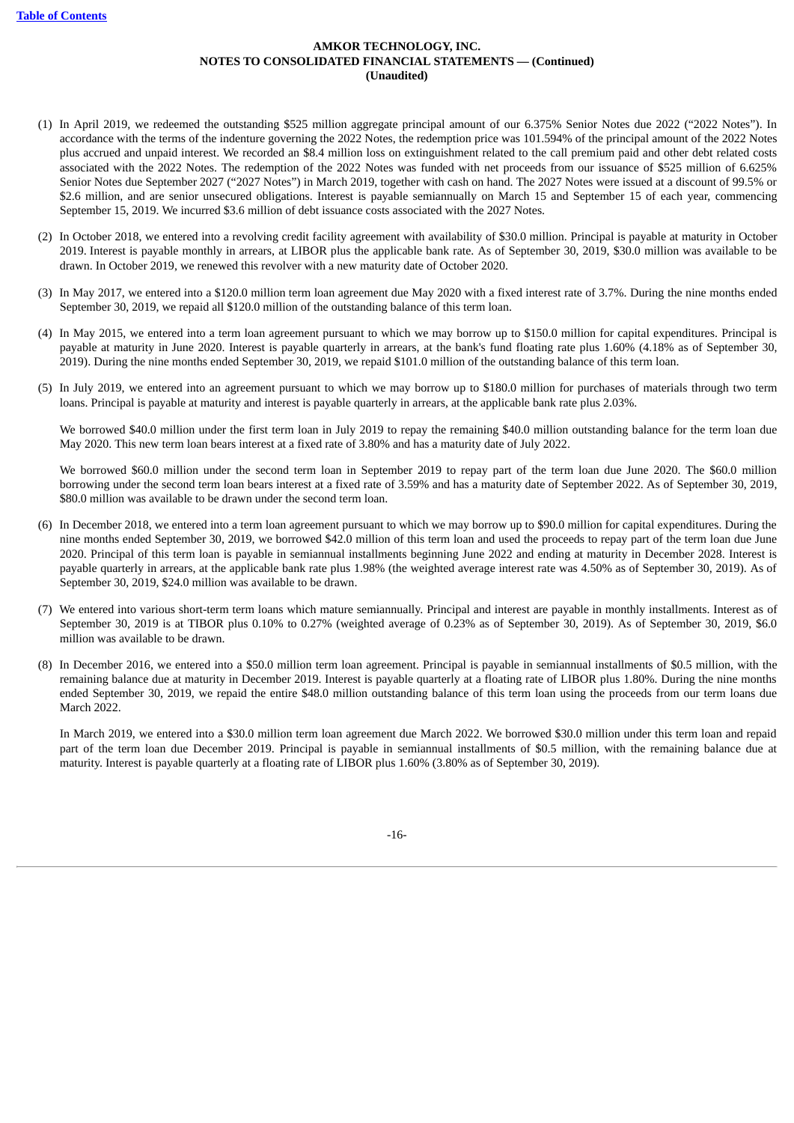- (1) In April 2019, we redeemed the outstanding \$525 million aggregate principal amount of our 6.375% Senior Notes due 2022 ("2022 Notes"). In accordance with the terms of the indenture governing the 2022 Notes, the redemption price was 101.594% of the principal amount of the 2022 Notes plus accrued and unpaid interest. We recorded an \$8.4 million loss on extinguishment related to the call premium paid and other debt related costs associated with the 2022 Notes. The redemption of the 2022 Notes was funded with net proceeds from our issuance of \$525 million of 6.625% Senior Notes due September 2027 ("2027 Notes") in March 2019, together with cash on hand. The 2027 Notes were issued at a discount of 99.5% or \$2.6 million, and are senior unsecured obligations. Interest is payable semiannually on March 15 and September 15 of each year, commencing September 15, 2019. We incurred \$3.6 million of debt issuance costs associated with the 2027 Notes.
- (2) In October 2018, we entered into a revolving credit facility agreement with availability of \$30.0 million. Principal is payable at maturity in October 2019. Interest is payable monthly in arrears, at LIBOR plus the applicable bank rate. As of September 30, 2019, \$30.0 million was available to be drawn. In October 2019, we renewed this revolver with a new maturity date of October 2020.
- (3) In May 2017, we entered into a \$120.0 million term loan agreement due May 2020 with a fixed interest rate of 3.7%. During the nine months ended September 30, 2019, we repaid all \$120.0 million of the outstanding balance of this term loan.
- (4) In May 2015, we entered into a term loan agreement pursuant to which we may borrow up to \$150.0 million for capital expenditures. Principal is payable at maturity in June 2020. Interest is payable quarterly in arrears, at the bank's fund floating rate plus 1.60% (4.18% as of September 30, 2019). During the nine months ended September 30, 2019, we repaid \$101.0 million of the outstanding balance of this term loan.
- (5) In July 2019, we entered into an agreement pursuant to which we may borrow up to \$180.0 million for purchases of materials through two term loans. Principal is payable at maturity and interest is payable quarterly in arrears, at the applicable bank rate plus 2.03%.

We borrowed \$40.0 million under the first term loan in July 2019 to repay the remaining \$40.0 million outstanding balance for the term loan due May 2020. This new term loan bears interest at a fixed rate of 3.80% and has a maturity date of July 2022.

We borrowed \$60.0 million under the second term loan in September 2019 to repay part of the term loan due June 2020. The \$60.0 million borrowing under the second term loan bears interest at a fixed rate of 3.59% and has a maturity date of September 2022. As of September 30, 2019, \$80.0 million was available to be drawn under the second term loan.

- (6) In December 2018, we entered into a term loan agreement pursuant to which we may borrow up to \$90.0 million for capital expenditures. During the nine months ended September 30, 2019, we borrowed \$42.0 million of this term loan and used the proceeds to repay part of the term loan due June 2020. Principal of this term loan is payable in semiannual installments beginning June 2022 and ending at maturity in December 2028. Interest is payable quarterly in arrears, at the applicable bank rate plus 1.98% (the weighted average interest rate was 4.50% as of September 30, 2019). As of September 30, 2019, \$24.0 million was available to be drawn.
- (7) We entered into various short-term term loans which mature semiannually. Principal and interest are payable in monthly installments. Interest as of September 30, 2019 is at TIBOR plus 0.10% to 0.27% (weighted average of 0.23% as of September 30, 2019). As of September 30, 2019, \$6.0 million was available to be drawn.
- (8) In December 2016, we entered into a \$50.0 million term loan agreement. Principal is payable in semiannual installments of \$0.5 million, with the remaining balance due at maturity in December 2019. Interest is payable quarterly at a floating rate of LIBOR plus 1.80%. During the nine months ended September 30, 2019, we repaid the entire \$48.0 million outstanding balance of this term loan using the proceeds from our term loans due March 2022.

In March 2019, we entered into a \$30.0 million term loan agreement due March 2022. We borrowed \$30.0 million under this term loan and repaid part of the term loan due December 2019. Principal is payable in semiannual installments of \$0.5 million, with the remaining balance due at maturity. Interest is payable quarterly at a floating rate of LIBOR plus 1.60% (3.80% as of September 30, 2019).

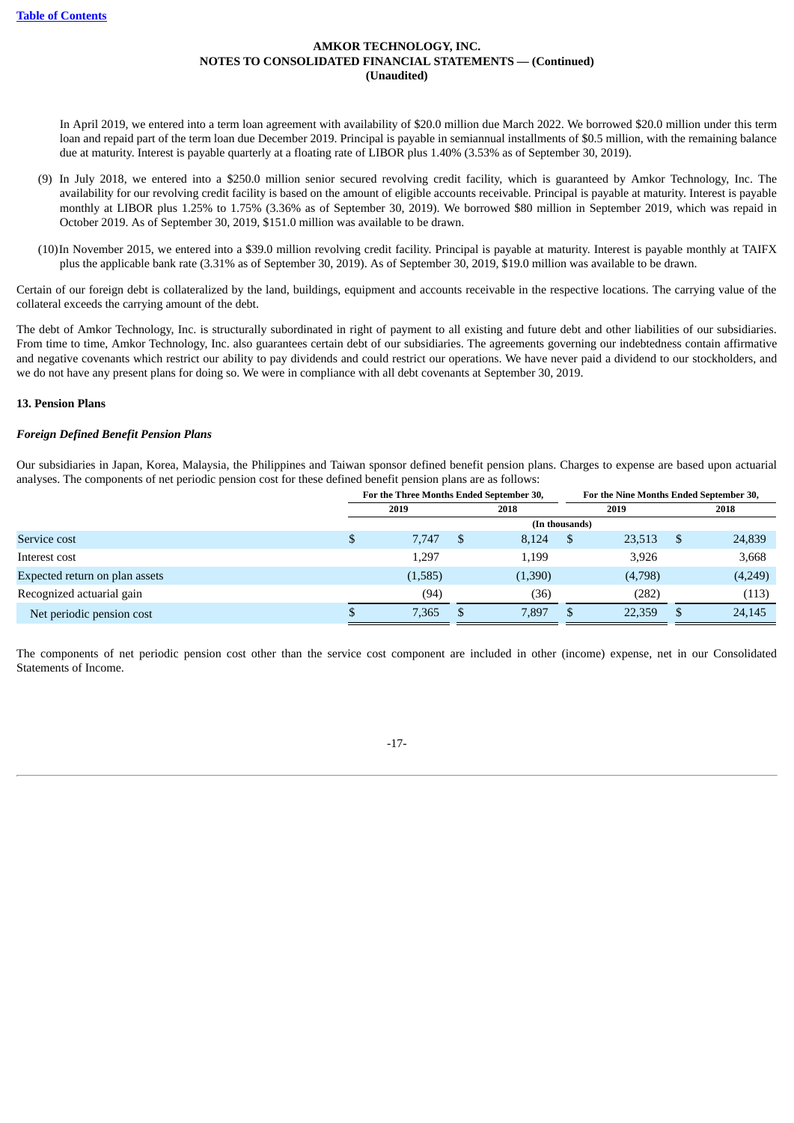In April 2019, we entered into a term loan agreement with availability of \$20.0 million due March 2022. We borrowed \$20.0 million under this term loan and repaid part of the term loan due December 2019. Principal is payable in semiannual installments of \$0.5 million, with the remaining balance due at maturity. Interest is payable quarterly at a floating rate of LIBOR plus 1.40% (3.53% as of September 30, 2019).

- (9) In July 2018, we entered into a \$250.0 million senior secured revolving credit facility, which is guaranteed by Amkor Technology, Inc. The availability for our revolving credit facility is based on the amount of eligible accounts receivable. Principal is payable at maturity. Interest is payable monthly at LIBOR plus 1.25% to 1.75% (3.36% as of September 30, 2019). We borrowed \$80 million in September 2019, which was repaid in October 2019. As of September 30, 2019, \$151.0 million was available to be drawn.
- (10)In November 2015, we entered into a \$39.0 million revolving credit facility. Principal is payable at maturity. Interest is payable monthly at TAIFX plus the applicable bank rate (3.31% as of September 30, 2019). As of September 30, 2019, \$19.0 million was available to be drawn.

Certain of our foreign debt is collateralized by the land, buildings, equipment and accounts receivable in the respective locations. The carrying value of the collateral exceeds the carrying amount of the debt.

The debt of Amkor Technology, Inc. is structurally subordinated in right of payment to all existing and future debt and other liabilities of our subsidiaries. From time to time, Amkor Technology, Inc. also guarantees certain debt of our subsidiaries. The agreements governing our indebtedness contain affirmative and negative covenants which restrict our ability to pay dividends and could restrict our operations. We have never paid a dividend to our stockholders, and we do not have any present plans for doing so. We were in compliance with all debt covenants at September 30, 2019.

### **13. Pension Plans**

### *Foreign Defined Benefit Pension Plans*

Our subsidiaries in Japan, Korea, Malaysia, the Philippines and Taiwan sponsor defined benefit pension plans. Charges to expense are based upon actuarial analyses. The components of net periodic pension cost for these defined benefit pension plans are as follows:

|                                | For the Three Months Ended September 30, |         |               |         |                | For the Nine Months Ended September 30, |      |         |  |
|--------------------------------|------------------------------------------|---------|---------------|---------|----------------|-----------------------------------------|------|---------|--|
|                                | 2019<br>2018                             |         |               |         |                | 2019                                    | 2018 |         |  |
|                                |                                          |         |               |         | (In thousands) |                                         |      |         |  |
| Service cost                   |                                          | 7.747   | \$            | 8.124   | -\$            | 23,513                                  |      | 24,839  |  |
| Interest cost                  |                                          | 1,297   |               | 1,199   |                | 3,926                                   |      | 3,668   |  |
| Expected return on plan assets |                                          | (1,585) |               | (1,390) |                | (4,798)                                 |      | (4,249) |  |
| Recognized actuarial gain      |                                          | (94)    |               | (36)    |                | (282)                                   |      | (113)   |  |
| Net periodic pension cost      |                                          | 7,365   | <sup>\$</sup> | 7,897   | - \$           | 22,359                                  |      | 24,145  |  |

The components of net periodic pension cost other than the service cost component are included in other (income) expense, net in our Consolidated Statements of Income.

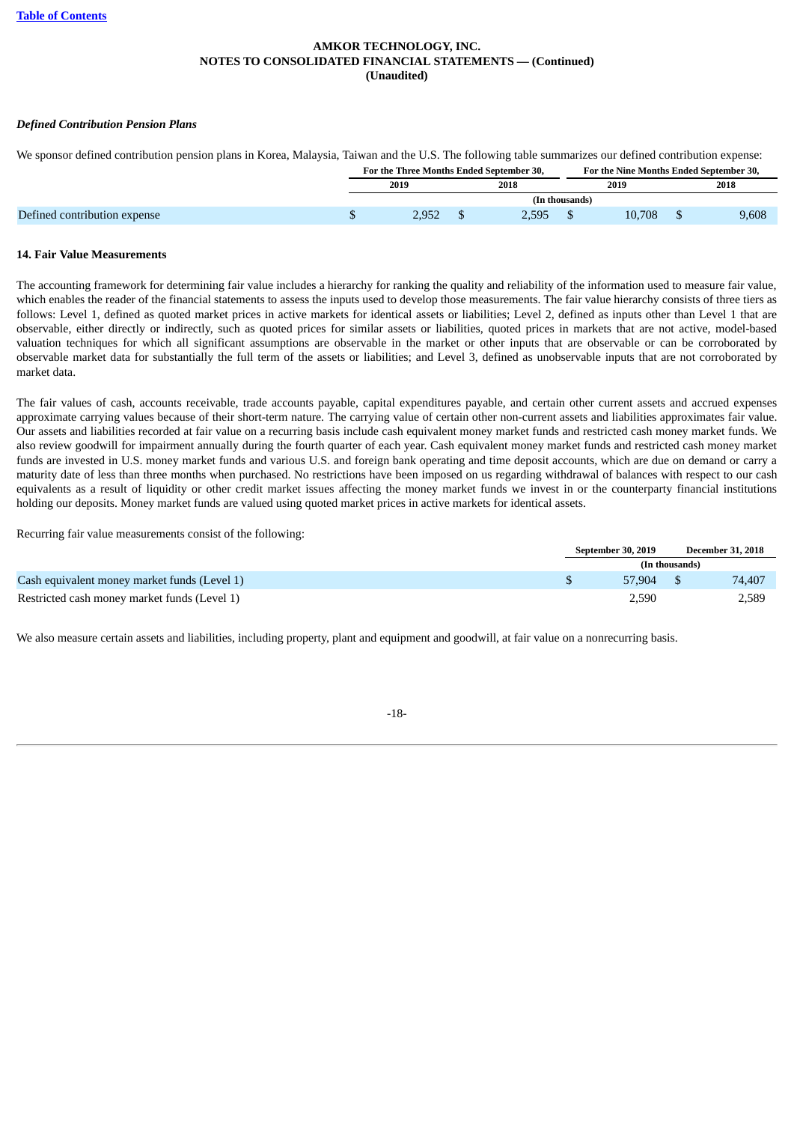### *Defined Contribution Pension Plans*

| We sponsor defined contribution pension plans in Korea, Malaysia, Taiwan and the U.S. The following table summarizes our defined contribution expense: |                                                                                            |  |                |      |        |  |       |  |  |  |  |  |
|--------------------------------------------------------------------------------------------------------------------------------------------------------|--------------------------------------------------------------------------------------------|--|----------------|------|--------|--|-------|--|--|--|--|--|
|                                                                                                                                                        | <b>For the Nine Months Ended September 30.</b><br>For the Three Months Ended September 30, |  |                |      |        |  |       |  |  |  |  |  |
|                                                                                                                                                        | 2019                                                                                       |  | 2018           | 2019 | 2018   |  |       |  |  |  |  |  |
|                                                                                                                                                        |                                                                                            |  | (In thousands) |      |        |  |       |  |  |  |  |  |
| Defined contribution expense                                                                                                                           | 2.952                                                                                      |  | 2.595          |      | 10.708 |  | 9,608 |  |  |  |  |  |

#### **14. Fair Value Measurements**

The accounting framework for determining fair value includes a hierarchy for ranking the quality and reliability of the information used to measure fair value, which enables the reader of the financial statements to assess the inputs used to develop those measurements. The fair value hierarchy consists of three tiers as follows: Level 1, defined as quoted market prices in active markets for identical assets or liabilities; Level 2, defined as inputs other than Level 1 that are observable, either directly or indirectly, such as quoted prices for similar assets or liabilities, quoted prices in markets that are not active, model-based valuation techniques for which all significant assumptions are observable in the market or other inputs that are observable or can be corroborated by observable market data for substantially the full term of the assets or liabilities; and Level 3, defined as unobservable inputs that are not corroborated by market data.

The fair values of cash, accounts receivable, trade accounts payable, capital expenditures payable, and certain other current assets and accrued expenses approximate carrying values because of their short-term nature. The carrying value of certain other non-current assets and liabilities approximates fair value. Our assets and liabilities recorded at fair value on a recurring basis include cash equivalent money market funds and restricted cash money market funds. We also review goodwill for impairment annually during the fourth quarter of each year. Cash equivalent money market funds and restricted cash money market funds are invested in U.S. money market funds and various U.S. and foreign bank operating and time deposit accounts, which are due on demand or carry a maturity date of less than three months when purchased. No restrictions have been imposed on us regarding withdrawal of balances with respect to our cash equivalents as a result of liquidity or other credit market issues affecting the money market funds we invest in or the counterparty financial institutions holding our deposits. Money market funds are valued using quoted market prices in active markets for identical assets.

Recurring fair value measurements consist of the following:

|                                              | September 30, 2019 |        | December 31, 2018 |        |
|----------------------------------------------|--------------------|--------|-------------------|--------|
|                                              |                    |        | (In thousands)    |        |
| Cash equivalent money market funds (Level 1) |                    | 57.904 |                   | 74,407 |
| Restricted cash money market funds (Level 1) |                    | 2.590  |                   | 2,589  |

We also measure certain assets and liabilities, including property, plant and equipment and goodwill, at fair value on a nonrecurring basis.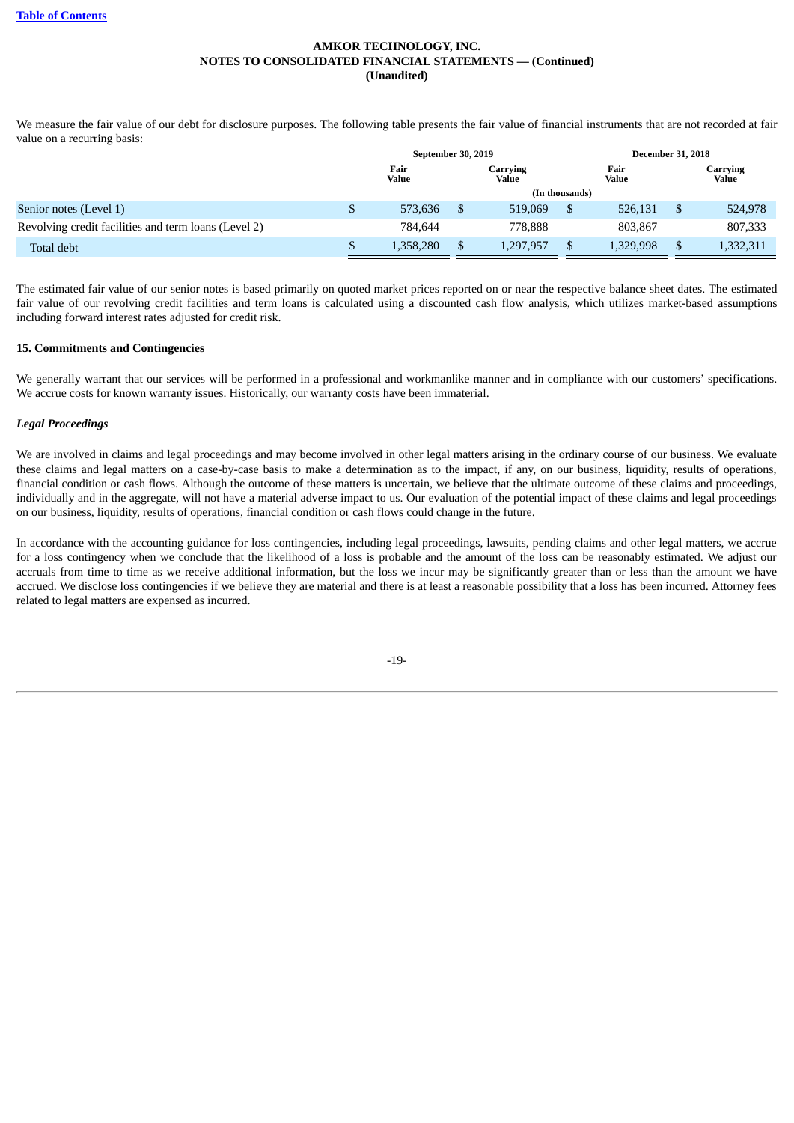We measure the fair value of our debt for disclosure purposes. The following table presents the fair value of financial instruments that are not recorded at fair value on a recurring basis:

|                                                      | <b>September 30, 2019</b> |               |  |                   |    | <b>December 31, 2018</b> |  |                   |
|------------------------------------------------------|---------------------------|---------------|--|-------------------|----|--------------------------|--|-------------------|
|                                                      |                           | Fair<br>Value |  | Carrying<br>Value |    | Fair<br>Value            |  | Carrying<br>Value |
|                                                      |                           |               |  | (In thousands)    |    |                          |  |                   |
| Senior notes (Level 1)                               |                           | 573,636       |  | 519,069           | \$ | 526,131                  |  | 524,978           |
| Revolving credit facilities and term loans (Level 2) |                           | 784.644       |  | 778.888           |    | 803.867                  |  | 807,333           |
| Total debt                                           |                           | 1,358,280     |  | 1,297,957         |    | 1,329,998                |  | 1,332,311         |

The estimated fair value of our senior notes is based primarily on quoted market prices reported on or near the respective balance sheet dates. The estimated fair value of our revolving credit facilities and term loans is calculated using a discounted cash flow analysis, which utilizes market-based assumptions including forward interest rates adjusted for credit risk.

#### **15. Commitments and Contingencies**

We generally warrant that our services will be performed in a professional and workmanlike manner and in compliance with our customers' specifications. We accrue costs for known warranty issues. Historically, our warranty costs have been immaterial.

#### *Legal Proceedings*

We are involved in claims and legal proceedings and may become involved in other legal matters arising in the ordinary course of our business. We evaluate these claims and legal matters on a case-by-case basis to make a determination as to the impact, if any, on our business, liquidity, results of operations, financial condition or cash flows. Although the outcome of these matters is uncertain, we believe that the ultimate outcome of these claims and proceedings, individually and in the aggregate, will not have a material adverse impact to us. Our evaluation of the potential impact of these claims and legal proceedings on our business, liquidity, results of operations, financial condition or cash flows could change in the future.

<span id="page-19-0"></span>In accordance with the accounting guidance for loss contingencies, including legal proceedings, lawsuits, pending claims and other legal matters, we accrue for a loss contingency when we conclude that the likelihood of a loss is probable and the amount of the loss can be reasonably estimated. We adjust our accruals from time to time as we receive additional information, but the loss we incur may be significantly greater than or less than the amount we have accrued. We disclose loss contingencies if we believe they are material and there is at least a reasonable possibility that a loss has been incurred. Attorney fees related to legal matters are expensed as incurred.

-19-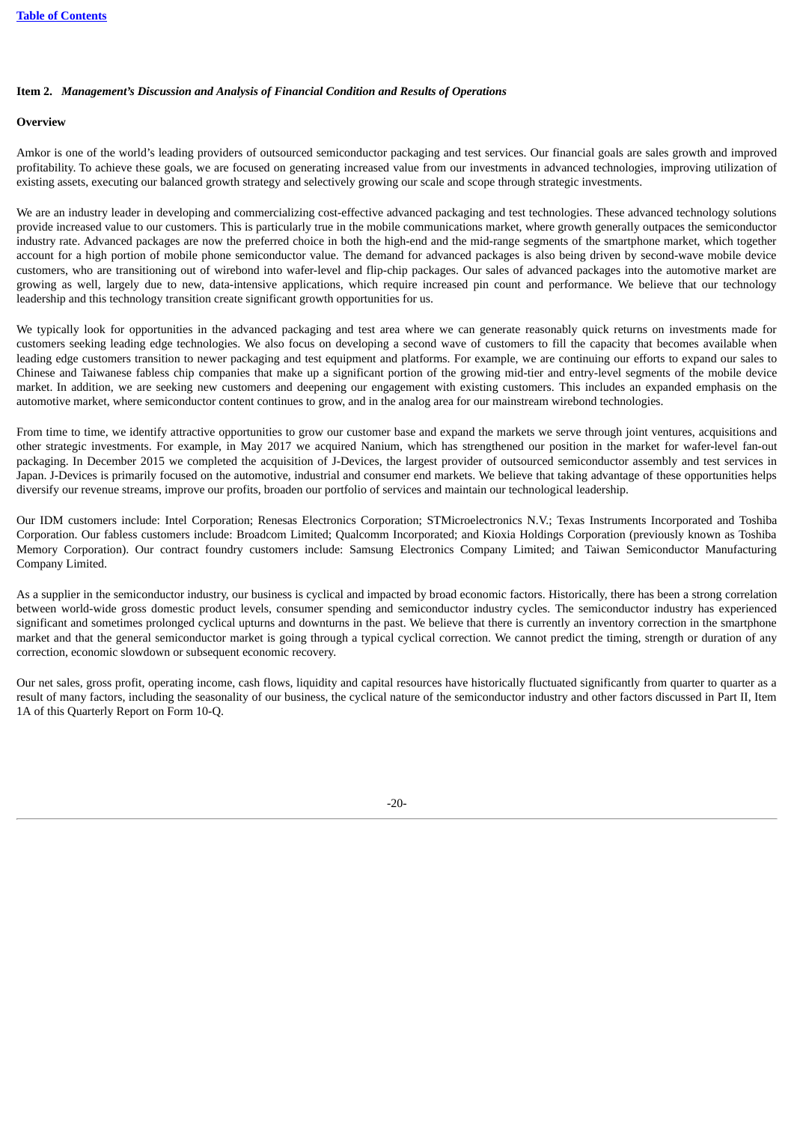#### **Item 2.** *Management's Discussion and Analysis of Financial Condition and Results of Operations*

#### **Overview**

Amkor is one of the world's leading providers of outsourced semiconductor packaging and test services. Our financial goals are sales growth and improved profitability. To achieve these goals, we are focused on generating increased value from our investments in advanced technologies, improving utilization of existing assets, executing our balanced growth strategy and selectively growing our scale and scope through strategic investments.

We are an industry leader in developing and commercializing cost-effective advanced packaging and test technologies. These advanced technology solutions provide increased value to our customers. This is particularly true in the mobile communications market, where growth generally outpaces the semiconductor industry rate. Advanced packages are now the preferred choice in both the high-end and the mid-range segments of the smartphone market, which together account for a high portion of mobile phone semiconductor value. The demand for advanced packages is also being driven by second-wave mobile device customers, who are transitioning out of wirebond into wafer-level and flip-chip packages. Our sales of advanced packages into the automotive market are growing as well, largely due to new, data-intensive applications, which require increased pin count and performance. We believe that our technology leadership and this technology transition create significant growth opportunities for us.

We typically look for opportunities in the advanced packaging and test area where we can generate reasonably quick returns on investments made for customers seeking leading edge technologies. We also focus on developing a second wave of customers to fill the capacity that becomes available when leading edge customers transition to newer packaging and test equipment and platforms. For example, we are continuing our efforts to expand our sales to Chinese and Taiwanese fabless chip companies that make up a significant portion of the growing mid-tier and entry-level segments of the mobile device market. In addition, we are seeking new customers and deepening our engagement with existing customers. This includes an expanded emphasis on the automotive market, where semiconductor content continues to grow, and in the analog area for our mainstream wirebond technologies.

From time to time, we identify attractive opportunities to grow our customer base and expand the markets we serve through joint ventures, acquisitions and other strategic investments. For example, in May 2017 we acquired Nanium, which has strengthened our position in the market for wafer-level fan-out packaging. In December 2015 we completed the acquisition of J-Devices, the largest provider of outsourced semiconductor assembly and test services in Japan. J-Devices is primarily focused on the automotive, industrial and consumer end markets. We believe that taking advantage of these opportunities helps diversify our revenue streams, improve our profits, broaden our portfolio of services and maintain our technological leadership.

Our IDM customers include: Intel Corporation; Renesas Electronics Corporation; STMicroelectronics N.V.; Texas Instruments Incorporated and Toshiba Corporation. Our fabless customers include: Broadcom Limited; Qualcomm Incorporated; and Kioxia Holdings Corporation (previously known as Toshiba Memory Corporation). Our contract foundry customers include: Samsung Electronics Company Limited; and Taiwan Semiconductor Manufacturing Company Limited.

As a supplier in the semiconductor industry, our business is cyclical and impacted by broad economic factors. Historically, there has been a strong correlation between world-wide gross domestic product levels, consumer spending and semiconductor industry cycles. The semiconductor industry has experienced significant and sometimes prolonged cyclical upturns and downturns in the past. We believe that there is currently an inventory correction in the smartphone market and that the general semiconductor market is going through a typical cyclical correction. We cannot predict the timing, strength or duration of any correction, economic slowdown or subsequent economic recovery.

Our net sales, gross profit, operating income, cash flows, liquidity and capital resources have historically fluctuated significantly from quarter to quarter as a result of many factors, including the seasonality of our business, the cyclical nature of the semiconductor industry and other factors discussed in Part II, Item 1A of this Quarterly Report on Form 10-Q.

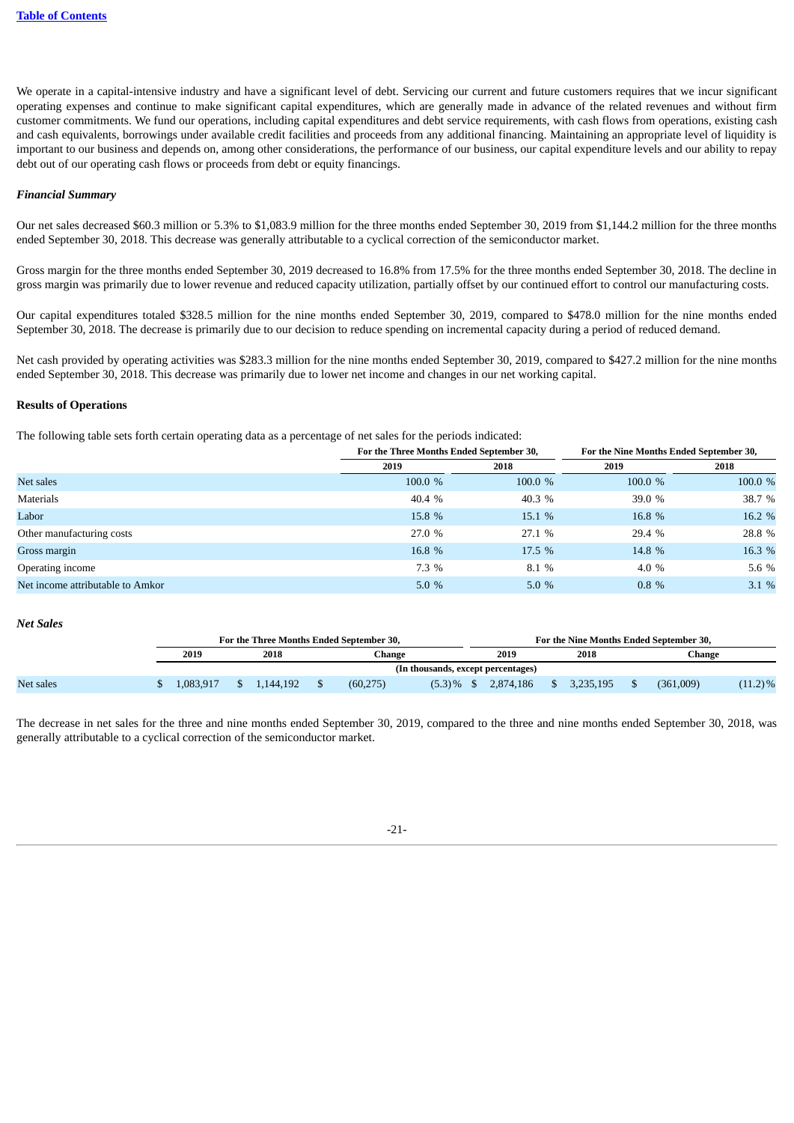We operate in a capital-intensive industry and have a significant level of debt. Servicing our current and future customers requires that we incur significant operating expenses and continue to make significant capital expenditures, which are generally made in advance of the related revenues and without firm customer commitments. We fund our operations, including capital expenditures and debt service requirements, with cash flows from operations, existing cash and cash equivalents, borrowings under available credit facilities and proceeds from any additional financing. Maintaining an appropriate level of liquidity is important to our business and depends on, among other considerations, the performance of our business, our capital expenditure levels and our ability to repay debt out of our operating cash flows or proceeds from debt or equity financings.

#### *Financial Summary*

Our net sales decreased \$60.3 million or 5.3% to \$1,083.9 million for the three months ended September 30, 2019 from \$1,144.2 million for the three months ended September 30, 2018. This decrease was generally attributable to a cyclical correction of the semiconductor market.

Gross margin for the three months ended September 30, 2019 decreased to 16.8% from 17.5% for the three months ended September 30, 2018. The decline in gross margin was primarily due to lower revenue and reduced capacity utilization, partially offset by our continued effort to control our manufacturing costs.

Our capital expenditures totaled \$328.5 million for the nine months ended September 30, 2019, compared to \$478.0 million for the nine months ended September 30, 2018. The decrease is primarily due to our decision to reduce spending on incremental capacity during a period of reduced demand.

Net cash provided by operating activities was \$283.3 million for the nine months ended September 30, 2019, compared to \$427.2 million for the nine months ended September 30, 2018. This decrease was primarily due to lower net income and changes in our net working capital.

#### **Results of Operations**

The following table sets forth certain operating data as a percentage of net sales for the periods indicated:

|                                  | For the Three Months Ended September 30, |         | For the Nine Months Ended September 30, |         |
|----------------------------------|------------------------------------------|---------|-----------------------------------------|---------|
|                                  | 2019                                     | 2018    | 2019                                    | 2018    |
| Net sales                        | 100.0 %                                  | 100.0 % | $100.0 \%$                              | 100.0 % |
| <b>Materials</b>                 | 40.4 %                                   | 40.3 %  | 39.0 %                                  | 38.7 %  |
| Labor                            | 15.8 %                                   | 15.1 %  | 16.8 %                                  | 16.2 %  |
| Other manufacturing costs        | 27.0 %                                   | 27.1 %  | 29.4 %                                  | 28.8 %  |
| Gross margin                     | 16.8 %                                   | 17.5 %  | 14.8 %                                  | 16.3 %  |
| Operating income                 | 7.3 %                                    | 8.1 %   | 4.0 $%$                                 | 5.6 %   |
| Net income attributable to Amkor | 5.0%                                     | 5.0%    | $0.8 \%$                                | 3.1%    |

#### *Net Sales*

|           |          |  | For the Three Months Ended September 30. |        | For the Nine Months Ended September 30. |                                    |      |           |  |           |  |           |            |
|-----------|----------|--|------------------------------------------|--------|-----------------------------------------|------------------------------------|------|-----------|--|-----------|--|-----------|------------|
|           | 2019     |  | 2018                                     | Change |                                         |                                    | 2019 |           |  | 2018      |  | Change    |            |
|           |          |  |                                          |        |                                         | (In thousands, except percentages) |      |           |  |           |  |           |            |
| Net sales | .083.917 |  | 1.144.192                                |        | (60, 275)                               | $(5.3) \%$                         |      | 2.874.186 |  | 3.235.195 |  | (361,009) | $(11.2)\%$ |

The decrease in net sales for the three and nine months ended September 30, 2019, compared to the three and nine months ended September 30, 2018, was generally attributable to a cyclical correction of the semiconductor market.

### -21-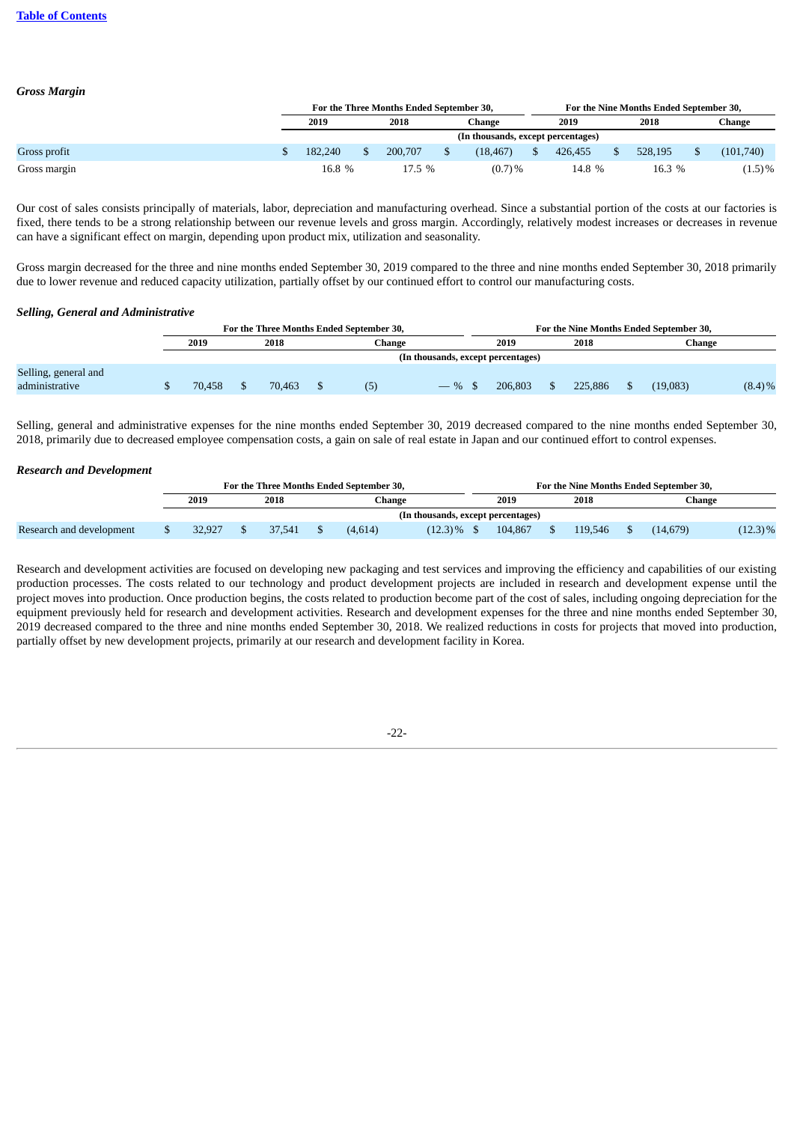### *Gross Margin*

|              |         | For the Three Months Ended September 30, |                                    |         | For the Nine Months Ended September 30, |           |
|--------------|---------|------------------------------------------|------------------------------------|---------|-----------------------------------------|-----------|
|              | 2019    | 2018                                     | Change                             | 2019    | 2018                                    | Change    |
|              |         |                                          | (In thousands, except percentages) |         |                                         |           |
| Gross profit | 182,240 | 200,707                                  | (18.467)                           | 426,455 | 528,195                                 | (101,740) |
| Gross margin | 16.8 %  | 17.5 %                                   | $(0.7)$ %                          | 14.8 %  | 16.3 %                                  | $(1.5)\%$ |

Our cost of sales consists principally of materials, labor, depreciation and manufacturing overhead. Since a substantial portion of the costs at our factories is fixed, there tends to be a strong relationship between our revenue levels and gross margin. Accordingly, relatively modest increases or decreases in revenue can have a significant effect on margin, depending upon product mix, utilization and seasonality.

Gross margin decreased for the three and nine months ended September 30, 2019 compared to the three and nine months ended September 30, 2018 primarily due to lower revenue and reduced capacity utilization, partially offset by our continued effort to control our manufacturing costs.

#### *Selling, General and Administrative*

|                      |                                        |  |        |  | For the Three Months Ended September 30, | For the Nine Months Ended September 30, |         |  |         |  |          |           |  |
|----------------------|----------------------------------------|--|--------|--|------------------------------------------|-----------------------------------------|---------|--|---------|--|----------|-----------|--|
|                      | 2019<br>2018<br>2019<br>2018<br>∵hange |  |        |  |                                          |                                         |         |  |         |  |          |           |  |
|                      |                                        |  |        |  |                                          | (In thousands, except percentages)      |         |  |         |  |          |           |  |
| Selling, general and |                                        |  |        |  |                                          |                                         |         |  |         |  |          |           |  |
| administrative       | 70,458                                 |  | 70.463 |  |                                          | $-$ %                                   | 206,803 |  | 225,886 |  | (19.083) | $(8.4)\%$ |  |

Selling, general and administrative expenses for the nine months ended September 30, 2019 decreased compared to the nine months ended September 30, 2018, primarily due to decreased employee compensation costs, a gain on sale of real estate in Japan and our continued effort to control expenses.

#### *Research and Development*

|                          |        |        |  | For the Three Months Ended September 30, |                                    | For the Nine Months Ended September 30, |  |         |  |          |            |  |
|--------------------------|--------|--------|--|------------------------------------------|------------------------------------|-----------------------------------------|--|---------|--|----------|------------|--|
|                          | 2019   | 2018   |  | Change                                   |                                    | 2018<br>2019                            |  |         |  | Change   |            |  |
|                          |        |        |  |                                          | (In thousands, except percentages) |                                         |  |         |  |          |            |  |
| Research and development | 32,927 | 37.541 |  | (4.614)                                  | $(12.3)\%$                         | 104.867                                 |  | 119.546 |  | (14.679) | $(12.3)\%$ |  |

Research and development activities are focused on developing new packaging and test services and improving the efficiency and capabilities of our existing production processes. The costs related to our technology and product development projects are included in research and development expense until the project moves into production. Once production begins, the costs related to production become part of the cost of sales, including ongoing depreciation for the equipment previously held for research and development activities. Research and development expenses for the three and nine months ended September 30, 2019 decreased compared to the three and nine months ended September 30, 2018. We realized reductions in costs for projects that moved into production, partially offset by new development projects, primarily at our research and development facility in Korea.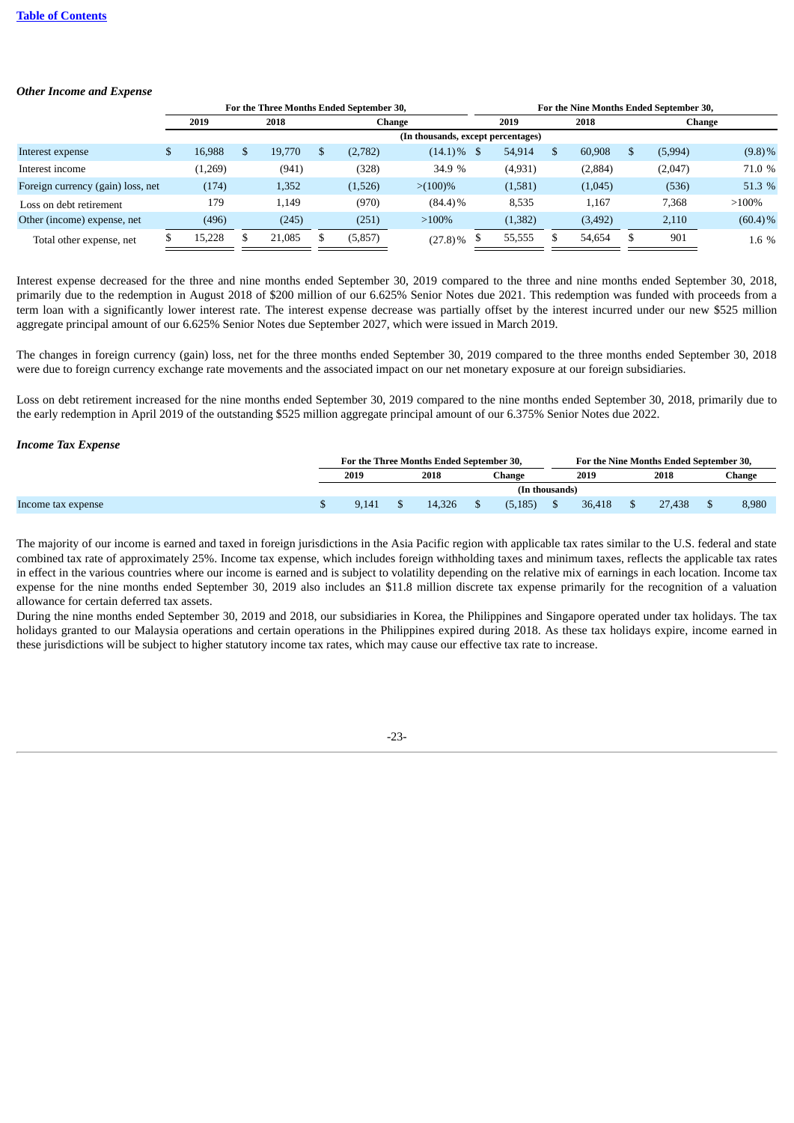### *Other Income and Expense*

|                                   | For the Three Months Ended September 30, |               |        |  |         |                                    |  | For the Nine Months Ended September 30, |              |         |    |         |            |  |  |
|-----------------------------------|------------------------------------------|---------------|--------|--|---------|------------------------------------|--|-----------------------------------------|--------------|---------|----|---------|------------|--|--|
|                                   | 2019<br>2018                             |               |        |  |         | Change                             |  |                                         | 2018<br>2019 |         |    | Change  |            |  |  |
|                                   |                                          |               |        |  |         | (In thousands, except percentages) |  |                                         |              |         |    |         |            |  |  |
| Interest expense                  | 16,988                                   | <sup>\$</sup> | 19,770 |  | (2,782) | $(14.1)\%$ \$                      |  | 54,914                                  | -S           | 60,908  | \$ | (5,994) | $(9.8)\%$  |  |  |
| Interest income                   | (1,269)                                  |               | (941)  |  | (328)   | 34.9 %                             |  | (4,931)                                 |              | (2,884) |    | (2,047) | 71.0 %     |  |  |
| Foreign currency (gain) loss, net | (174)                                    |               | 1,352  |  | (1,526) | $>(100)\%$                         |  | (1,581)                                 |              | (1,045) |    | (536)   | 51.3 %     |  |  |
| Loss on debt retirement           | 179                                      |               | 1,149  |  | (970)   | $(84.4)\%$                         |  | 8,535                                   |              | 1,167   |    | 7,368   | $>100\%$   |  |  |
| Other (income) expense, net       | (496)                                    |               | (245)  |  | (251)   | $>100\%$                           |  | (1,382)                                 |              | (3,492) |    | 2,110   | $(60.4)\%$ |  |  |
| Total other expense, net          | 15,228                                   |               | 21.085 |  | (5,857) | $(27.8)\%$                         |  | 55,555                                  |              | 54.654  |    | 901     | $1.6\%$    |  |  |

Interest expense decreased for the three and nine months ended September 30, 2019 compared to the three and nine months ended September 30, 2018, primarily due to the redemption in August 2018 of \$200 million of our 6.625% Senior Notes due 2021. This redemption was funded with proceeds from a term loan with a significantly lower interest rate. The interest expense decrease was partially offset by the interest incurred under our new \$525 million aggregate principal amount of our 6.625% Senior Notes due September 2027, which were issued in March 2019.

The changes in foreign currency (gain) loss, net for the three months ended September 30, 2019 compared to the three months ended September 30, 2018 were due to foreign currency exchange rate movements and the associated impact on our net monetary exposure at our foreign subsidiaries.

Loss on debt retirement increased for the nine months ended September 30, 2019 compared to the nine months ended September 30, 2018, primarily due to the early redemption in April 2019 of the outstanding \$525 million aggregate principal amount of our 6.375% Senior Notes due 2022.

#### *Income Tax Expense*

|                    | For the Three Months Ended September 30. |  |        |  |                |  | For the Nine Months Ended September 30. |        |  |        |
|--------------------|------------------------------------------|--|--------|--|----------------|--|-----------------------------------------|--------|--|--------|
|                    | 2019                                     |  | 2018   |  | <b>Change</b>  |  | 2019                                    | 2018   |  | Change |
|                    |                                          |  |        |  | (In thousands) |  |                                         |        |  |        |
| Income tax expense | 9.141                                    |  | 14.326 |  | (5.185)        |  | 36,418                                  | 27,438 |  | 8,980  |

The majority of our income is earned and taxed in foreign jurisdictions in the Asia Pacific region with applicable tax rates similar to the U.S. federal and state combined tax rate of approximately 25%. Income tax expense, which includes foreign withholding taxes and minimum taxes, reflects the applicable tax rates in effect in the various countries where our income is earned and is subject to volatility depending on the relative mix of earnings in each location. Income tax expense for the nine months ended September 30, 2019 also includes an \$11.8 million discrete tax expense primarily for the recognition of a valuation allowance for certain deferred tax assets.

During the nine months ended September 30, 2019 and 2018, our subsidiaries in Korea, the Philippines and Singapore operated under tax holidays. The tax holidays granted to our Malaysia operations and certain operations in the Philippines expired during 2018. As these tax holidays expire, income earned in these jurisdictions will be subject to higher statutory income tax rates, which may cause our effective tax rate to increase.

#### -23-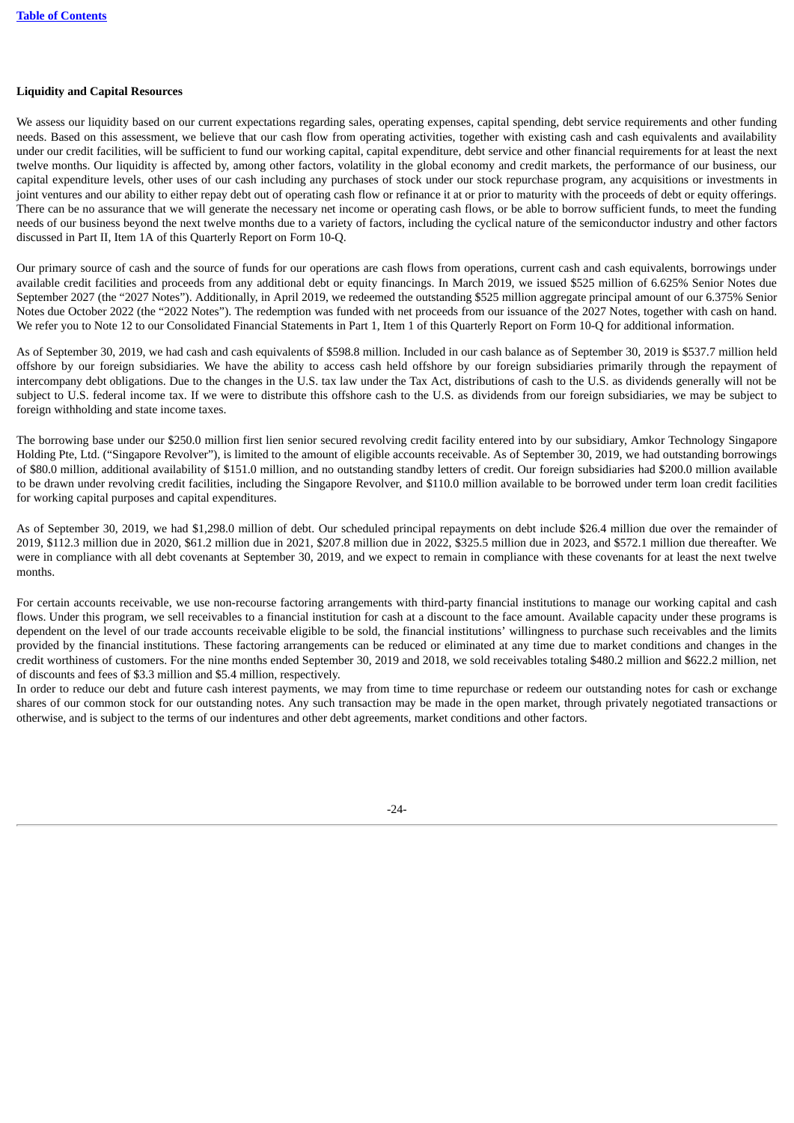# **Liquidity and Capital Resources**

We assess our liquidity based on our current expectations regarding sales, operating expenses, capital spending, debt service requirements and other funding needs. Based on this assessment, we believe that our cash flow from operating activities, together with existing cash and cash equivalents and availability under our credit facilities, will be sufficient to fund our working capital, capital expenditure, debt service and other financial requirements for at least the next twelve months. Our liquidity is affected by, among other factors, volatility in the global economy and credit markets, the performance of our business, our capital expenditure levels, other uses of our cash including any purchases of stock under our stock repurchase program, any acquisitions or investments in joint ventures and our ability to either repay debt out of operating cash flow or refinance it at or prior to maturity with the proceeds of debt or equity offerings. There can be no assurance that we will generate the necessary net income or operating cash flows, or be able to borrow sufficient funds, to meet the funding needs of our business beyond the next twelve months due to a variety of factors, including the cyclical nature of the semiconductor industry and other factors discussed in Part II, Item 1A of this Quarterly Report on Form 10-Q.

Our primary source of cash and the source of funds for our operations are cash flows from operations, current cash and cash equivalents, borrowings under available credit facilities and proceeds from any additional debt or equity financings. In March 2019, we issued \$525 million of 6.625% Senior Notes due September 2027 (the "2027 Notes"). Additionally, in April 2019, we redeemed the outstanding \$525 million aggregate principal amount of our 6.375% Senior Notes due October 2022 (the "2022 Notes"). The redemption was funded with net proceeds from our issuance of the 2027 Notes, together with cash on hand. We refer you to Note 12 to our Consolidated Financial Statements in Part 1, Item 1 of this Quarterly Report on Form 10-Q for additional information.

As of September 30, 2019, we had cash and cash equivalents of \$598.8 million. Included in our cash balance as of September 30, 2019 is \$537.7 million held offshore by our foreign subsidiaries. We have the ability to access cash held offshore by our foreign subsidiaries primarily through the repayment of intercompany debt obligations. Due to the changes in the U.S. tax law under the Tax Act, distributions of cash to the U.S. as dividends generally will not be subject to U.S. federal income tax. If we were to distribute this offshore cash to the U.S. as dividends from our foreign subsidiaries, we may be subject to foreign withholding and state income taxes.

The borrowing base under our \$250.0 million first lien senior secured revolving credit facility entered into by our subsidiary, Amkor Technology Singapore Holding Pte, Ltd. ("Singapore Revolver"), is limited to the amount of eligible accounts receivable. As of September 30, 2019, we had outstanding borrowings of \$80.0 million, additional availability of \$151.0 million, and no outstanding standby letters of credit. Our foreign subsidiaries had \$200.0 million available to be drawn under revolving credit facilities, including the Singapore Revolver, and \$110.0 million available to be borrowed under term loan credit facilities for working capital purposes and capital expenditures.

As of September 30, 2019, we had \$1,298.0 million of debt. Our scheduled principal repayments on debt include \$26.4 million due over the remainder of 2019, \$112.3 million due in 2020, \$61.2 million due in 2021, \$207.8 million due in 2022, \$325.5 million due in 2023, and \$572.1 million due thereafter. We were in compliance with all debt covenants at September 30, 2019, and we expect to remain in compliance with these covenants for at least the next twelve months.

For certain accounts receivable, we use non-recourse factoring arrangements with third-party financial institutions to manage our working capital and cash flows. Under this program, we sell receivables to a financial institution for cash at a discount to the face amount. Available capacity under these programs is dependent on the level of our trade accounts receivable eligible to be sold, the financial institutions' willingness to purchase such receivables and the limits provided by the financial institutions. These factoring arrangements can be reduced or eliminated at any time due to market conditions and changes in the credit worthiness of customers. For the nine months ended September 30, 2019 and 2018, we sold receivables totaling \$480.2 million and \$622.2 million, net of discounts and fees of \$3.3 million and \$5.4 million, respectively.

In order to reduce our debt and future cash interest payments, we may from time to time repurchase or redeem our outstanding notes for cash or exchange shares of our common stock for our outstanding notes. Any such transaction may be made in the open market, through privately negotiated transactions or otherwise, and is subject to the terms of our indentures and other debt agreements, market conditions and other factors.

-24-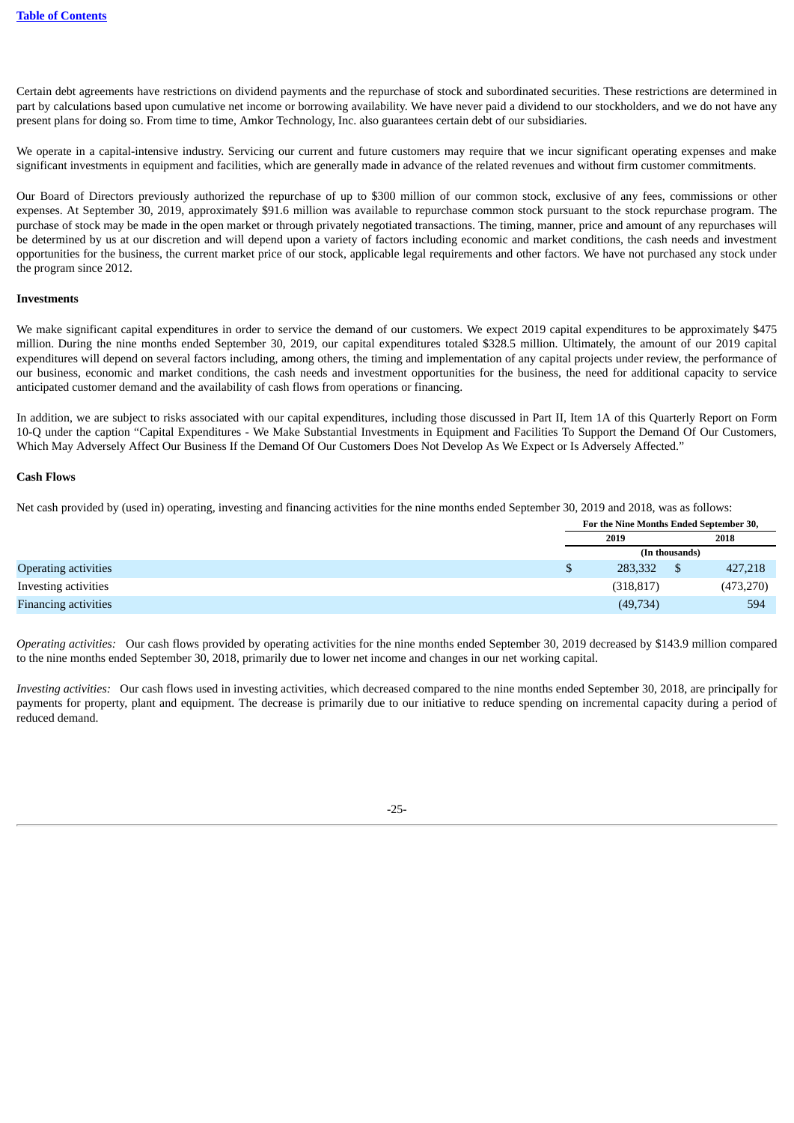Certain debt agreements have restrictions on dividend payments and the repurchase of stock and subordinated securities. These restrictions are determined in part by calculations based upon cumulative net income or borrowing availability. We have never paid a dividend to our stockholders, and we do not have any present plans for doing so. From time to time, Amkor Technology, Inc. also guarantees certain debt of our subsidiaries.

We operate in a capital-intensive industry. Servicing our current and future customers may require that we incur significant operating expenses and make significant investments in equipment and facilities, which are generally made in advance of the related revenues and without firm customer commitments.

Our Board of Directors previously authorized the repurchase of up to \$300 million of our common stock, exclusive of any fees, commissions or other expenses. At September 30, 2019, approximately \$91.6 million was available to repurchase common stock pursuant to the stock repurchase program. The purchase of stock may be made in the open market or through privately negotiated transactions. The timing, manner, price and amount of any repurchases will be determined by us at our discretion and will depend upon a variety of factors including economic and market conditions, the cash needs and investment opportunities for the business, the current market price of our stock, applicable legal requirements and other factors. We have not purchased any stock under the program since 2012.

#### **Investments**

We make significant capital expenditures in order to service the demand of our customers. We expect 2019 capital expenditures to be approximately \$475 million. During the nine months ended September 30, 2019, our capital expenditures totaled \$328.5 million. Ultimately, the amount of our 2019 capital expenditures will depend on several factors including, among others, the timing and implementation of any capital projects under review, the performance of our business, economic and market conditions, the cash needs and investment opportunities for the business, the need for additional capacity to service anticipated customer demand and the availability of cash flows from operations or financing.

In addition, we are subject to risks associated with our capital expenditures, including those discussed in Part II, Item 1A of this Quarterly Report on Form 10-Q under the caption "Capital Expenditures - We Make Substantial Investments in Equipment and Facilities To Support the Demand Of Our Customers, Which May Adversely Affect Our Business If the Demand Of Our Customers Does Not Develop As We Expect or Is Adversely Affected."

#### **Cash Flows**

Net cash provided by (used in) operating, investing and financing activities for the nine months ended September 30, 2019 and 2018, was as follows:

|                             | For the Nine Months Ended September 30, |                |            |  |  |
|-----------------------------|-----------------------------------------|----------------|------------|--|--|
|                             | 2018<br>2019                            |                |            |  |  |
|                             |                                         | (In thousands) |            |  |  |
| <b>Operating activities</b> | 283,332                                 |                | 427,218    |  |  |
| Investing activities        | (318, 817)                              |                | (473, 270) |  |  |
| <b>Financing activities</b> | (49, 734)                               |                | 594        |  |  |

*Operating activities:* Our cash flows provided by operating activities for the nine months ended September 30, 2019 decreased by \$143.9 million compared to the nine months ended September 30, 2018, primarily due to lower net income and changes in our net working capital.

*Investing activities:* Our cash flows used in investing activities, which decreased compared to the nine months ended September 30, 2018, are principally for payments for property, plant and equipment. The decrease is primarily due to our initiative to reduce spending on incremental capacity during a period of reduced demand.

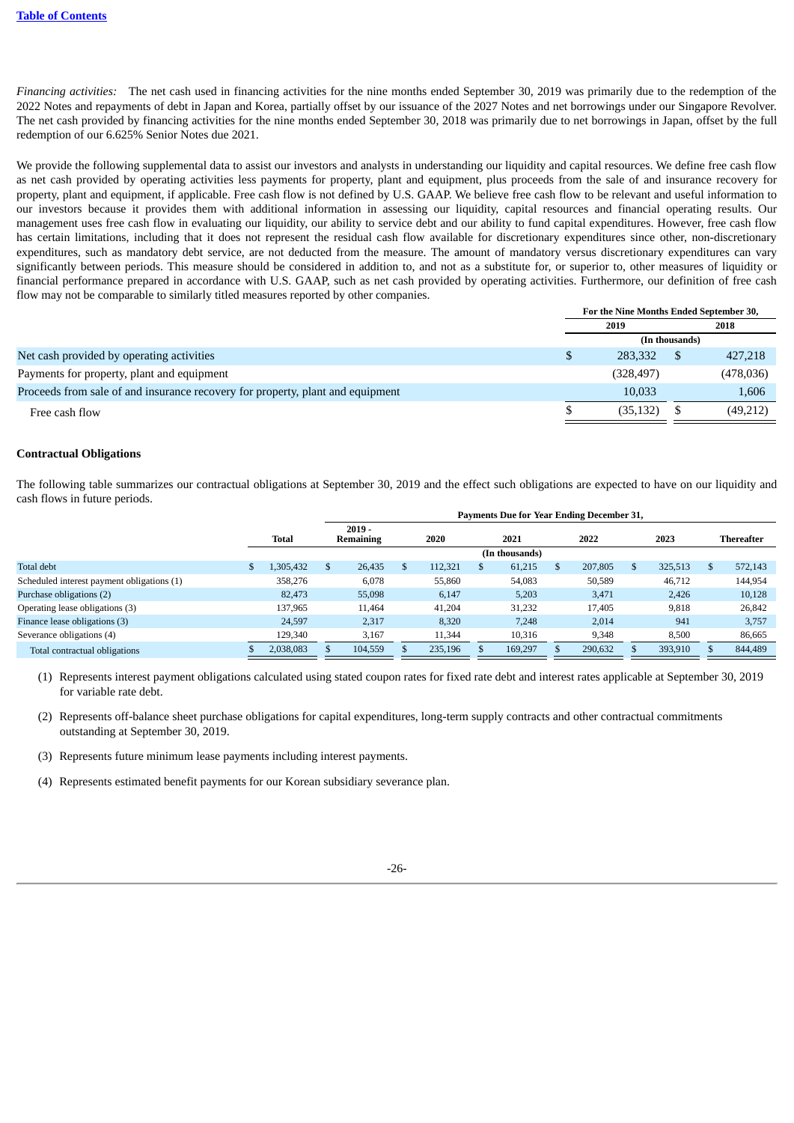*Financing activities:* The net cash used in financing activities for the nine months ended September 30, 2019 was primarily due to the redemption of the 2022 Notes and repayments of debt in Japan and Korea, partially offset by our issuance of the 2027 Notes and net borrowings under our Singapore Revolver. The net cash provided by financing activities for the nine months ended September 30, 2018 was primarily due to net borrowings in Japan, offset by the full redemption of our 6.625% Senior Notes due 2021.

We provide the following supplemental data to assist our investors and analysts in understanding our liquidity and capital resources. We define free cash flow as net cash provided by operating activities less payments for property, plant and equipment, plus proceeds from the sale of and insurance recovery for property, plant and equipment, if applicable. Free cash flow is not defined by U.S. GAAP. We believe free cash flow to be relevant and useful information to our investors because it provides them with additional information in assessing our liquidity, capital resources and financial operating results. Our management uses free cash flow in evaluating our liquidity, our ability to service debt and our ability to fund capital expenditures. However, free cash flow has certain limitations, including that it does not represent the residual cash flow available for discretionary expenditures since other, non-discretionary expenditures, such as mandatory debt service, are not deducted from the measure. The amount of mandatory versus discretionary expenditures can vary significantly between periods. This measure should be considered in addition to, and not as a substitute for, or superior to, other measures of liquidity or financial performance prepared in accordance with U.S. GAAP, such as net cash provided by operating activities. Furthermore, our definition of free cash flow may not be comparable to similarly titled measures reported by other companies.

|                                                                                | For the Nine Months Ended September 30, |  |            |  |  |  |  |
|--------------------------------------------------------------------------------|-----------------------------------------|--|------------|--|--|--|--|
|                                                                                | 2019                                    |  | 2018       |  |  |  |  |
|                                                                                | (In thousands)                          |  |            |  |  |  |  |
| Net cash provided by operating activities                                      | \$<br>283,332                           |  | 427,218    |  |  |  |  |
| Payments for property, plant and equipment                                     | (328, 497)                              |  | (478, 036) |  |  |  |  |
| Proceeds from sale of and insurance recovery for property, plant and equipment | 10,033                                  |  | 1,606      |  |  |  |  |
| Free cash flow                                                                 | (35, 132)                               |  | (49,212)   |  |  |  |  |

### **Contractual Obligations**

The following table summarizes our contractual obligations at September 30, 2019 and the effect such obligations are expected to have on our liquidity and cash flows in future periods.

|                                            |           | <b>Payments Due for Year Ending December 31,</b> |                              |  |         |  |                |  |         |    |         |   |            |
|--------------------------------------------|-----------|--------------------------------------------------|------------------------------|--|---------|--|----------------|--|---------|----|---------|---|------------|
|                                            | Total     |                                                  | $2019 -$<br><b>Remaining</b> |  | 2020    |  | 2021           |  | 2022    |    | 2023    |   | Thereafter |
|                                            |           |                                                  |                              |  |         |  | (In thousands) |  |         |    |         |   |            |
| Total debt                                 | 1,305,432 |                                                  | 26,435                       |  | 112,321 |  | 61,215         |  | 207,805 | S. | 325,513 | S | 572,143    |
| Scheduled interest payment obligations (1) | 358,276   |                                                  | 6,078                        |  | 55,860  |  | 54,083         |  | 50,589  |    | 46,712  |   | 144,954    |
| Purchase obligations (2)                   | 82,473    |                                                  | 55,098                       |  | 6,147   |  | 5,203          |  | 3,471   |    | 2,426   |   | 10,128     |
| Operating lease obligations (3)            | 137,965   |                                                  | 11,464                       |  | 41.204  |  | 31.232         |  | 17,405  |    | 9,818   |   | 26,842     |
| Finance lease obligations (3)              | 24,597    |                                                  | 2,317                        |  | 8,320   |  | 7,248          |  | 2,014   |    | 941     |   | 3,757      |
| Severance obligations (4)                  | 129,340   |                                                  | 3,167                        |  | 11,344  |  | 10,316         |  | 9,348   |    | 8,500   |   | 86,665     |
| Total contractual obligations              | 2,038,083 |                                                  | 104,559                      |  | 235,196 |  | 169,297        |  | 290,632 |    | 393,910 |   | 844,489    |

(1) Represents interest payment obligations calculated using stated coupon rates for fixed rate debt and interest rates applicable at September 30, 2019 for variable rate debt.

(2) Represents off-balance sheet purchase obligations for capital expenditures, long-term supply contracts and other contractual commitments outstanding at September 30, 2019.

(3) Represents future minimum lease payments including interest payments.

(4) Represents estimated benefit payments for our Korean subsidiary severance plan.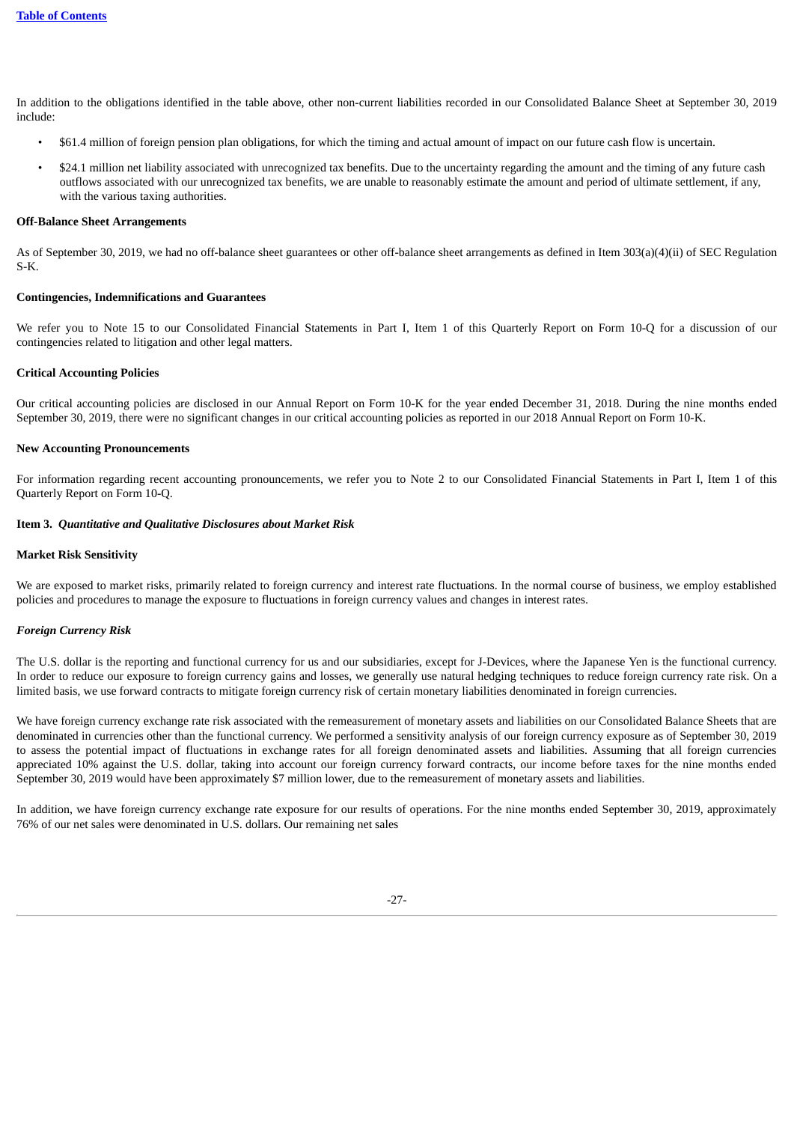In addition to the obligations identified in the table above, other non-current liabilities recorded in our Consolidated Balance Sheet at September 30, 2019 include:

- \$61.4 million of foreign pension plan obligations, for which the timing and actual amount of impact on our future cash flow is uncertain.
- \$24.1 million net liability associated with unrecognized tax benefits. Due to the uncertainty regarding the amount and the timing of any future cash outflows associated with our unrecognized tax benefits, we are unable to reasonably estimate the amount and period of ultimate settlement, if any, with the various taxing authorities.

#### **Off-Balance Sheet Arrangements**

As of September 30, 2019, we had no off-balance sheet guarantees or other off-balance sheet arrangements as defined in Item 303(a)(4)(ii) of SEC Regulation S-K.

#### **Contingencies, Indemnifications and Guarantees**

We refer you to Note 15 to our Consolidated Financial Statements in Part I, Item 1 of this Quarterly Report on Form 10-Q for a discussion of our contingencies related to litigation and other legal matters.

#### **Critical Accounting Policies**

Our critical accounting policies are disclosed in our Annual Report on Form 10-K for the year ended December 31, 2018. During the nine months ended September 30, 2019, there were no significant changes in our critical accounting policies as reported in our 2018 Annual Report on Form 10-K.

#### **New Accounting Pronouncements**

For information regarding recent accounting pronouncements, we refer you to Note 2 to our Consolidated Financial Statements in Part I, Item 1 of this Quarterly Report on Form 10-Q.

#### <span id="page-27-0"></span>**Item 3.** *Quantitative and Qualitative Disclosures about Market Risk*

#### **Market Risk Sensitivity**

We are exposed to market risks, primarily related to foreign currency and interest rate fluctuations. In the normal course of business, we employ established policies and procedures to manage the exposure to fluctuations in foreign currency values and changes in interest rates.

#### *Foreign Currency Risk*

The U.S. dollar is the reporting and functional currency for us and our subsidiaries, except for J-Devices, where the Japanese Yen is the functional currency. In order to reduce our exposure to foreign currency gains and losses, we generally use natural hedging techniques to reduce foreign currency rate risk. On a limited basis, we use forward contracts to mitigate foreign currency risk of certain monetary liabilities denominated in foreign currencies.

We have foreign currency exchange rate risk associated with the remeasurement of monetary assets and liabilities on our Consolidated Balance Sheets that are denominated in currencies other than the functional currency. We performed a sensitivity analysis of our foreign currency exposure as of September 30, 2019 to assess the potential impact of fluctuations in exchange rates for all foreign denominated assets and liabilities. Assuming that all foreign currencies appreciated 10% against the U.S. dollar, taking into account our foreign currency forward contracts, our income before taxes for the nine months ended September 30, 2019 would have been approximately \$7 million lower, due to the remeasurement of monetary assets and liabilities.

In addition, we have foreign currency exchange rate exposure for our results of operations. For the nine months ended September 30, 2019, approximately 76% of our net sales were denominated in U.S. dollars. Our remaining net sales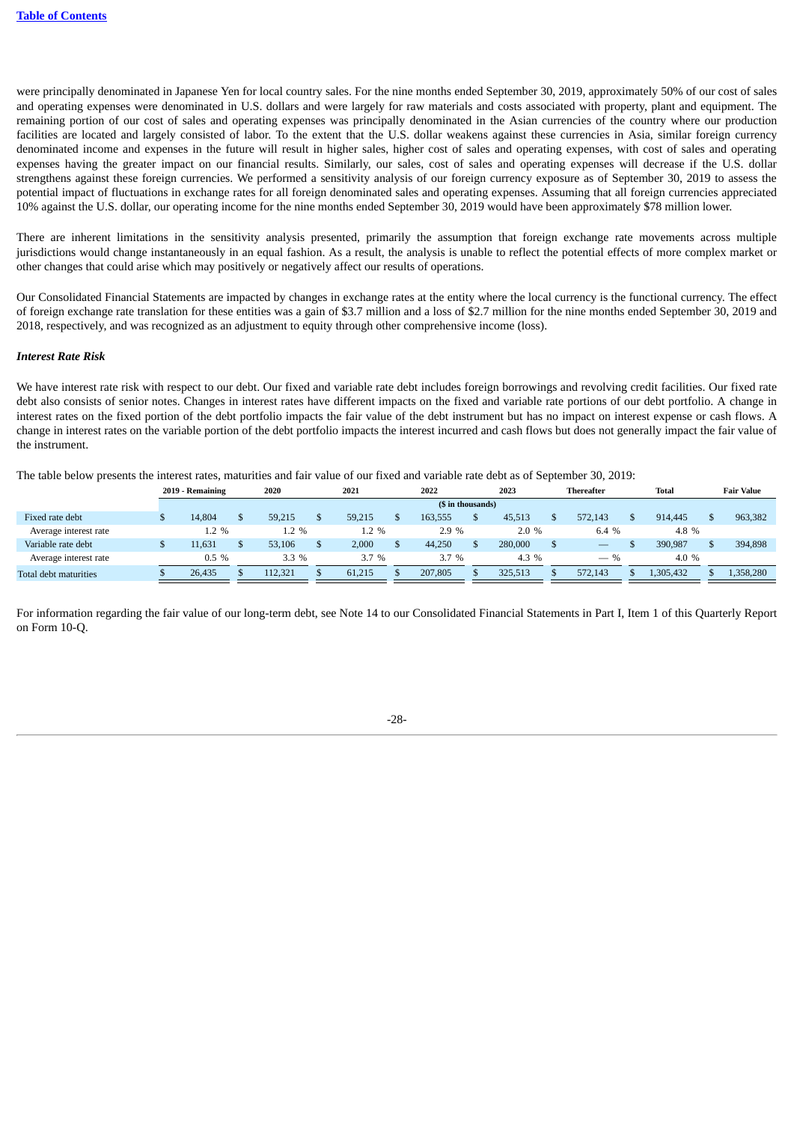were principally denominated in Japanese Yen for local country sales. For the nine months ended September 30, 2019, approximately 50% of our cost of sales and operating expenses were denominated in U.S. dollars and were largely for raw materials and costs associated with property, plant and equipment. The remaining portion of our cost of sales and operating expenses was principally denominated in the Asian currencies of the country where our production facilities are located and largely consisted of labor. To the extent that the U.S. dollar weakens against these currencies in Asia, similar foreign currency denominated income and expenses in the future will result in higher sales, higher cost of sales and operating expenses, with cost of sales and operating expenses having the greater impact on our financial results. Similarly, our sales, cost of sales and operating expenses will decrease if the U.S. dollar strengthens against these foreign currencies. We performed a sensitivity analysis of our foreign currency exposure as of September 30, 2019 to assess the potential impact of fluctuations in exchange rates for all foreign denominated sales and operating expenses. Assuming that all foreign currencies appreciated 10% against the U.S. dollar, our operating income for the nine months ended September 30, 2019 would have been approximately \$78 million lower.

There are inherent limitations in the sensitivity analysis presented, primarily the assumption that foreign exchange rate movements across multiple jurisdictions would change instantaneously in an equal fashion. As a result, the analysis is unable to reflect the potential effects of more complex market or other changes that could arise which may positively or negatively affect our results of operations.

Our Consolidated Financial Statements are impacted by changes in exchange rates at the entity where the local currency is the functional currency. The effect of foreign exchange rate translation for these entities was a gain of \$3.7 million and a loss of \$2.7 million for the nine months ended September 30, 2019 and 2018, respectively, and was recognized as an adjustment to equity through other comprehensive income (loss).

#### *Interest Rate Risk*

We have interest rate risk with respect to our debt. Our fixed and variable rate debt includes foreign borrowings and revolving credit facilities. Our fixed rate debt also consists of senior notes. Changes in interest rates have different impacts on the fixed and variable rate portions of our debt portfolio. A change in interest rates on the fixed portion of the debt portfolio impacts the fair value of the debt instrument but has no impact on interest expense or cash flows. A change in interest rates on the variable portion of the debt portfolio impacts the interest incurred and cash flows but does not generally impact the fair value of the instrument.

The table below presents the interest rates, maturities and fair value of our fixed and variable rate debt as of September 30, 2019:

|                       | 2019 - Remaining |          | 2021<br>2020 |         |  | 2022   |  | 2023    | <b>Thereafter</b> |                   |  | Total         |  | <b>Fair Value</b> |  |          |
|-----------------------|------------------|----------|--------------|---------|--|--------|--|---------|-------------------|-------------------|--|---------------|--|-------------------|--|----------|
|                       |                  |          |              |         |  |        |  |         |                   | (\$ in thousands) |  |               |  |                   |  |          |
| Fixed rate debt       |                  | 14,804   |              | 59.215  |  | 59.215 |  | 163.555 |                   | 45.513            |  | 572.143       |  | 914,445           |  | 963,382  |
| Average interest rate |                  | $1.2 \%$ |              | 1.2 %   |  | 1.2 %  |  | 2.9%    |                   | 2.0%              |  | 6.4 %         |  | 4.8 %             |  |          |
| Variable rate debt    |                  | 11.631   |              | 53.106  |  | 2.000  |  | 44.250  |                   | 280,000           |  | __            |  | 390,987           |  | 394,898  |
| Average interest rate |                  | 0.5%     |              | $3.3\%$ |  | 3.7%   |  | 3.7%    |                   | 4.3 %             |  | $\frac{0}{0}$ |  | 4.0 %             |  |          |
| Total debt maturities |                  | 26,435   |              | 112.321 |  | 61,215 |  | 207.805 |                   | 325.513           |  | 572.143       |  | .305,432          |  | ,358,280 |

<span id="page-28-0"></span>For information regarding the fair value of our long-term debt, see Note 14 to our Consolidated Financial Statements in Part I, Item 1 of this Quarterly Report on Form 10-Q.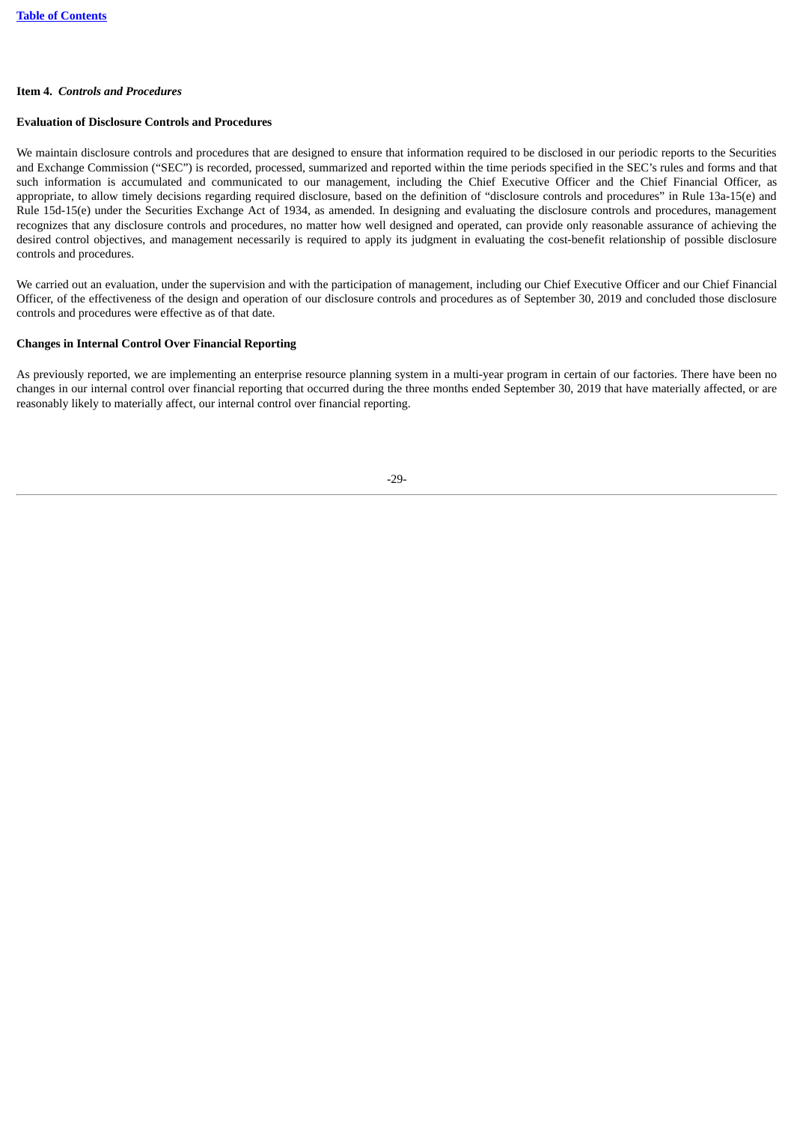#### **Item 4.** *Controls and Procedures*

#### **Evaluation of Disclosure Controls and Procedures**

We maintain disclosure controls and procedures that are designed to ensure that information required to be disclosed in our periodic reports to the Securities and Exchange Commission ("SEC") is recorded, processed, summarized and reported within the time periods specified in the SEC's rules and forms and that such information is accumulated and communicated to our management, including the Chief Executive Officer and the Chief Financial Officer, as appropriate, to allow timely decisions regarding required disclosure, based on the definition of "disclosure controls and procedures" in Rule 13a-15(e) and Rule 15d-15(e) under the Securities Exchange Act of 1934, as amended. In designing and evaluating the disclosure controls and procedures, management recognizes that any disclosure controls and procedures, no matter how well designed and operated, can provide only reasonable assurance of achieving the desired control objectives, and management necessarily is required to apply its judgment in evaluating the cost-benefit relationship of possible disclosure controls and procedures.

We carried out an evaluation, under the supervision and with the participation of management, including our Chief Executive Officer and our Chief Financial Officer, of the effectiveness of the design and operation of our disclosure controls and procedures as of September 30, 2019 and concluded those disclosure controls and procedures were effective as of that date.

### **Changes in Internal Control Over Financial Reporting**

<span id="page-29-0"></span>As previously reported, we are implementing an enterprise resource planning system in a multi-year program in certain of our factories. There have been no changes in our internal control over financial reporting that occurred during the three months ended September 30, 2019 that have materially affected, or are reasonably likely to materially affect, our internal control over financial reporting.

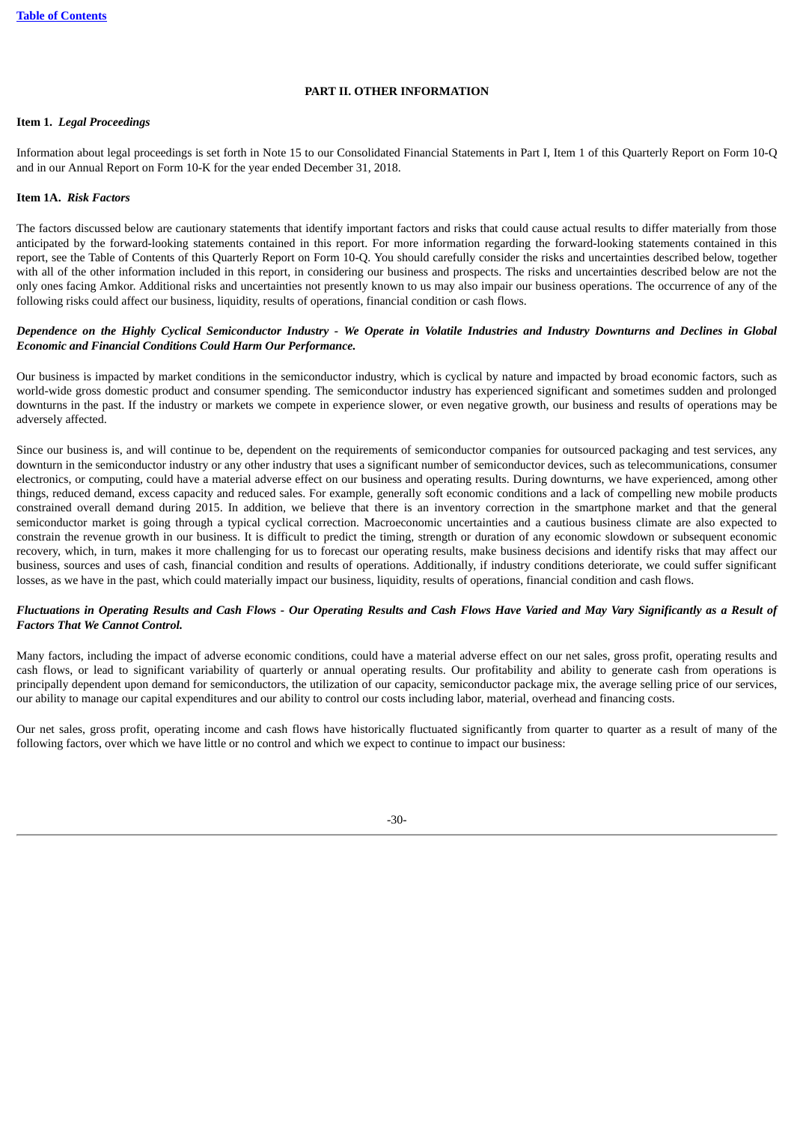### **PART II. OTHER INFORMATION**

### <span id="page-30-0"></span>**Item 1.** *Legal Proceedings*

Information about legal proceedings is set forth in Note 15 to our Consolidated Financial Statements in Part I, Item 1 of this Quarterly Report on Form 10-Q and in our Annual Report on Form 10-K for the year ended December 31, 2018.

#### <span id="page-30-1"></span>**Item 1A.** *Risk Factors*

The factors discussed below are cautionary statements that identify important factors and risks that could cause actual results to differ materially from those anticipated by the forward-looking statements contained in this report. For more information regarding the forward-looking statements contained in this report, see the Table of Contents of this Quarterly Report on Form 10-Q. You should carefully consider the risks and uncertainties described below, together with all of the other information included in this report, in considering our business and prospects. The risks and uncertainties described below are not the only ones facing Amkor. Additional risks and uncertainties not presently known to us may also impair our business operations. The occurrence of any of the following risks could affect our business, liquidity, results of operations, financial condition or cash flows.

### Dependence on the Highly Cyclical Semiconductor Industry - We Operate in Volatile Industries and Industry Downturns and Declines in Global *Economic and Financial Conditions Could Harm Our Performance.*

Our business is impacted by market conditions in the semiconductor industry, which is cyclical by nature and impacted by broad economic factors, such as world-wide gross domestic product and consumer spending. The semiconductor industry has experienced significant and sometimes sudden and prolonged downturns in the past. If the industry or markets we compete in experience slower, or even negative growth, our business and results of operations may be adversely affected.

Since our business is, and will continue to be, dependent on the requirements of semiconductor companies for outsourced packaging and test services, any downturn in the semiconductor industry or any other industry that uses a significant number of semiconductor devices, such as telecommunications, consumer electronics, or computing, could have a material adverse effect on our business and operating results. During downturns, we have experienced, among other things, reduced demand, excess capacity and reduced sales. For example, generally soft economic conditions and a lack of compelling new mobile products constrained overall demand during 2015. In addition, we believe that there is an inventory correction in the smartphone market and that the general semiconductor market is going through a typical cyclical correction. Macroeconomic uncertainties and a cautious business climate are also expected to constrain the revenue growth in our business. It is difficult to predict the timing, strength or duration of any economic slowdown or subsequent economic recovery, which, in turn, makes it more challenging for us to forecast our operating results, make business decisions and identify risks that may affect our business, sources and uses of cash, financial condition and results of operations. Additionally, if industry conditions deteriorate, we could suffer significant losses, as we have in the past, which could materially impact our business, liquidity, results of operations, financial condition and cash flows.

### Fluctuations in Operating Results and Cash Flows - Our Operating Results and Cash Flows Have Varied and May Vary Significantly as a Result of *Factors That We Cannot Control.*

Many factors, including the impact of adverse economic conditions, could have a material adverse effect on our net sales, gross profit, operating results and cash flows, or lead to significant variability of quarterly or annual operating results. Our profitability and ability to generate cash from operations is principally dependent upon demand for semiconductors, the utilization of our capacity, semiconductor package mix, the average selling price of our services, our ability to manage our capital expenditures and our ability to control our costs including labor, material, overhead and financing costs.

Our net sales, gross profit, operating income and cash flows have historically fluctuated significantly from quarter to quarter as a result of many of the following factors, over which we have little or no control and which we expect to continue to impact our business:

-30-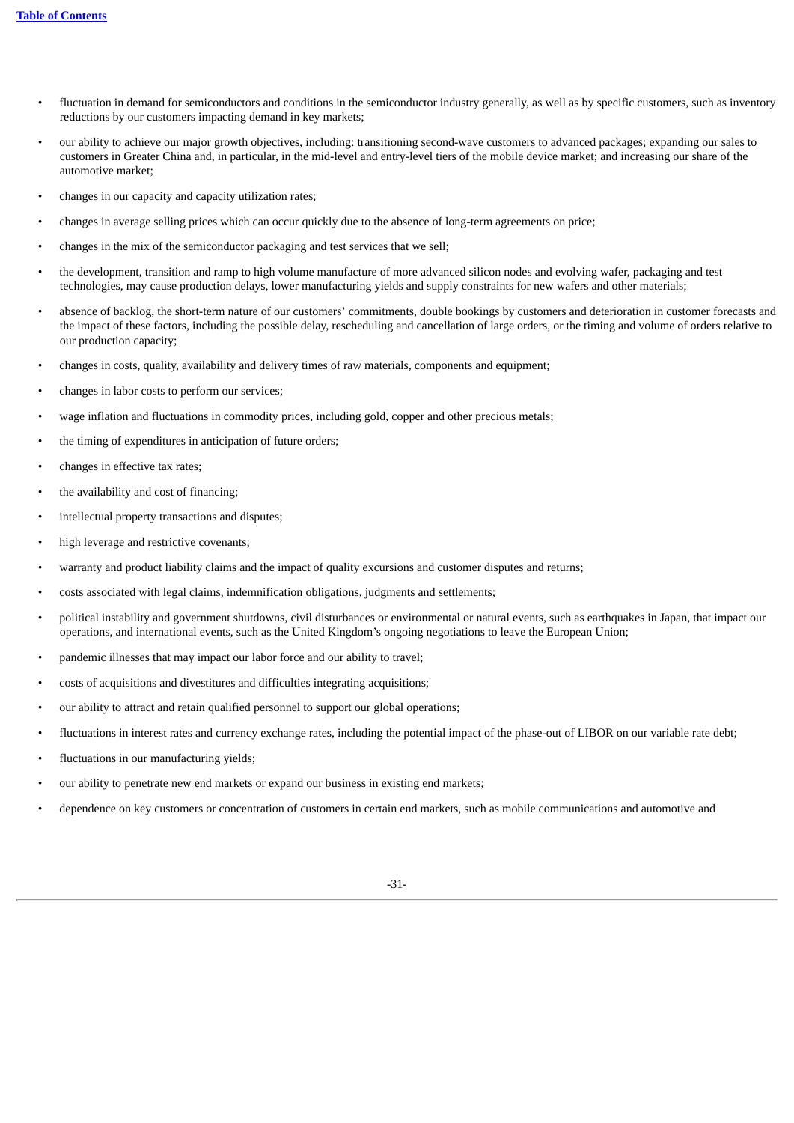- fluctuation in demand for semiconductors and conditions in the semiconductor industry generally, as well as by specific customers, such as inventory reductions by our customers impacting demand in key markets;
- our ability to achieve our major growth objectives, including: transitioning second-wave customers to advanced packages; expanding our sales to customers in Greater China and, in particular, in the mid-level and entry-level tiers of the mobile device market; and increasing our share of the automotive market;
- changes in our capacity and capacity utilization rates;
- changes in average selling prices which can occur quickly due to the absence of long-term agreements on price;
- changes in the mix of the semiconductor packaging and test services that we sell;
- the development, transition and ramp to high volume manufacture of more advanced silicon nodes and evolving wafer, packaging and test technologies, may cause production delays, lower manufacturing yields and supply constraints for new wafers and other materials;
- absence of backlog, the short-term nature of our customers' commitments, double bookings by customers and deterioration in customer forecasts and the impact of these factors, including the possible delay, rescheduling and cancellation of large orders, or the timing and volume of orders relative to our production capacity;
- changes in costs, quality, availability and delivery times of raw materials, components and equipment;
- changes in labor costs to perform our services;
- wage inflation and fluctuations in commodity prices, including gold, copper and other precious metals;
- the timing of expenditures in anticipation of future orders;
- changes in effective tax rates;
- the availability and cost of financing;
- intellectual property transactions and disputes;
- high leverage and restrictive covenants;
- warranty and product liability claims and the impact of quality excursions and customer disputes and returns;
- costs associated with legal claims, indemnification obligations, judgments and settlements;
- political instability and government shutdowns, civil disturbances or environmental or natural events, such as earthquakes in Japan, that impact our operations, and international events, such as the United Kingdom's ongoing negotiations to leave the European Union;
- pandemic illnesses that may impact our labor force and our ability to travel;
- costs of acquisitions and divestitures and difficulties integrating acquisitions;
- our ability to attract and retain qualified personnel to support our global operations;
- fluctuations in interest rates and currency exchange rates, including the potential impact of the phase-out of LIBOR on our variable rate debt;
- fluctuations in our manufacturing yields;
- our ability to penetrate new end markets or expand our business in existing end markets;
- dependence on key customers or concentration of customers in certain end markets, such as mobile communications and automotive and

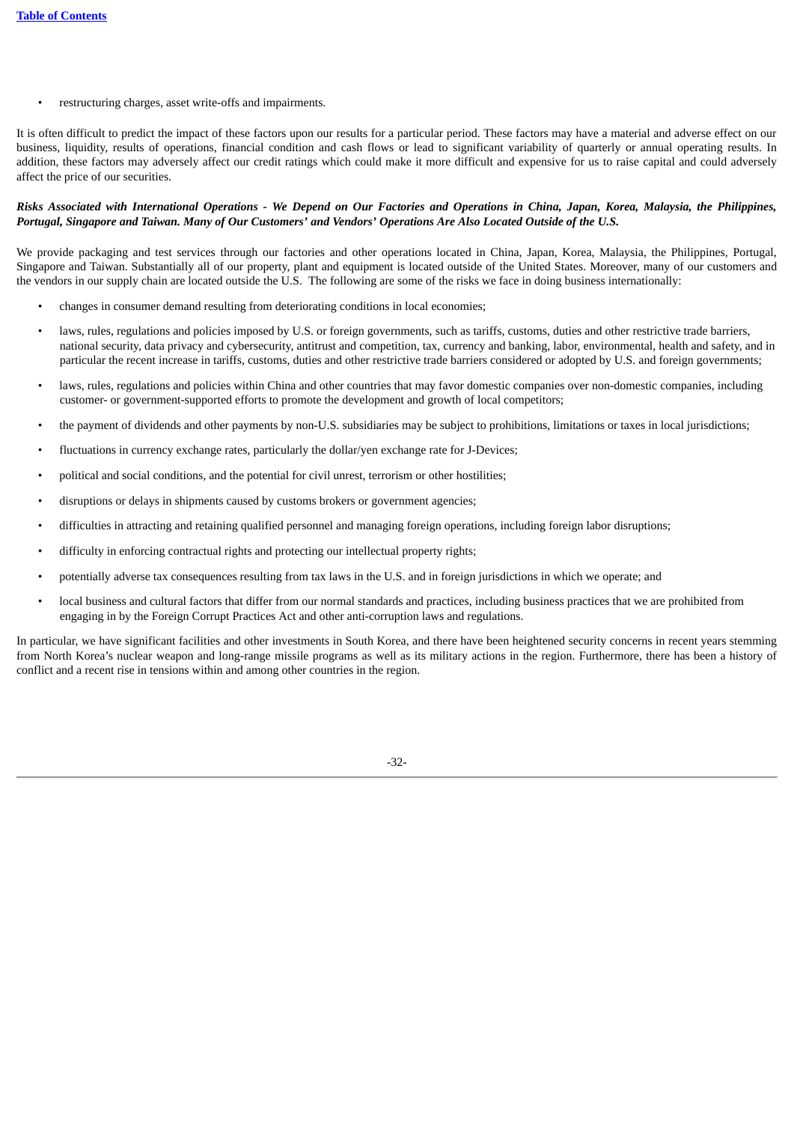restructuring charges, asset write-offs and impairments.

It is often difficult to predict the impact of these factors upon our results for a particular period. These factors may have a material and adverse effect on our business, liquidity, results of operations, financial condition and cash flows or lead to significant variability of quarterly or annual operating results. In addition, these factors may adversely affect our credit ratings which could make it more difficult and expensive for us to raise capital and could adversely affect the price of our securities.

### Risks Associated with International Operations - We Depend on Our Factories and Operations in China, Japan, Korea, Malaysia, the Philippines, Portugal, Singapore and Taiwan. Many of Our Customers' and Vendors' Operations Are Also Located Outside of the U.S.

We provide packaging and test services through our factories and other operations located in China, Japan, Korea, Malaysia, the Philippines, Portugal, Singapore and Taiwan. Substantially all of our property, plant and equipment is located outside of the United States. Moreover, many of our customers and the vendors in our supply chain are located outside the U.S. The following are some of the risks we face in doing business internationally:

- changes in consumer demand resulting from deteriorating conditions in local economies;
- laws, rules, regulations and policies imposed by U.S. or foreign governments, such as tariffs, customs, duties and other restrictive trade barriers, national security, data privacy and cybersecurity, antitrust and competition, tax, currency and banking, labor, environmental, health and safety, and in particular the recent increase in tariffs, customs, duties and other restrictive trade barriers considered or adopted by U.S. and foreign governments;
- laws, rules, regulations and policies within China and other countries that may favor domestic companies over non-domestic companies, including customer- or government-supported efforts to promote the development and growth of local competitors;
- the payment of dividends and other payments by non-U.S. subsidiaries may be subject to prohibitions, limitations or taxes in local jurisdictions;
- fluctuations in currency exchange rates, particularly the dollar/yen exchange rate for J-Devices;
- political and social conditions, and the potential for civil unrest, terrorism or other hostilities;
- disruptions or delays in shipments caused by customs brokers or government agencies;
- difficulties in attracting and retaining qualified personnel and managing foreign operations, including foreign labor disruptions;
- difficulty in enforcing contractual rights and protecting our intellectual property rights;
- potentially adverse tax consequences resulting from tax laws in the U.S. and in foreign jurisdictions in which we operate; and
- local business and cultural factors that differ from our normal standards and practices, including business practices that we are prohibited from engaging in by the Foreign Corrupt Practices Act and other anti-corruption laws and regulations.

In particular, we have significant facilities and other investments in South Korea, and there have been heightened security concerns in recent years stemming from North Korea's nuclear weapon and long-range missile programs as well as its military actions in the region. Furthermore, there has been a history of conflict and a recent rise in tensions within and among other countries in the region.

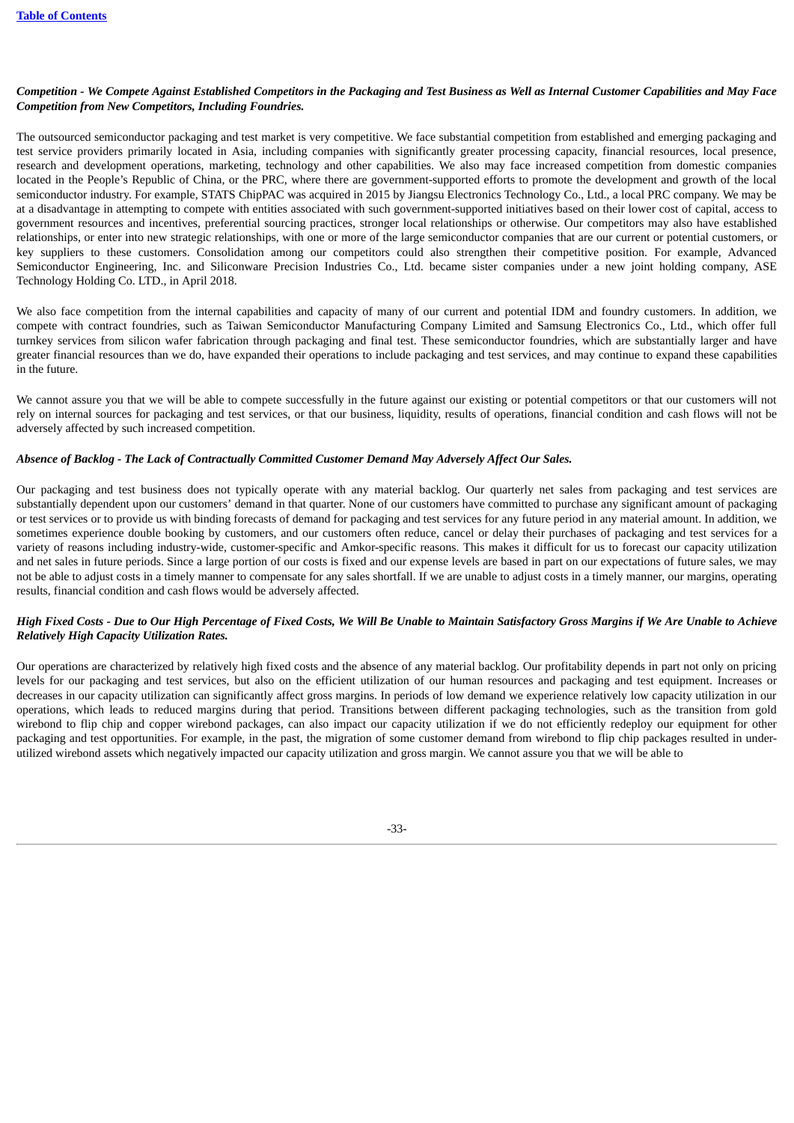### Competition - We Compete Against Established Competitors in the Packaging and Test Business as Well as Internal Customer Capabilities and May Face *Competition from New Competitors, Including Foundries.*

The outsourced semiconductor packaging and test market is very competitive. We face substantial competition from established and emerging packaging and test service providers primarily located in Asia, including companies with significantly greater processing capacity, financial resources, local presence, research and development operations, marketing, technology and other capabilities. We also may face increased competition from domestic companies located in the People's Republic of China, or the PRC, where there are government-supported efforts to promote the development and growth of the local semiconductor industry. For example, STATS ChipPAC was acquired in 2015 by Jiangsu Electronics Technology Co., Ltd., a local PRC company. We may be at a disadvantage in attempting to compete with entities associated with such government-supported initiatives based on their lower cost of capital, access to government resources and incentives, preferential sourcing practices, stronger local relationships or otherwise. Our competitors may also have established relationships, or enter into new strategic relationships, with one or more of the large semiconductor companies that are our current or potential customers, or key suppliers to these customers. Consolidation among our competitors could also strengthen their competitive position. For example, Advanced Semiconductor Engineering, Inc. and Siliconware Precision Industries Co., Ltd. became sister companies under a new joint holding company, ASE Technology Holding Co. LTD., in April 2018.

We also face competition from the internal capabilities and capacity of many of our current and potential IDM and foundry customers. In addition, we compete with contract foundries, such as Taiwan Semiconductor Manufacturing Company Limited and Samsung Electronics Co., Ltd., which offer full turnkey services from silicon wafer fabrication through packaging and final test. These semiconductor foundries, which are substantially larger and have greater financial resources than we do, have expanded their operations to include packaging and test services, and may continue to expand these capabilities in the future.

We cannot assure you that we will be able to compete successfully in the future against our existing or potential competitors or that our customers will not rely on internal sources for packaging and test services, or that our business, liquidity, results of operations, financial condition and cash flows will not be adversely affected by such increased competition.

### *Absence of Backlog - The Lack of Contractually Committed Customer Demand May Adversely Affect Our Sales.*

Our packaging and test business does not typically operate with any material backlog. Our quarterly net sales from packaging and test services are substantially dependent upon our customers' demand in that quarter. None of our customers have committed to purchase any significant amount of packaging or test services or to provide us with binding forecasts of demand for packaging and test services for any future period in any material amount. In addition, we sometimes experience double booking by customers, and our customers often reduce, cancel or delay their purchases of packaging and test services for a variety of reasons including industry-wide, customer-specific and Amkor-specific reasons. This makes it difficult for us to forecast our capacity utilization and net sales in future periods. Since a large portion of our costs is fixed and our expense levels are based in part on our expectations of future sales, we may not be able to adjust costs in a timely manner to compensate for any sales shortfall. If we are unable to adjust costs in a timely manner, our margins, operating results, financial condition and cash flows would be adversely affected.

### High Fixed Costs - Due to Our High Percentage of Fixed Costs, We Will Be Unable to Maintain Satisfactory Gross Margins if We Are Unable to Achieve *Relatively High Capacity Utilization Rates.*

Our operations are characterized by relatively high fixed costs and the absence of any material backlog. Our profitability depends in part not only on pricing levels for our packaging and test services, but also on the efficient utilization of our human resources and packaging and test equipment. Increases or decreases in our capacity utilization can significantly affect gross margins. In periods of low demand we experience relatively low capacity utilization in our operations, which leads to reduced margins during that period. Transitions between different packaging technologies, such as the transition from gold wirebond to flip chip and copper wirebond packages, can also impact our capacity utilization if we do not efficiently redeploy our equipment for other packaging and test opportunities. For example, in the past, the migration of some customer demand from wirebond to flip chip packages resulted in underutilized wirebond assets which negatively impacted our capacity utilization and gross margin. We cannot assure you that we will be able to

-33-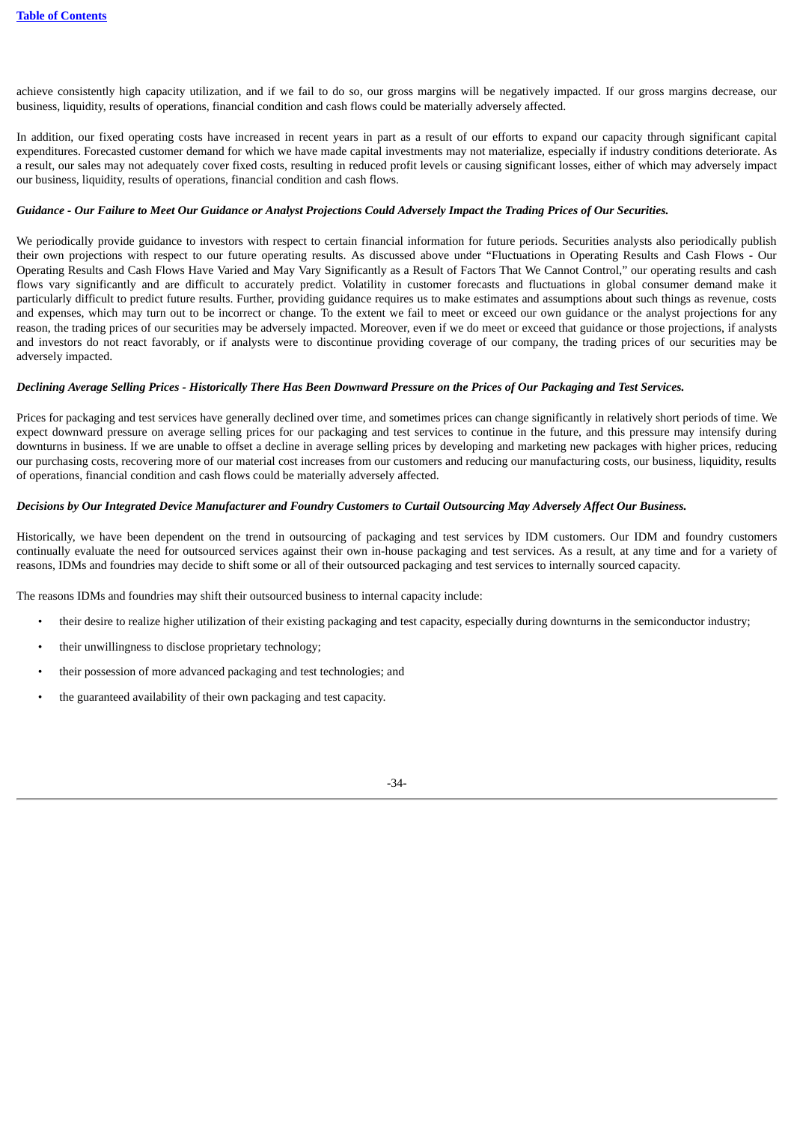achieve consistently high capacity utilization, and if we fail to do so, our gross margins will be negatively impacted. If our gross margins decrease, our business, liquidity, results of operations, financial condition and cash flows could be materially adversely affected.

In addition, our fixed operating costs have increased in recent years in part as a result of our efforts to expand our capacity through significant capital expenditures. Forecasted customer demand for which we have made capital investments may not materialize, especially if industry conditions deteriorate. As a result, our sales may not adequately cover fixed costs, resulting in reduced profit levels or causing significant losses, either of which may adversely impact our business, liquidity, results of operations, financial condition and cash flows.

#### Guidance - Our Failure to Meet Our Guidance or Analyst Projections Could Adversely Impact the Trading Prices of Our Securities.

We periodically provide guidance to investors with respect to certain financial information for future periods. Securities analysts also periodically publish their own projections with respect to our future operating results. As discussed above under "Fluctuations in Operating Results and Cash Flows - Our Operating Results and Cash Flows Have Varied and May Vary Significantly as a Result of Factors That We Cannot Control," our operating results and cash flows vary significantly and are difficult to accurately predict. Volatility in customer forecasts and fluctuations in global consumer demand make it particularly difficult to predict future results. Further, providing guidance requires us to make estimates and assumptions about such things as revenue, costs and expenses, which may turn out to be incorrect or change. To the extent we fail to meet or exceed our own guidance or the analyst projections for any reason, the trading prices of our securities may be adversely impacted. Moreover, even if we do meet or exceed that guidance or those projections, if analysts and investors do not react favorably, or if analysts were to discontinue providing coverage of our company, the trading prices of our securities may be adversely impacted.

#### Declining Average Selling Prices - Historically There Has Been Downward Pressure on the Prices of Our Packaging and Test Services.

Prices for packaging and test services have generally declined over time, and sometimes prices can change significantly in relatively short periods of time. We expect downward pressure on average selling prices for our packaging and test services to continue in the future, and this pressure may intensify during downturns in business. If we are unable to offset a decline in average selling prices by developing and marketing new packages with higher prices, reducing our purchasing costs, recovering more of our material cost increases from our customers and reducing our manufacturing costs, our business, liquidity, results of operations, financial condition and cash flows could be materially adversely affected.

### Decisions by Our Integrated Device Manufacturer and Foundry Customers to Curtail Outsourcing May Adversely Affect Our Business.

Historically, we have been dependent on the trend in outsourcing of packaging and test services by IDM customers. Our IDM and foundry customers continually evaluate the need for outsourced services against their own in-house packaging and test services. As a result, at any time and for a variety of reasons, IDMs and foundries may decide to shift some or all of their outsourced packaging and test services to internally sourced capacity.

The reasons IDMs and foundries may shift their outsourced business to internal capacity include:

- their desire to realize higher utilization of their existing packaging and test capacity, especially during downturns in the semiconductor industry;
- their unwillingness to disclose proprietary technology;
- their possession of more advanced packaging and test technologies; and
- the guaranteed availability of their own packaging and test capacity.

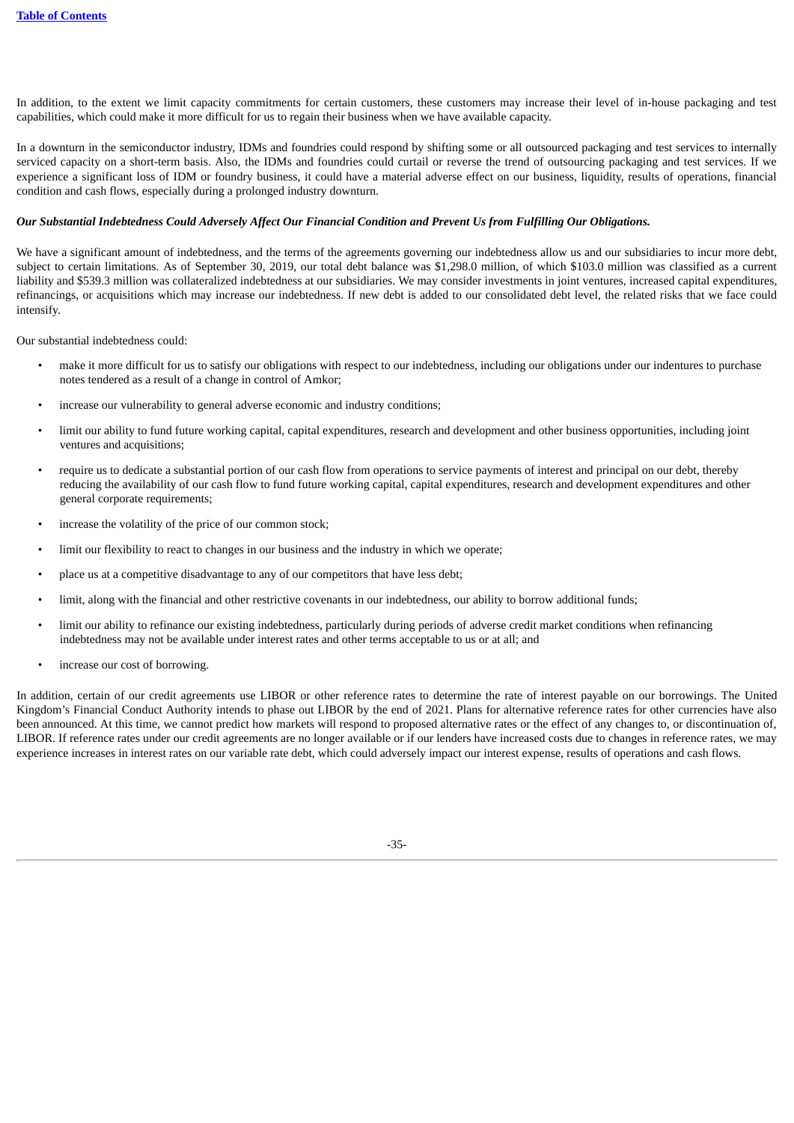In addition, to the extent we limit capacity commitments for certain customers, these customers may increase their level of in-house packaging and test capabilities, which could make it more difficult for us to regain their business when we have available capacity.

In a downturn in the semiconductor industry, IDMs and foundries could respond by shifting some or all outsourced packaging and test services to internally serviced capacity on a short-term basis. Also, the IDMs and foundries could curtail or reverse the trend of outsourcing packaging and test services. If we experience a significant loss of IDM or foundry business, it could have a material adverse effect on our business, liquidity, results of operations, financial condition and cash flows, especially during a prolonged industry downturn.

#### Our Substantial Indebtedness Could Adversely Affect Our Financial Condition and Prevent Us from Fulfilling Our Obligations.

We have a significant amount of indebtedness, and the terms of the agreements governing our indebtedness allow us and our subsidiaries to incur more debt, subject to certain limitations. As of September 30, 2019, our total debt balance was \$1,298.0 million, of which \$103.0 million was classified as a current liability and \$539.3 million was collateralized indebtedness at our subsidiaries. We may consider investments in joint ventures, increased capital expenditures, refinancings, or acquisitions which may increase our indebtedness. If new debt is added to our consolidated debt level, the related risks that we face could intensify.

Our substantial indebtedness could:

- make it more difficult for us to satisfy our obligations with respect to our indebtedness, including our obligations under our indentures to purchase notes tendered as a result of a change in control of Amkor;
- increase our vulnerability to general adverse economic and industry conditions;
- limit our ability to fund future working capital, capital expenditures, research and development and other business opportunities, including joint ventures and acquisitions;
- require us to dedicate a substantial portion of our cash flow from operations to service payments of interest and principal on our debt, thereby reducing the availability of our cash flow to fund future working capital, capital expenditures, research and development expenditures and other general corporate requirements;
- increase the volatility of the price of our common stock;
- limit our flexibility to react to changes in our business and the industry in which we operate;
- place us at a competitive disadvantage to any of our competitors that have less debt;
- limit, along with the financial and other restrictive covenants in our indebtedness, our ability to borrow additional funds;
- limit our ability to refinance our existing indebtedness, particularly during periods of adverse credit market conditions when refinancing indebtedness may not be available under interest rates and other terms acceptable to us or at all; and
- increase our cost of borrowing.

In addition, certain of our credit agreements use LIBOR or other reference rates to determine the rate of interest payable on our borrowings. The United Kingdom's Financial Conduct Authority intends to phase out LIBOR by the end of 2021. Plans for alternative reference rates for other currencies have also been announced. At this time, we cannot predict how markets will respond to proposed alternative rates or the effect of any changes to, or discontinuation of, LIBOR. If reference rates under our credit agreements are no longer available or if our lenders have increased costs due to changes in reference rates, we may experience increases in interest rates on our variable rate debt, which could adversely impact our interest expense, results of operations and cash flows.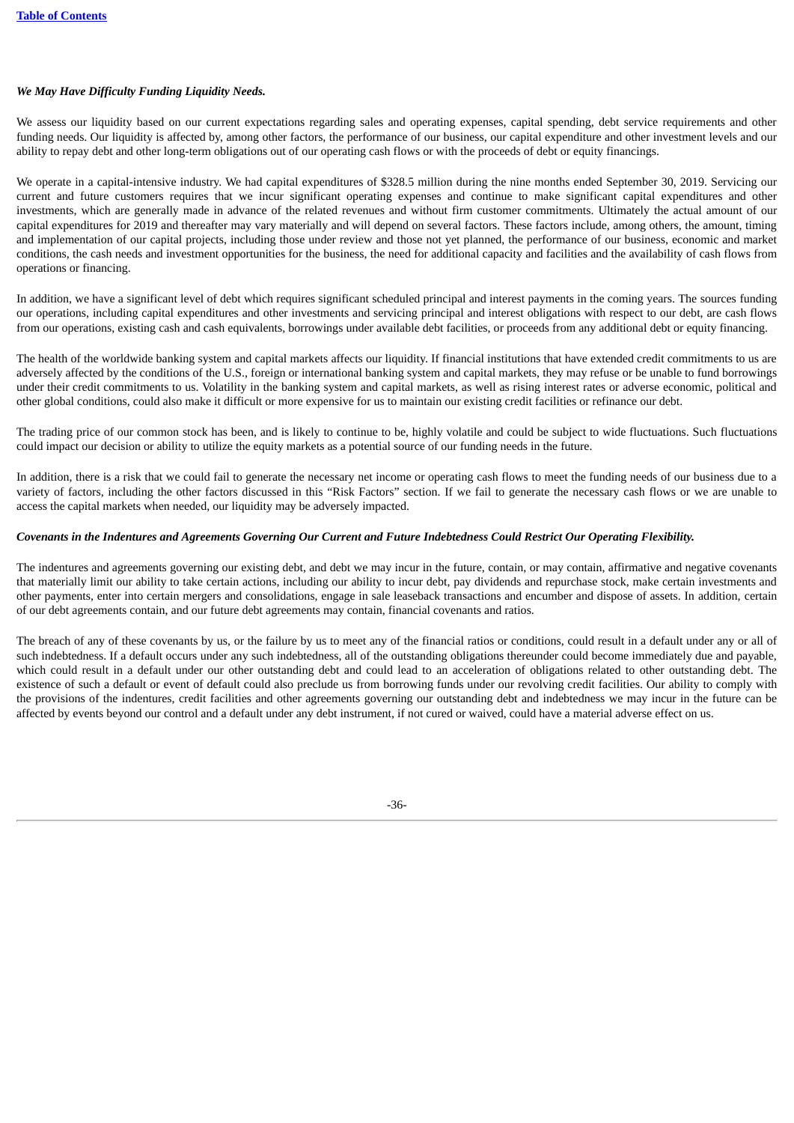# *We May Have Difficulty Funding Liquidity Needs.*

We assess our liquidity based on our current expectations regarding sales and operating expenses, capital spending, debt service requirements and other funding needs. Our liquidity is affected by, among other factors, the performance of our business, our capital expenditure and other investment levels and our ability to repay debt and other long-term obligations out of our operating cash flows or with the proceeds of debt or equity financings.

We operate in a capital-intensive industry. We had capital expenditures of \$328.5 million during the nine months ended September 30, 2019. Servicing our current and future customers requires that we incur significant operating expenses and continue to make significant capital expenditures and other investments, which are generally made in advance of the related revenues and without firm customer commitments. Ultimately the actual amount of our capital expenditures for 2019 and thereafter may vary materially and will depend on several factors. These factors include, among others, the amount, timing and implementation of our capital projects, including those under review and those not yet planned, the performance of our business, economic and market conditions, the cash needs and investment opportunities for the business, the need for additional capacity and facilities and the availability of cash flows from operations or financing.

In addition, we have a significant level of debt which requires significant scheduled principal and interest payments in the coming years. The sources funding our operations, including capital expenditures and other investments and servicing principal and interest obligations with respect to our debt, are cash flows from our operations, existing cash and cash equivalents, borrowings under available debt facilities, or proceeds from any additional debt or equity financing.

The health of the worldwide banking system and capital markets affects our liquidity. If financial institutions that have extended credit commitments to us are adversely affected by the conditions of the U.S., foreign or international banking system and capital markets, they may refuse or be unable to fund borrowings under their credit commitments to us. Volatility in the banking system and capital markets, as well as rising interest rates or adverse economic, political and other global conditions, could also make it difficult or more expensive for us to maintain our existing credit facilities or refinance our debt.

The trading price of our common stock has been, and is likely to continue to be, highly volatile and could be subject to wide fluctuations. Such fluctuations could impact our decision or ability to utilize the equity markets as a potential source of our funding needs in the future.

In addition, there is a risk that we could fail to generate the necessary net income or operating cash flows to meet the funding needs of our business due to a variety of factors, including the other factors discussed in this "Risk Factors" section. If we fail to generate the necessary cash flows or we are unable to access the capital markets when needed, our liquidity may be adversely impacted.

#### Covenants in the Indentures and Agreements Governing Our Current and Future Indebtedness Could Restrict Our Operating Flexibility.

The indentures and agreements governing our existing debt, and debt we may incur in the future, contain, or may contain, affirmative and negative covenants that materially limit our ability to take certain actions, including our ability to incur debt, pay dividends and repurchase stock, make certain investments and other payments, enter into certain mergers and consolidations, engage in sale leaseback transactions and encumber and dispose of assets. In addition, certain of our debt agreements contain, and our future debt agreements may contain, financial covenants and ratios.

The breach of any of these covenants by us, or the failure by us to meet any of the financial ratios or conditions, could result in a default under any or all of such indebtedness. If a default occurs under any such indebtedness, all of the outstanding obligations thereunder could become immediately due and payable, which could result in a default under our other outstanding debt and could lead to an acceleration of obligations related to other outstanding debt. The existence of such a default or event of default could also preclude us from borrowing funds under our revolving credit facilities. Our ability to comply with the provisions of the indentures, credit facilities and other agreements governing our outstanding debt and indebtedness we may incur in the future can be affected by events beyond our control and a default under any debt instrument, if not cured or waived, could have a material adverse effect on us.

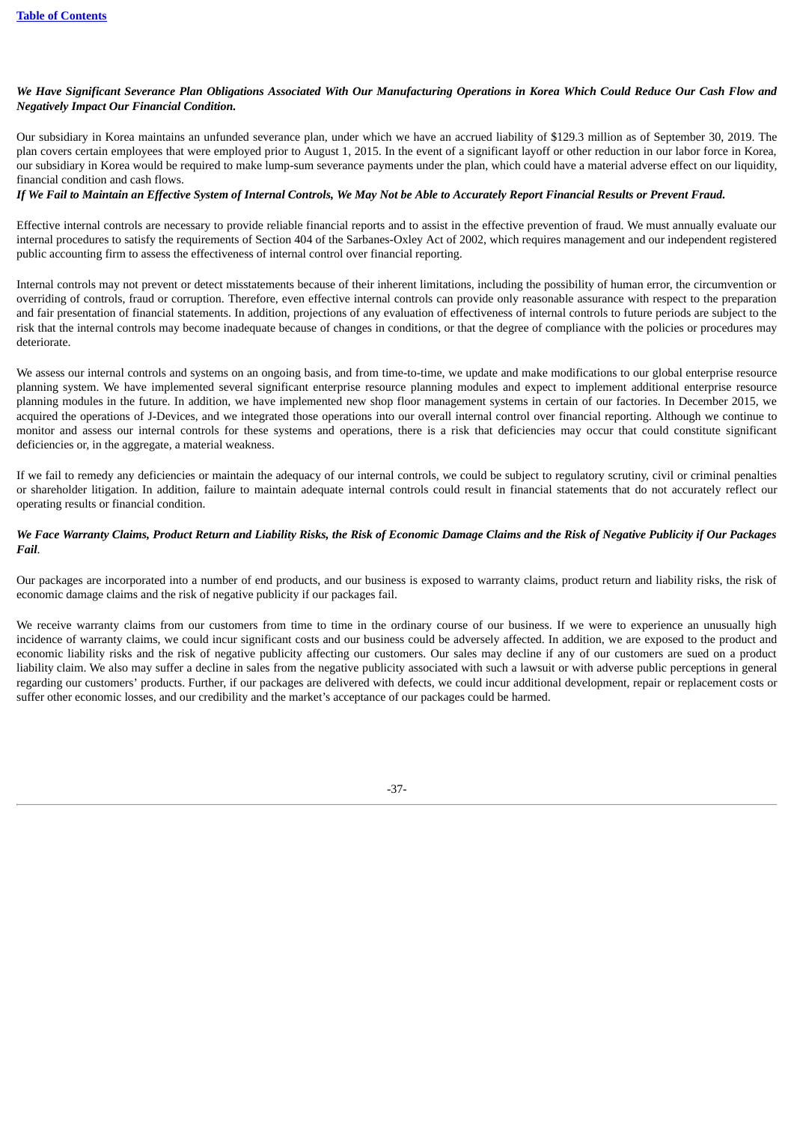We Have Significant Severance Plan Obligations Associated With Our Manufacturing Operations in Korea Which Could Reduce Our Cash Flow and *Negatively Impact Our Financial Condition.*

Our subsidiary in Korea maintains an unfunded severance plan, under which we have an accrued liability of \$129.3 million as of September 30, 2019. The plan covers certain employees that were employed prior to August 1, 2015. In the event of a significant layoff or other reduction in our labor force in Korea, our subsidiary in Korea would be required to make lump-sum severance payments under the plan, which could have a material adverse effect on our liquidity, financial condition and cash flows.

#### If We Fail to Maintain an Effective System of Internal Controls, We May Not be Able to Accurately Report Financial Results or Prevent Fraud.

Effective internal controls are necessary to provide reliable financial reports and to assist in the effective prevention of fraud. We must annually evaluate our internal procedures to satisfy the requirements of Section 404 of the Sarbanes-Oxley Act of 2002, which requires management and our independent registered public accounting firm to assess the effectiveness of internal control over financial reporting.

Internal controls may not prevent or detect misstatements because of their inherent limitations, including the possibility of human error, the circumvention or overriding of controls, fraud or corruption. Therefore, even effective internal controls can provide only reasonable assurance with respect to the preparation and fair presentation of financial statements. In addition, projections of any evaluation of effectiveness of internal controls to future periods are subject to the risk that the internal controls may become inadequate because of changes in conditions, or that the degree of compliance with the policies or procedures may deteriorate.

We assess our internal controls and systems on an ongoing basis, and from time-to-time, we update and make modifications to our global enterprise resource planning system. We have implemented several significant enterprise resource planning modules and expect to implement additional enterprise resource planning modules in the future. In addition, we have implemented new shop floor management systems in certain of our factories. In December 2015, we acquired the operations of J-Devices, and we integrated those operations into our overall internal control over financial reporting. Although we continue to monitor and assess our internal controls for these systems and operations, there is a risk that deficiencies may occur that could constitute significant deficiencies or, in the aggregate, a material weakness.

If we fail to remedy any deficiencies or maintain the adequacy of our internal controls, we could be subject to regulatory scrutiny, civil or criminal penalties or shareholder litigation. In addition, failure to maintain adequate internal controls could result in financial statements that do not accurately reflect our operating results or financial condition.

### We Face Warranty Claims, Product Return and Liability Risks, the Risk of Economic Damage Claims and the Risk of Negative Publicity if Our Packages *Fail*.

Our packages are incorporated into a number of end products, and our business is exposed to warranty claims, product return and liability risks, the risk of economic damage claims and the risk of negative publicity if our packages fail.

We receive warranty claims from our customers from time to time in the ordinary course of our business. If we were to experience an unusually high incidence of warranty claims, we could incur significant costs and our business could be adversely affected. In addition, we are exposed to the product and economic liability risks and the risk of negative publicity affecting our customers. Our sales may decline if any of our customers are sued on a product liability claim. We also may suffer a decline in sales from the negative publicity associated with such a lawsuit or with adverse public perceptions in general regarding our customers' products. Further, if our packages are delivered with defects, we could incur additional development, repair or replacement costs or suffer other economic losses, and our credibility and the market's acceptance of our packages could be harmed.

-37-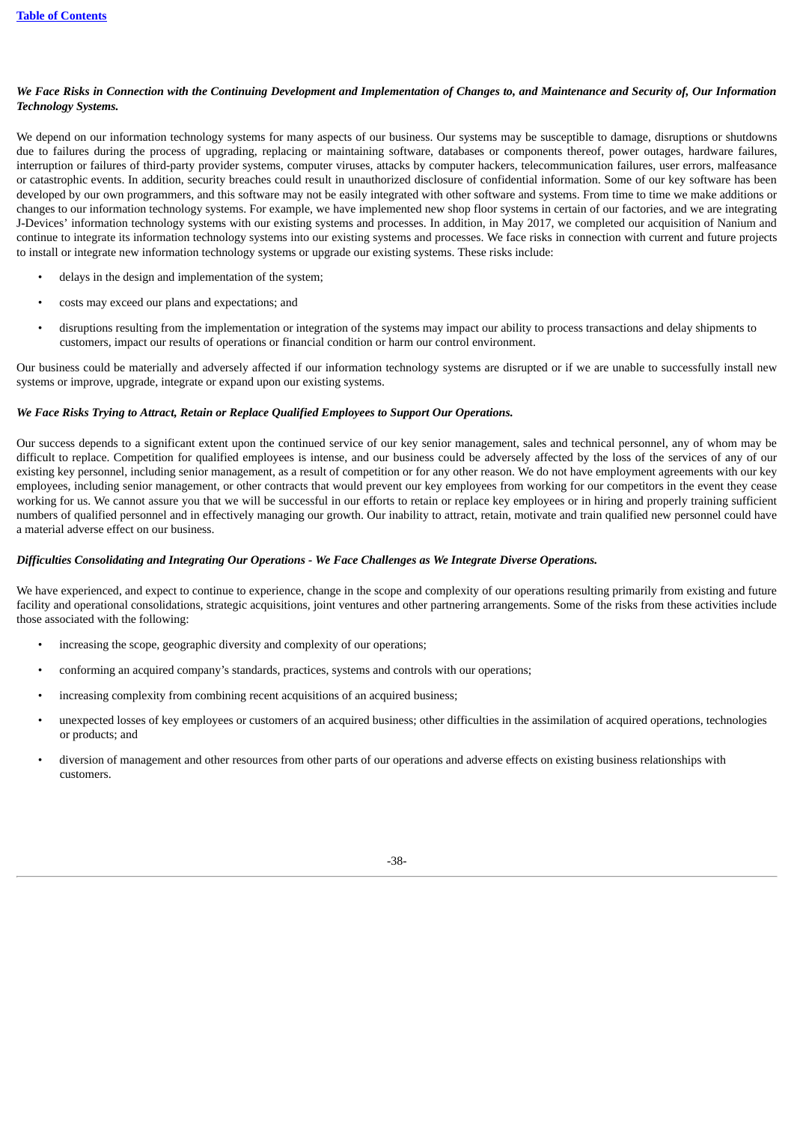### We Face Risks in Connection with the Continuing Development and Implementation of Changes to, and Maintenance and Security of, Our Information *Technology Systems.*

We depend on our information technology systems for many aspects of our business. Our systems may be susceptible to damage, disruptions or shutdowns due to failures during the process of upgrading, replacing or maintaining software, databases or components thereof, power outages, hardware failures, interruption or failures of third-party provider systems, computer viruses, attacks by computer hackers, telecommunication failures, user errors, malfeasance or catastrophic events. In addition, security breaches could result in unauthorized disclosure of confidential information. Some of our key software has been developed by our own programmers, and this software may not be easily integrated with other software and systems. From time to time we make additions or changes to our information technology systems. For example, we have implemented new shop floor systems in certain of our factories, and we are integrating J-Devices' information technology systems with our existing systems and processes. In addition, in May 2017, we completed our acquisition of Nanium and continue to integrate its information technology systems into our existing systems and processes. We face risks in connection with current and future projects to install or integrate new information technology systems or upgrade our existing systems. These risks include:

- delays in the design and implementation of the system:
- costs may exceed our plans and expectations; and
- disruptions resulting from the implementation or integration of the systems may impact our ability to process transactions and delay shipments to customers, impact our results of operations or financial condition or harm our control environment.

Our business could be materially and adversely affected if our information technology systems are disrupted or if we are unable to successfully install new systems or improve, upgrade, integrate or expand upon our existing systems.

### *We Face Risks Trying to Attract, Retain or Replace Qualified Employees to Support Our Operations.*

Our success depends to a significant extent upon the continued service of our key senior management, sales and technical personnel, any of whom may be difficult to replace. Competition for qualified employees is intense, and our business could be adversely affected by the loss of the services of any of our existing key personnel, including senior management, as a result of competition or for any other reason. We do not have employment agreements with our key employees, including senior management, or other contracts that would prevent our key employees from working for our competitors in the event they cease working for us. We cannot assure you that we will be successful in our efforts to retain or replace key employees or in hiring and properly training sufficient numbers of qualified personnel and in effectively managing our growth. Our inability to attract, retain, motivate and train qualified new personnel could have a material adverse effect on our business.

### *Difficulties Consolidating and Integrating Our Operations - We Face Challenges as We Integrate Diverse Operations.*

We have experienced, and expect to continue to experience, change in the scope and complexity of our operations resulting primarily from existing and future facility and operational consolidations, strategic acquisitions, joint ventures and other partnering arrangements. Some of the risks from these activities include those associated with the following:

- increasing the scope, geographic diversity and complexity of our operations;
- conforming an acquired company's standards, practices, systems and controls with our operations;
- increasing complexity from combining recent acquisitions of an acquired business;
- unexpected losses of key employees or customers of an acquired business; other difficulties in the assimilation of acquired operations, technologies or products; and
- diversion of management and other resources from other parts of our operations and adverse effects on existing business relationships with customers.

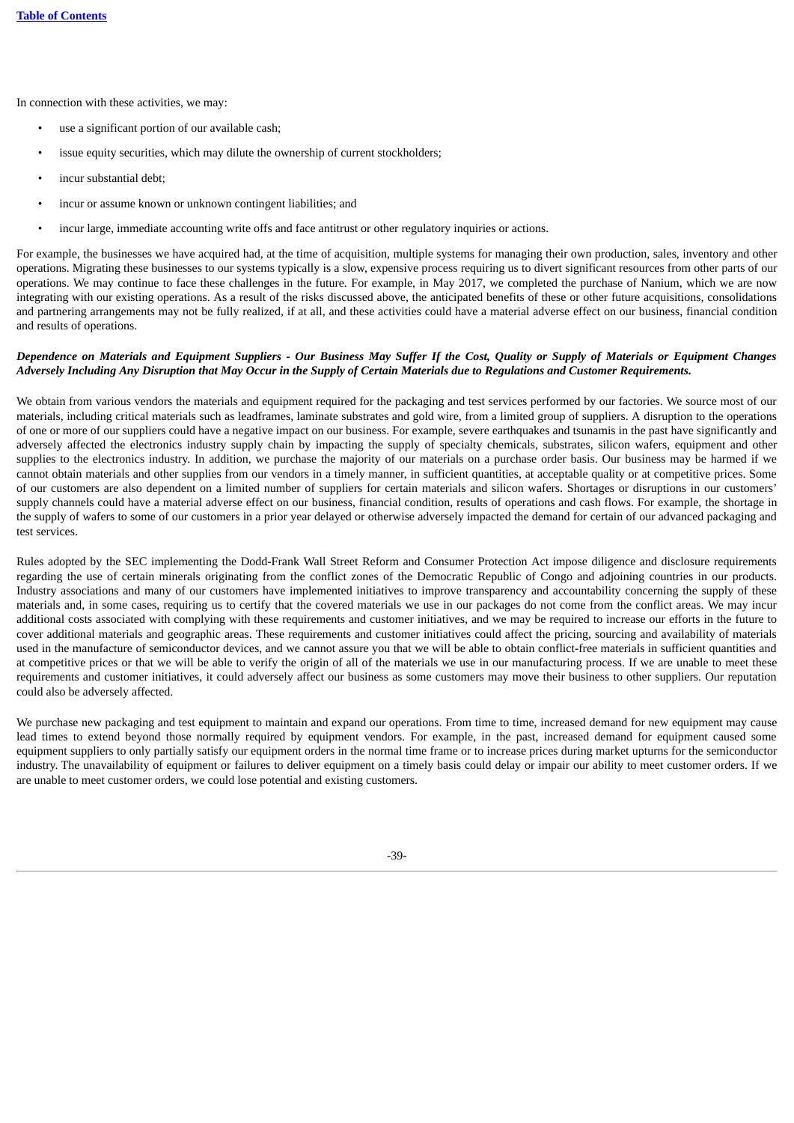In connection with these activities, we may:

- use a significant portion of our available cash:
- issue equity securities, which may dilute the ownership of current stockholders;
- incur substantial debt;
- incur or assume known or unknown contingent liabilities; and
- incur large, immediate accounting write offs and face antitrust or other regulatory inquiries or actions.

For example, the businesses we have acquired had, at the time of acquisition, multiple systems for managing their own production, sales, inventory and other operations. Migrating these businesses to our systems typically is a slow, expensive process requiring us to divert significant resources from other parts of our operations. We may continue to face these challenges in the future. For example, in May 2017, we completed the purchase of Nanium, which we are now integrating with our existing operations. As a result of the risks discussed above, the anticipated benefits of these or other future acquisitions, consolidations and partnering arrangements may not be fully realized, if at all, and these activities could have a material adverse effect on our business, financial condition and results of operations.

#### Dependence on Materials and Equipment Suppliers - Our Business May Suffer If the Cost, Quality or Supply of Materials or Equipment Changes Adversely Including Any Disruption that May Occur in the Supply of Certain Materials due to Regulations and Customer Requirements.

We obtain from various vendors the materials and equipment required for the packaging and test services performed by our factories. We source most of our materials, including critical materials such as leadframes, laminate substrates and gold wire, from a limited group of suppliers. A disruption to the operations of one or more of our suppliers could have a negative impact on our business. For example, severe earthquakes and tsunamis in the past have significantly and adversely affected the electronics industry supply chain by impacting the supply of specialty chemicals, substrates, silicon wafers, equipment and other supplies to the electronics industry. In addition, we purchase the majority of our materials on a purchase order basis. Our business may be harmed if we cannot obtain materials and other supplies from our vendors in a timely manner, in sufficient quantities, at acceptable quality or at competitive prices. Some of our customers are also dependent on a limited number of suppliers for certain materials and silicon wafers. Shortages or disruptions in our customers' supply channels could have a material adverse effect on our business, financial condition, results of operations and cash flows. For example, the shortage in the supply of wafers to some of our customers in a prior year delayed or otherwise adversely impacted the demand for certain of our advanced packaging and test services.

Rules adopted by the SEC implementing the Dodd-Frank Wall Street Reform and Consumer Protection Act impose diligence and disclosure requirements regarding the use of certain minerals originating from the conflict zones of the Democratic Republic of Congo and adjoining countries in our products. Industry associations and many of our customers have implemented initiatives to improve transparency and accountability concerning the supply of these materials and, in some cases, requiring us to certify that the covered materials we use in our packages do not come from the conflict areas. We may incur additional costs associated with complying with these requirements and customer initiatives, and we may be required to increase our efforts in the future to cover additional materials and geographic areas. These requirements and customer initiatives could affect the pricing, sourcing and availability of materials used in the manufacture of semiconductor devices, and we cannot assure you that we will be able to obtain conflict-free materials in sufficient quantities and at competitive prices or that we will be able to verify the origin of all of the materials we use in our manufacturing process. If we are unable to meet these requirements and customer initiatives, it could adversely affect our business as some customers may move their business to other suppliers. Our reputation could also be adversely affected.

We purchase new packaging and test equipment to maintain and expand our operations. From time to time, increased demand for new equipment may cause lead times to extend beyond those normally required by equipment vendors. For example, in the past, increased demand for equipment caused some equipment suppliers to only partially satisfy our equipment orders in the normal time frame or to increase prices during market upturns for the semiconductor industry. The unavailability of equipment or failures to deliver equipment on a timely basis could delay or impair our ability to meet customer orders. If we are unable to meet customer orders, we could lose potential and existing customers.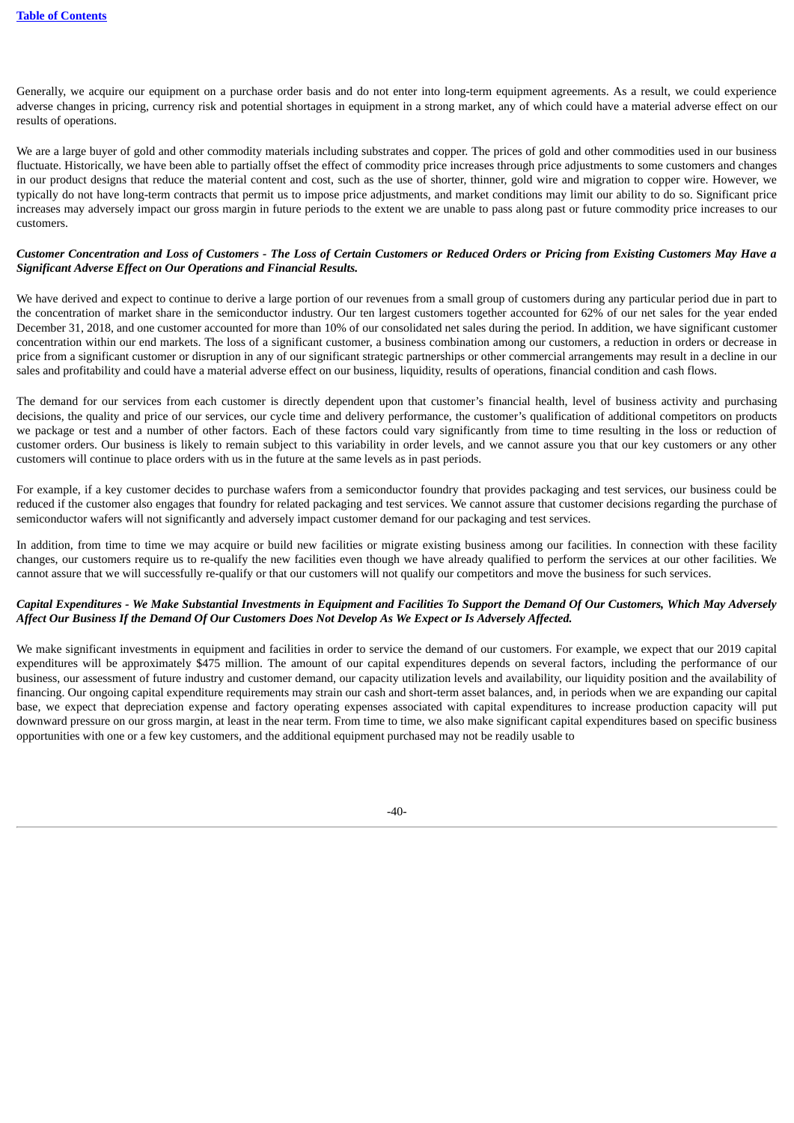Generally, we acquire our equipment on a purchase order basis and do not enter into long-term equipment agreements. As a result, we could experience adverse changes in pricing, currency risk and potential shortages in equipment in a strong market, any of which could have a material adverse effect on our results of operations.

We are a large buyer of gold and other commodity materials including substrates and copper. The prices of gold and other commodities used in our business fluctuate. Historically, we have been able to partially offset the effect of commodity price increases through price adjustments to some customers and changes in our product designs that reduce the material content and cost, such as the use of shorter, thinner, gold wire and migration to copper wire. However, we typically do not have long-term contracts that permit us to impose price adjustments, and market conditions may limit our ability to do so. Significant price increases may adversely impact our gross margin in future periods to the extent we are unable to pass along past or future commodity price increases to our customers.

### Customer Concentration and Loss of Customers - The Loss of Certain Customers or Reduced Orders or Pricing from Existing Customers May Have a *Significant Adverse Effect on Our Operations and Financial Results.*

We have derived and expect to continue to derive a large portion of our revenues from a small group of customers during any particular period due in part to the concentration of market share in the semiconductor industry. Our ten largest customers together accounted for 62% of our net sales for the year ended December 31, 2018, and one customer accounted for more than 10% of our consolidated net sales during the period. In addition, we have significant customer concentration within our end markets. The loss of a significant customer, a business combination among our customers, a reduction in orders or decrease in price from a significant customer or disruption in any of our significant strategic partnerships or other commercial arrangements may result in a decline in our sales and profitability and could have a material adverse effect on our business, liquidity, results of operations, financial condition and cash flows.

The demand for our services from each customer is directly dependent upon that customer's financial health, level of business activity and purchasing decisions, the quality and price of our services, our cycle time and delivery performance, the customer's qualification of additional competitors on products we package or test and a number of other factors. Each of these factors could vary significantly from time to time resulting in the loss or reduction of customer orders. Our business is likely to remain subject to this variability in order levels, and we cannot assure you that our key customers or any other customers will continue to place orders with us in the future at the same levels as in past periods.

For example, if a key customer decides to purchase wafers from a semiconductor foundry that provides packaging and test services, our business could be reduced if the customer also engages that foundry for related packaging and test services. We cannot assure that customer decisions regarding the purchase of semiconductor wafers will not significantly and adversely impact customer demand for our packaging and test services.

In addition, from time to time we may acquire or build new facilities or migrate existing business among our facilities. In connection with these facility changes, our customers require us to re-qualify the new facilities even though we have already qualified to perform the services at our other facilities. We cannot assure that we will successfully re-qualify or that our customers will not qualify our competitors and move the business for such services.

### Capital Expenditures - We Make Substantial Investments in Equipment and Facilities To Support the Demand Of Our Customers, Which May Adversely Affect Our Business If the Demand Of Our Customers Does Not Develop As We Expect or Is Adversely Affected.

We make significant investments in equipment and facilities in order to service the demand of our customers. For example, we expect that our 2019 capital expenditures will be approximately \$475 million. The amount of our capital expenditures depends on several factors, including the performance of our business, our assessment of future industry and customer demand, our capacity utilization levels and availability, our liquidity position and the availability of financing. Our ongoing capital expenditure requirements may strain our cash and short-term asset balances, and, in periods when we are expanding our capital base, we expect that depreciation expense and factory operating expenses associated with capital expenditures to increase production capacity will put downward pressure on our gross margin, at least in the near term. From time to time, we also make significant capital expenditures based on specific business opportunities with one or a few key customers, and the additional equipment purchased may not be readily usable to

 $-40-$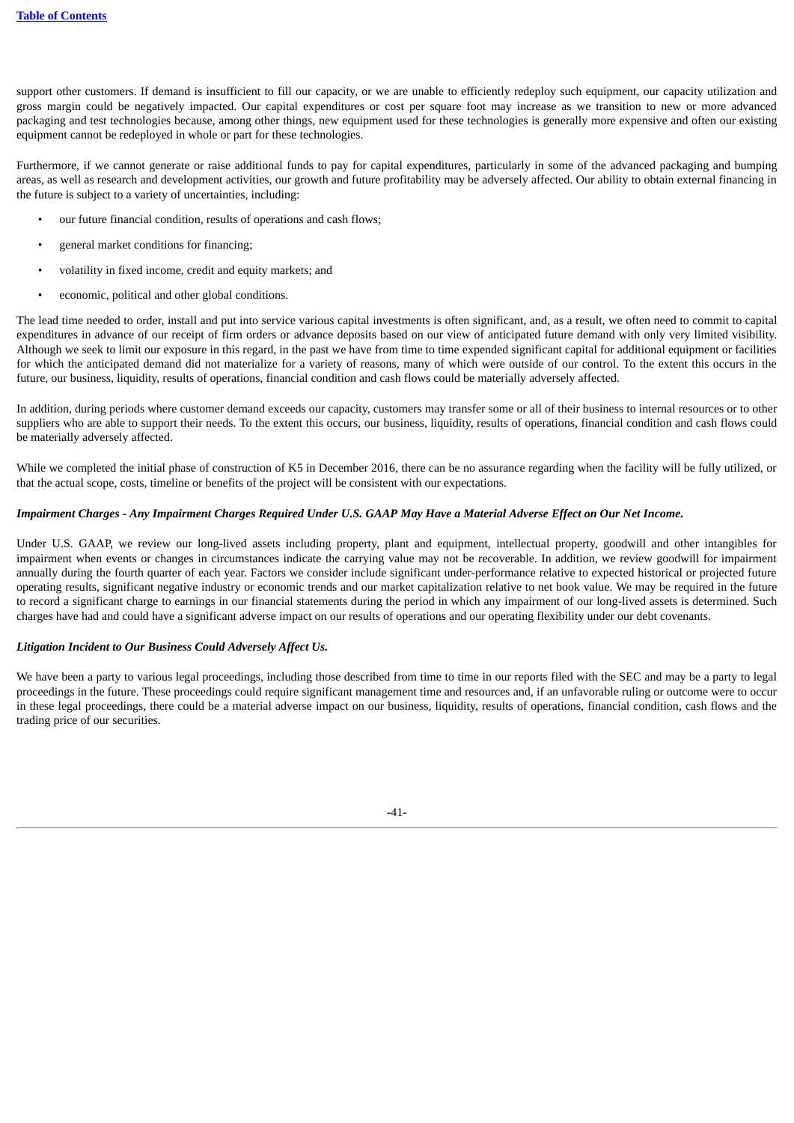support other customers. If demand is insufficient to fill our capacity, or we are unable to efficiently redeploy such equipment, our capacity utilization and gross margin could be negatively impacted. Our capital expenditures or cost per square foot may increase as we transition to new or more advanced packaging and test technologies because, among other things, new equipment used for these technologies is generally more expensive and often our existing equipment cannot be redeployed in whole or part for these technologies.

Furthermore, if we cannot generate or raise additional funds to pay for capital expenditures, particularly in some of the advanced packaging and bumping areas, as well as research and development activities, our growth and future profitability may be adversely affected. Our ability to obtain external financing in the future is subject to a variety of uncertainties, including:

- our future financial condition, results of operations and cash flows;
- general market conditions for financing;
- volatility in fixed income, credit and equity markets; and
- economic, political and other global conditions.

The lead time needed to order, install and put into service various capital investments is often significant, and, as a result, we often need to commit to capital expenditures in advance of our receipt of firm orders or advance deposits based on our view of anticipated future demand with only very limited visibility. Although we seek to limit our exposure in this regard, in the past we have from time to time expended significant capital for additional equipment or facilities for which the anticipated demand did not materialize for a variety of reasons, many of which were outside of our control. To the extent this occurs in the future, our business, liquidity, results of operations, financial condition and cash flows could be materially adversely affected.

In addition, during periods where customer demand exceeds our capacity, customers may transfer some or all of their business to internal resources or to other suppliers who are able to support their needs. To the extent this occurs, our business, liquidity, results of operations, financial condition and cash flows could be materially adversely affected.

While we completed the initial phase of construction of K5 in December 2016, there can be no assurance regarding when the facility will be fully utilized, or that the actual scope, costs, timeline or benefits of the project will be consistent with our expectations.

### Impairment Charges - Any Impairment Charges Required Under U.S. GAAP May Have a Material Adverse Effect on Our Net Income.

Under U.S. GAAP, we review our long-lived assets including property, plant and equipment, intellectual property, goodwill and other intangibles for impairment when events or changes in circumstances indicate the carrying value may not be recoverable. In addition, we review goodwill for impairment annually during the fourth quarter of each year. Factors we consider include significant under-performance relative to expected historical or projected future operating results, significant negative industry or economic trends and our market capitalization relative to net book value. We may be required in the future to record a significant charge to earnings in our financial statements during the period in which any impairment of our long-lived assets is determined. Such charges have had and could have a significant adverse impact on our results of operations and our operating flexibility under our debt covenants.

#### *Litigation Incident to Our Business Could Adversely Affect Us.*

We have been a party to various legal proceedings, including those described from time to time in our reports filed with the SEC and may be a party to legal proceedings in the future. These proceedings could require significant management time and resources and, if an unfavorable ruling or outcome were to occur in these legal proceedings, there could be a material adverse impact on our business, liquidity, results of operations, financial condition, cash flows and the trading price of our securities.

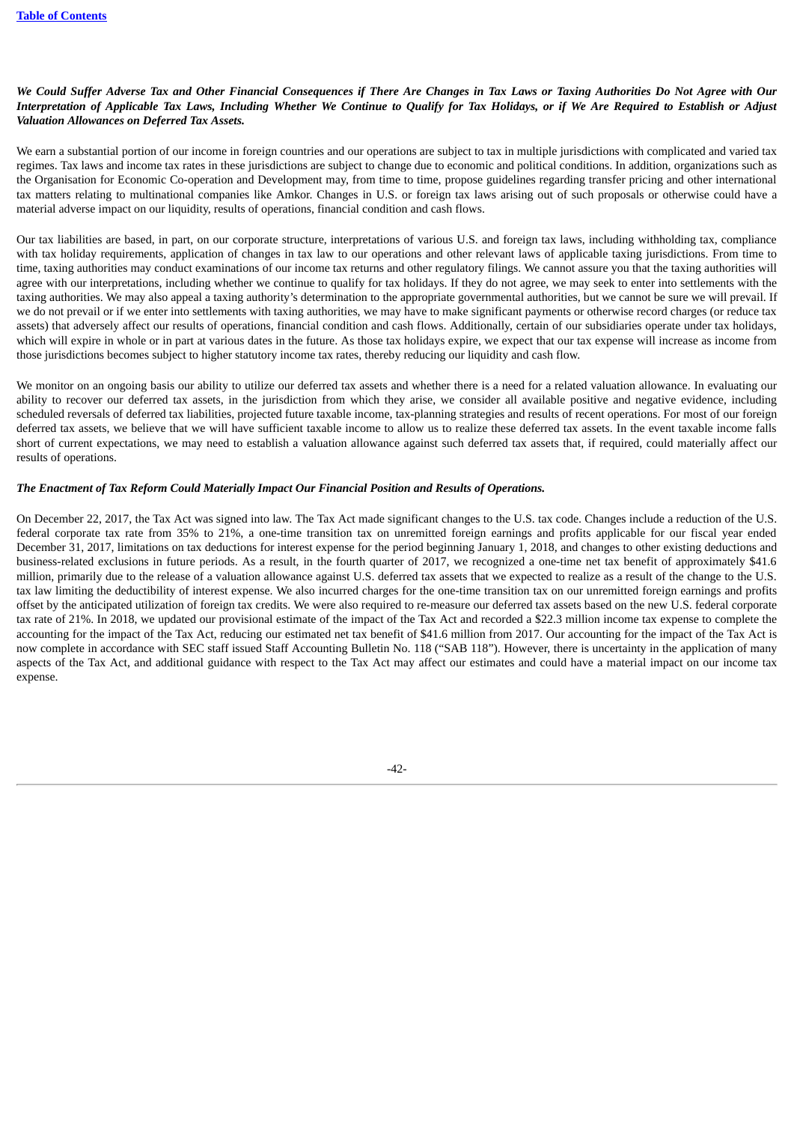### We Could Suffer Adverse Tax and Other Financial Consequences if There Are Changes in Tax Laws or Taxing Authorities Do Not Agree with Our Interpretation of Applicable Tax Laws, Including Whether We Continue to Qualify for Tax Holidays, or if We Are Required to Establish or Adjust *Valuation Allowances on Deferred Tax Assets.*

We earn a substantial portion of our income in foreign countries and our operations are subject to tax in multiple jurisdictions with complicated and varied tax regimes. Tax laws and income tax rates in these jurisdictions are subject to change due to economic and political conditions. In addition, organizations such as the Organisation for Economic Co-operation and Development may, from time to time, propose guidelines regarding transfer pricing and other international tax matters relating to multinational companies like Amkor. Changes in U.S. or foreign tax laws arising out of such proposals or otherwise could have a material adverse impact on our liquidity, results of operations, financial condition and cash flows.

Our tax liabilities are based, in part, on our corporate structure, interpretations of various U.S. and foreign tax laws, including withholding tax, compliance with tax holiday requirements, application of changes in tax law to our operations and other relevant laws of applicable taxing jurisdictions. From time to time, taxing authorities may conduct examinations of our income tax returns and other regulatory filings. We cannot assure you that the taxing authorities will agree with our interpretations, including whether we continue to qualify for tax holidays. If they do not agree, we may seek to enter into settlements with the taxing authorities. We may also appeal a taxing authority's determination to the appropriate governmental authorities, but we cannot be sure we will prevail. If we do not prevail or if we enter into settlements with taxing authorities, we may have to make significant payments or otherwise record charges (or reduce tax assets) that adversely affect our results of operations, financial condition and cash flows. Additionally, certain of our subsidiaries operate under tax holidays, which will expire in whole or in part at various dates in the future. As those tax holidays expire, we expect that our tax expense will increase as income from those jurisdictions becomes subject to higher statutory income tax rates, thereby reducing our liquidity and cash flow.

We monitor on an ongoing basis our ability to utilize our deferred tax assets and whether there is a need for a related valuation allowance. In evaluating our ability to recover our deferred tax assets, in the jurisdiction from which they arise, we consider all available positive and negative evidence, including scheduled reversals of deferred tax liabilities, projected future taxable income, tax-planning strategies and results of recent operations. For most of our foreign deferred tax assets, we believe that we will have sufficient taxable income to allow us to realize these deferred tax assets. In the event taxable income falls short of current expectations, we may need to establish a valuation allowance against such deferred tax assets that, if required, could materially affect our results of operations.

### *The Enactment of Tax Reform Could Materially Impact Our Financial Position and Results of Operations.*

On December 22, 2017, the Tax Act was signed into law. The Tax Act made significant changes to the U.S. tax code. Changes include a reduction of the U.S. federal corporate tax rate from 35% to 21%, a one-time transition tax on unremitted foreign earnings and profits applicable for our fiscal year ended December 31, 2017, limitations on tax deductions for interest expense for the period beginning January 1, 2018, and changes to other existing deductions and business-related exclusions in future periods. As a result, in the fourth quarter of 2017, we recognized a one-time net tax benefit of approximately \$41.6 million, primarily due to the release of a valuation allowance against U.S. deferred tax assets that we expected to realize as a result of the change to the U.S. tax law limiting the deductibility of interest expense. We also incurred charges for the one-time transition tax on our unremitted foreign earnings and profits offset by the anticipated utilization of foreign tax credits. We were also required to re-measure our deferred tax assets based on the new U.S. federal corporate tax rate of 21%. In 2018, we updated our provisional estimate of the impact of the Tax Act and recorded a \$22.3 million income tax expense to complete the accounting for the impact of the Tax Act, reducing our estimated net tax benefit of \$41.6 million from 2017. Our accounting for the impact of the Tax Act is now complete in accordance with SEC staff issued Staff Accounting Bulletin No. 118 ("SAB 118"). However, there is uncertainty in the application of many aspects of the Tax Act, and additional guidance with respect to the Tax Act may affect our estimates and could have a material impact on our income tax expense.

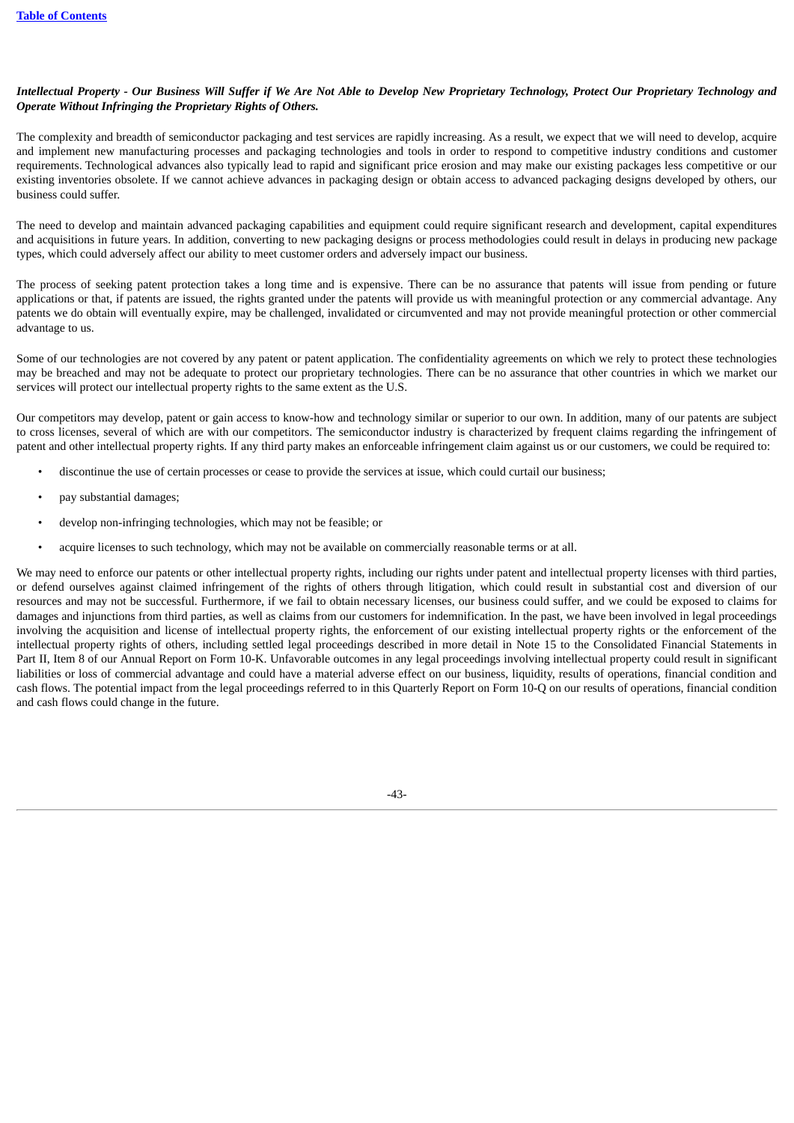### Intellectual Property - Our Business Will Suffer if We Are Not Able to Develop New Proprietary Technology, Protect Our Proprietary Technology and *Operate Without Infringing the Proprietary Rights of Others.*

The complexity and breadth of semiconductor packaging and test services are rapidly increasing. As a result, we expect that we will need to develop, acquire and implement new manufacturing processes and packaging technologies and tools in order to respond to competitive industry conditions and customer requirements. Technological advances also typically lead to rapid and significant price erosion and may make our existing packages less competitive or our existing inventories obsolete. If we cannot achieve advances in packaging design or obtain access to advanced packaging designs developed by others, our business could suffer.

The need to develop and maintain advanced packaging capabilities and equipment could require significant research and development, capital expenditures and acquisitions in future years. In addition, converting to new packaging designs or process methodologies could result in delays in producing new package types, which could adversely affect our ability to meet customer orders and adversely impact our business.

The process of seeking patent protection takes a long time and is expensive. There can be no assurance that patents will issue from pending or future applications or that, if patents are issued, the rights granted under the patents will provide us with meaningful protection or any commercial advantage. Any patents we do obtain will eventually expire, may be challenged, invalidated or circumvented and may not provide meaningful protection or other commercial advantage to us.

Some of our technologies are not covered by any patent or patent application. The confidentiality agreements on which we rely to protect these technologies may be breached and may not be adequate to protect our proprietary technologies. There can be no assurance that other countries in which we market our services will protect our intellectual property rights to the same extent as the U.S.

Our competitors may develop, patent or gain access to know-how and technology similar or superior to our own. In addition, many of our patents are subject to cross licenses, several of which are with our competitors. The semiconductor industry is characterized by frequent claims regarding the infringement of patent and other intellectual property rights. If any third party makes an enforceable infringement claim against us or our customers, we could be required to:

- discontinue the use of certain processes or cease to provide the services at issue, which could curtail our business;
- pay substantial damages;
- develop non-infringing technologies, which may not be feasible; or
- acquire licenses to such technology, which may not be available on commercially reasonable terms or at all.

We may need to enforce our patents or other intellectual property rights, including our rights under patent and intellectual property licenses with third parties, or defend ourselves against claimed infringement of the rights of others through litigation, which could result in substantial cost and diversion of our resources and may not be successful. Furthermore, if we fail to obtain necessary licenses, our business could suffer, and we could be exposed to claims for damages and injunctions from third parties, as well as claims from our customers for indemnification. In the past, we have been involved in legal proceedings involving the acquisition and license of intellectual property rights, the enforcement of our existing intellectual property rights or the enforcement of the intellectual property rights of others, including settled legal proceedings described in more detail in Note 15 to the Consolidated Financial Statements in Part II, Item 8 of our Annual Report on Form 10-K. Unfavorable outcomes in any legal proceedings involving intellectual property could result in significant liabilities or loss of commercial advantage and could have a material adverse effect on our business, liquidity, results of operations, financial condition and cash flows. The potential impact from the legal proceedings referred to in this Quarterly Report on Form 10-Q on our results of operations, financial condition and cash flows could change in the future.

-43-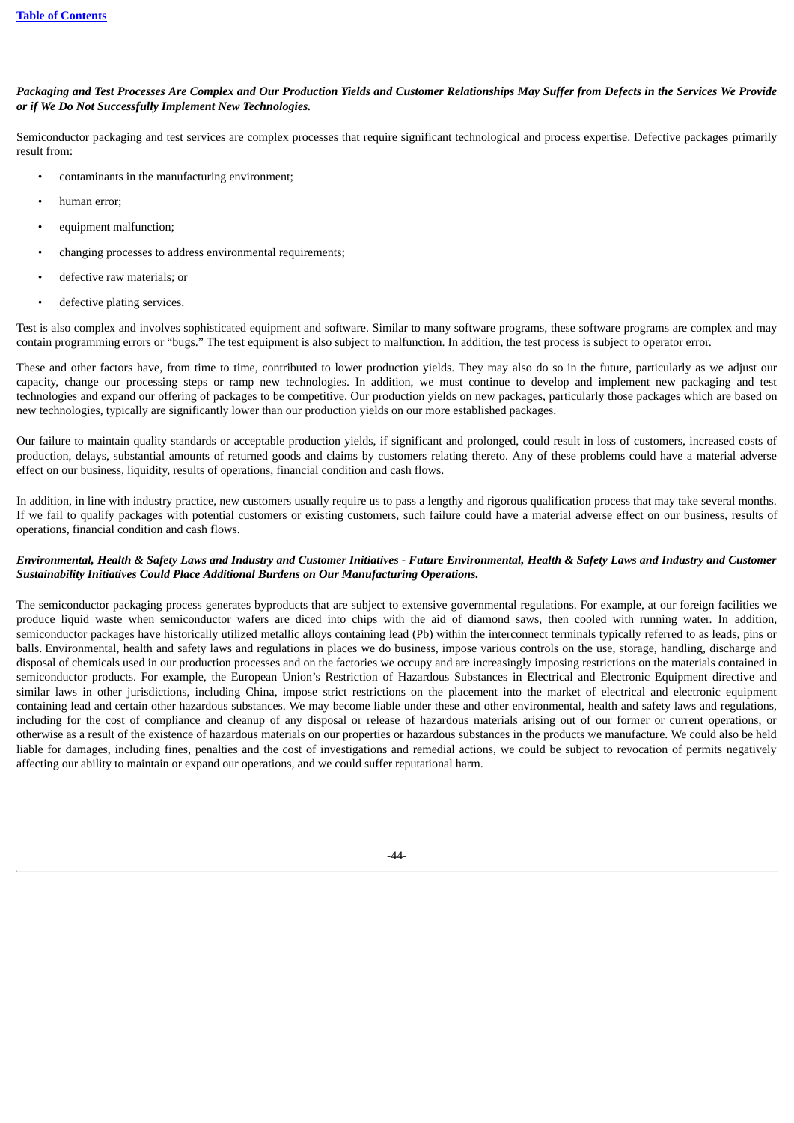### Packaging and Test Processes Are Complex and Our Production Yields and Customer Relationships May Suffer from Defects in the Services We Provide *or if We Do Not Successfully Implement New Technologies.*

Semiconductor packaging and test services are complex processes that require significant technological and process expertise. Defective packages primarily result from:

- contaminants in the manufacturing environment;
- human error;
- equipment malfunction;
- changing processes to address environmental requirements;
- defective raw materials; or
- defective plating services.

Test is also complex and involves sophisticated equipment and software. Similar to many software programs, these software programs are complex and may contain programming errors or "bugs." The test equipment is also subject to malfunction. In addition, the test process is subject to operator error.

These and other factors have, from time to time, contributed to lower production yields. They may also do so in the future, particularly as we adjust our capacity, change our processing steps or ramp new technologies. In addition, we must continue to develop and implement new packaging and test technologies and expand our offering of packages to be competitive. Our production yields on new packages, particularly those packages which are based on new technologies, typically are significantly lower than our production yields on our more established packages.

Our failure to maintain quality standards or acceptable production yields, if significant and prolonged, could result in loss of customers, increased costs of production, delays, substantial amounts of returned goods and claims by customers relating thereto. Any of these problems could have a material adverse effect on our business, liquidity, results of operations, financial condition and cash flows.

In addition, in line with industry practice, new customers usually require us to pass a lengthy and rigorous qualification process that may take several months. If we fail to qualify packages with potential customers or existing customers, such failure could have a material adverse effect on our business, results of operations, financial condition and cash flows.

### Environmental, Health & Safety Laws and Industry and Customer Initiatives - Future Environmental, Health & Safety Laws and Industry and Customer *Sustainability Initiatives Could Place Additional Burdens on Our Manufacturing Operations.*

The semiconductor packaging process generates byproducts that are subject to extensive governmental regulations. For example, at our foreign facilities we produce liquid waste when semiconductor wafers are diced into chips with the aid of diamond saws, then cooled with running water. In addition, semiconductor packages have historically utilized metallic alloys containing lead (Pb) within the interconnect terminals typically referred to as leads, pins or balls. Environmental, health and safety laws and regulations in places we do business, impose various controls on the use, storage, handling, discharge and disposal of chemicals used in our production processes and on the factories we occupy and are increasingly imposing restrictions on the materials contained in semiconductor products. For example, the European Union's Restriction of Hazardous Substances in Electrical and Electronic Equipment directive and similar laws in other jurisdictions, including China, impose strict restrictions on the placement into the market of electrical and electronic equipment containing lead and certain other hazardous substances. We may become liable under these and other environmental, health and safety laws and regulations, including for the cost of compliance and cleanup of any disposal or release of hazardous materials arising out of our former or current operations, or otherwise as a result of the existence of hazardous materials on our properties or hazardous substances in the products we manufacture. We could also be held liable for damages, including fines, penalties and the cost of investigations and remedial actions, we could be subject to revocation of permits negatively affecting our ability to maintain or expand our operations, and we could suffer reputational harm.

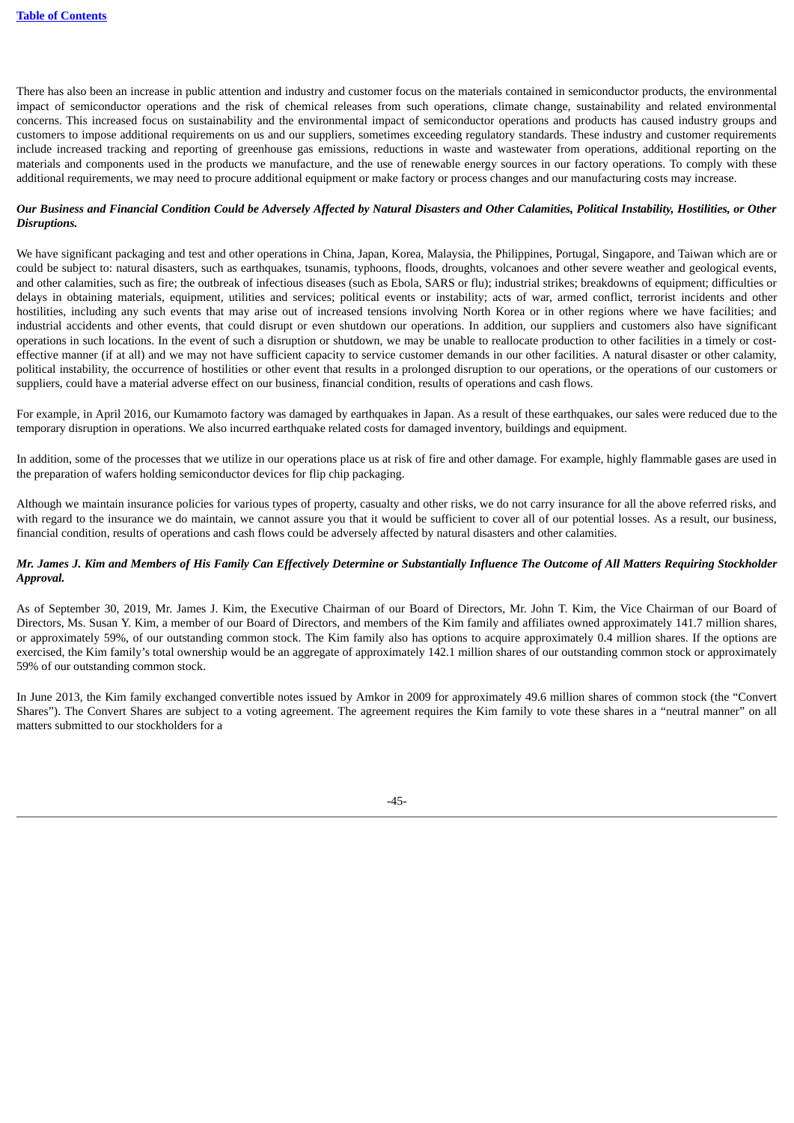There has also been an increase in public attention and industry and customer focus on the materials contained in semiconductor products, the environmental impact of semiconductor operations and the risk of chemical releases from such operations, climate change, sustainability and related environmental concerns. This increased focus on sustainability and the environmental impact of semiconductor operations and products has caused industry groups and customers to impose additional requirements on us and our suppliers, sometimes exceeding regulatory standards. These industry and customer requirements include increased tracking and reporting of greenhouse gas emissions, reductions in waste and wastewater from operations, additional reporting on the materials and components used in the products we manufacture, and the use of renewable energy sources in our factory operations. To comply with these additional requirements, we may need to procure additional equipment or make factory or process changes and our manufacturing costs may increase.

### Our Business and Financial Condition Could be Adversely Affected by Natural Disasters and Other Calamities, Political Instability, Hostilities, or Other *Disruptions.*

We have significant packaging and test and other operations in China, Japan, Korea, Malaysia, the Philippines, Portugal, Singapore, and Taiwan which are or could be subject to: natural disasters, such as earthquakes, tsunamis, typhoons, floods, droughts, volcanoes and other severe weather and geological events, and other calamities, such as fire; the outbreak of infectious diseases (such as Ebola, SARS or flu); industrial strikes; breakdowns of equipment; difficulties or delays in obtaining materials, equipment, utilities and services; political events or instability; acts of war, armed conflict, terrorist incidents and other hostilities, including any such events that may arise out of increased tensions involving North Korea or in other regions where we have facilities; and industrial accidents and other events, that could disrupt or even shutdown our operations. In addition, our suppliers and customers also have significant operations in such locations. In the event of such a disruption or shutdown, we may be unable to reallocate production to other facilities in a timely or costeffective manner (if at all) and we may not have sufficient capacity to service customer demands in our other facilities. A natural disaster or other calamity, political instability, the occurrence of hostilities or other event that results in a prolonged disruption to our operations, or the operations of our customers or suppliers, could have a material adverse effect on our business, financial condition, results of operations and cash flows.

For example, in April 2016, our Kumamoto factory was damaged by earthquakes in Japan. As a result of these earthquakes, our sales were reduced due to the temporary disruption in operations. We also incurred earthquake related costs for damaged inventory, buildings and equipment.

In addition, some of the processes that we utilize in our operations place us at risk of fire and other damage. For example, highly flammable gases are used in the preparation of wafers holding semiconductor devices for flip chip packaging.

Although we maintain insurance policies for various types of property, casualty and other risks, we do not carry insurance for all the above referred risks, and with regard to the insurance we do maintain, we cannot assure you that it would be sufficient to cover all of our potential losses. As a result, our business, financial condition, results of operations and cash flows could be adversely affected by natural disasters and other calamities.

### Mr. James J. Kim and Members of His Family Can Effectively Determine or Substantially Influence The Outcome of All Matters Requiring Stockholder *Approval.*

As of September 30, 2019, Mr. James J. Kim, the Executive Chairman of our Board of Directors, Mr. John T. Kim, the Vice Chairman of our Board of Directors, Ms. Susan Y. Kim, a member of our Board of Directors, and members of the Kim family and affiliates owned approximately 141.7 million shares, or approximately 59%, of our outstanding common stock. The Kim family also has options to acquire approximately 0.4 million shares. If the options are exercised, the Kim family's total ownership would be an aggregate of approximately 142.1 million shares of our outstanding common stock or approximately 59% of our outstanding common stock.

In June 2013, the Kim family exchanged convertible notes issued by Amkor in 2009 for approximately 49.6 million shares of common stock (the "Convert Shares"). The Convert Shares are subject to a voting agreement. The agreement requires the Kim family to vote these shares in a "neutral manner" on all matters submitted to our stockholders for a

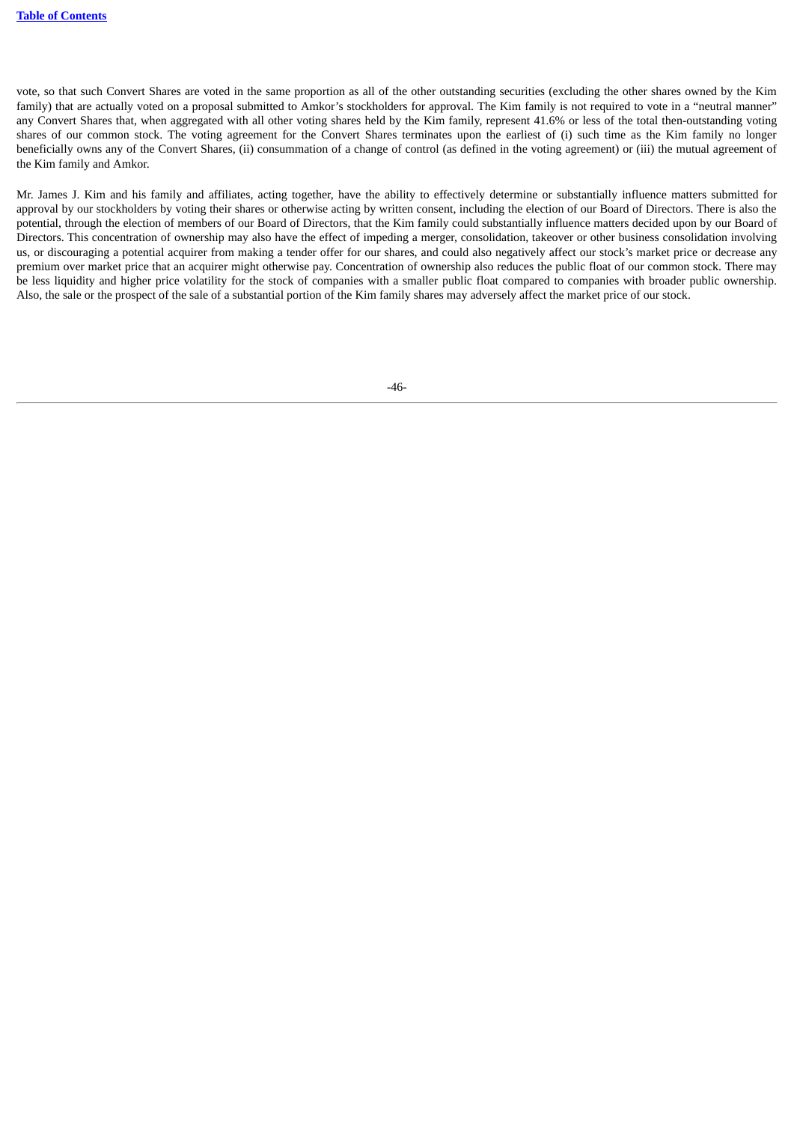vote, so that such Convert Shares are voted in the same proportion as all of the other outstanding securities (excluding the other shares owned by the Kim family) that are actually voted on a proposal submitted to Amkor's stockholders for approval. The Kim family is not required to vote in a "neutral manner" any Convert Shares that, when aggregated with all other voting shares held by the Kim family, represent 41.6% or less of the total then-outstanding voting shares of our common stock. The voting agreement for the Convert Shares terminates upon the earliest of (i) such time as the Kim family no longer beneficially owns any of the Convert Shares, (ii) consummation of a change of control (as defined in the voting agreement) or (iii) the mutual agreement of the Kim family and Amkor.

<span id="page-46-0"></span>Mr. James J. Kim and his family and affiliates, acting together, have the ability to effectively determine or substantially influence matters submitted for approval by our stockholders by voting their shares or otherwise acting by written consent, including the election of our Board of Directors. There is also the potential, through the election of members of our Board of Directors, that the Kim family could substantially influence matters decided upon by our Board of Directors. This concentration of ownership may also have the effect of impeding a merger, consolidation, takeover or other business consolidation involving us, or discouraging a potential acquirer from making a tender offer for our shares, and could also negatively affect our stock's market price or decrease any premium over market price that an acquirer might otherwise pay. Concentration of ownership also reduces the public float of our common stock. There may be less liquidity and higher price volatility for the stock of companies with a smaller public float compared to companies with broader public ownership. Also, the sale or the prospect of the sale of a substantial portion of the Kim family shares may adversely affect the market price of our stock.

-46-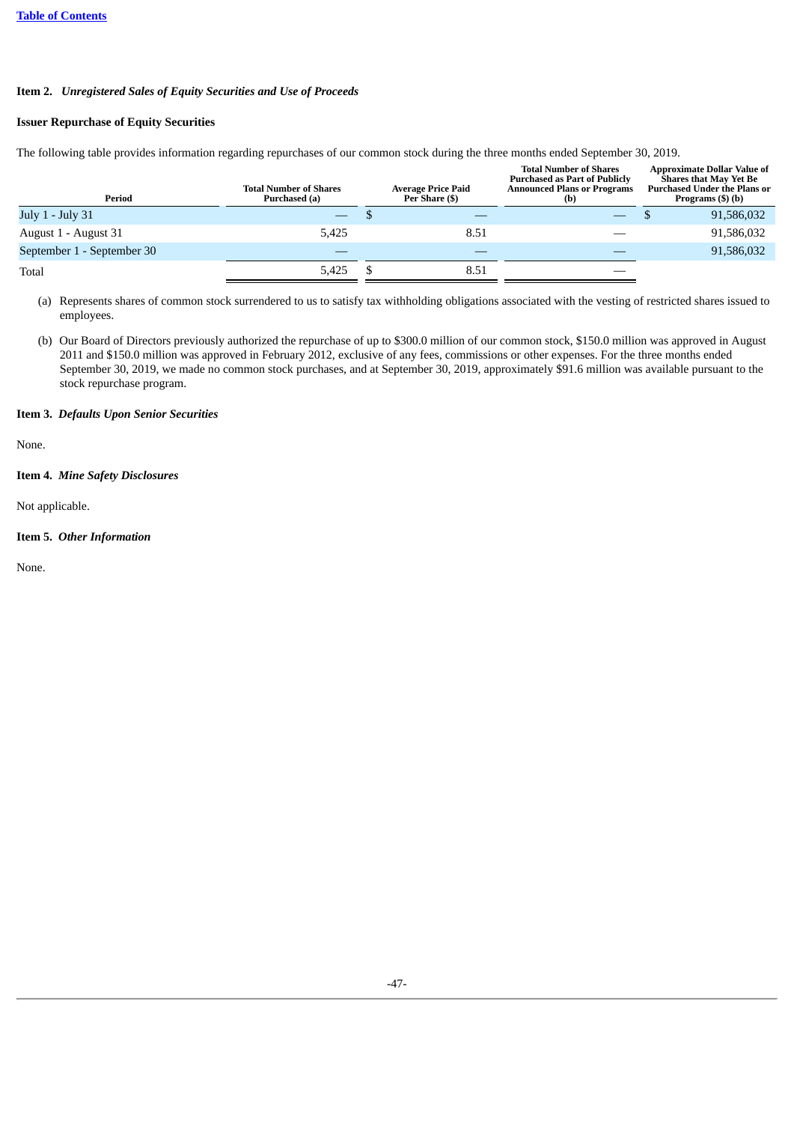### **Item 2.** *Unregistered Sales of Equity Securities and Use of Proceeds*

### **Issuer Repurchase of Equity Securities**

The following table provides information regarding repurchases of our common stock during the three months ended September 30, 2019.

| Period                     | <b>Total Number of Shares</b><br>Purchased (a) | <b>Average Price Paid</b><br>Per Share (\$) | <b>Total Number of Shares</b><br><b>Purchased as Part of Publicly</b><br><b>Announced Plans or Programs</b><br>(b) | <b>Approximate Dollar Value of</b><br><b>Shares that May Yet Be</b><br><b>Purchased Under the Plans or</b><br>Programs $(\$)$ (b) |            |  |
|----------------------------|------------------------------------------------|---------------------------------------------|--------------------------------------------------------------------------------------------------------------------|-----------------------------------------------------------------------------------------------------------------------------------|------------|--|
| July 1 - July 31           |                                                |                                             |                                                                                                                    |                                                                                                                                   | 91,586,032 |  |
| August 1 - August 31       | 5.425                                          | 8.51                                        |                                                                                                                    |                                                                                                                                   | 91,586,032 |  |
| September 1 - September 30 |                                                |                                             |                                                                                                                    |                                                                                                                                   | 91,586,032 |  |
| Total                      | 5.425                                          | 8.51                                        |                                                                                                                    |                                                                                                                                   |            |  |

(a) Represents shares of common stock surrendered to us to satisfy tax withholding obligations associated with the vesting of restricted shares issued to employees.

(b) Our Board of Directors previously authorized the repurchase of up to \$300.0 million of our common stock, \$150.0 million was approved in August 2011 and \$150.0 million was approved in February 2012, exclusive of any fees, commissions or other expenses. For the three months ended September 30, 2019, we made no common stock purchases, and at September 30, 2019, approximately \$91.6 million was available pursuant to the stock repurchase program.

### <span id="page-47-0"></span>**Item 3.** *Defaults Upon Senior Securities*

None.

### <span id="page-47-1"></span>**Item 4.** *Mine Safety Disclosures*

Not applicable.

#### <span id="page-47-2"></span>**Item 5.** *Other Information*

None.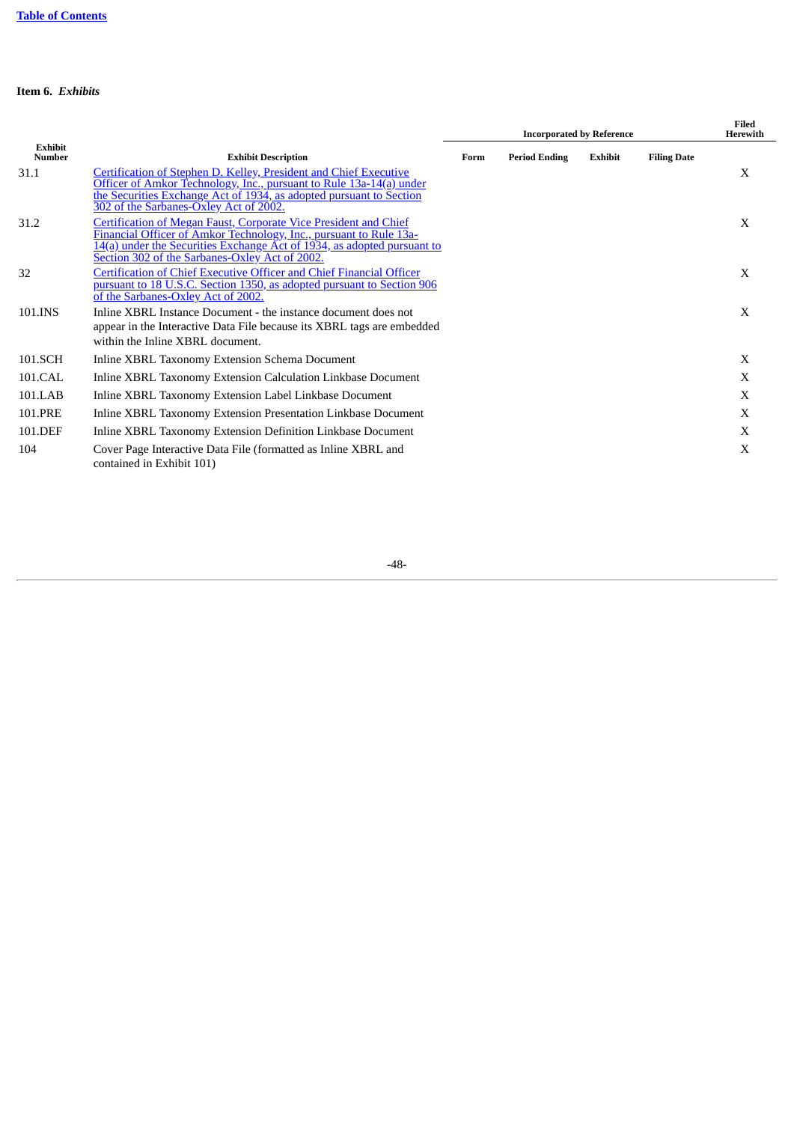# <span id="page-48-0"></span>**Item 6.** *Exhibits*

|                                 |                                                                                                                                                                                                                                                                     | <b>Incorporated by Reference</b> |                      |                |                    | Filed<br>Herewith |
|---------------------------------|---------------------------------------------------------------------------------------------------------------------------------------------------------------------------------------------------------------------------------------------------------------------|----------------------------------|----------------------|----------------|--------------------|-------------------|
| <b>Exhibit</b><br><b>Number</b> | <b>Exhibit Description</b>                                                                                                                                                                                                                                          | Form                             | <b>Period Ending</b> | <b>Exhibit</b> | <b>Filing Date</b> |                   |
| 31.1                            | Certification of Stephen D. Kelley, President and Chief Executive<br>Officer of Amkor Technology, Inc., pursuant to Rule 13a-14(a) under<br>the Securities Exchange Act of 1934, as adopted pursuant to Section<br>302 of the Sarbanes-Oxley Act of 2002.           |                                  |                      |                |                    | X                 |
| 31.2                            | Certification of Megan Faust, Corporate Vice President and Chief<br>Financial Officer of Amkor Technology, Inc., pursuant to Rule 13a-<br>14(a) under the Securities Exchange Act of 1934, as adopted pursuant to<br>Section 302 of the Sarbanes-Oxley Act of 2002. |                                  |                      |                |                    | X                 |
| 32                              | Certification of Chief Executive Officer and Chief Financial Officer<br>pursuant to 18 U.S.C. Section 1350, as adopted pursuant to Section 906<br>of the Sarbanes-Oxley Act of 2002.                                                                                |                                  |                      |                |                    | X                 |
| 101.INS                         | Inline XBRL Instance Document - the instance document does not<br>appear in the Interactive Data File because its XBRL tags are embedded<br>within the Inline XBRL document.                                                                                        |                                  |                      |                |                    | X                 |
| 101.SCH                         | Inline XBRL Taxonomy Extension Schema Document                                                                                                                                                                                                                      |                                  |                      |                |                    | X                 |
| 101.CAL                         | Inline XBRL Taxonomy Extension Calculation Linkbase Document                                                                                                                                                                                                        |                                  |                      |                |                    | X                 |
| 101.LAB                         | Inline XBRL Taxonomy Extension Label Linkbase Document                                                                                                                                                                                                              |                                  |                      |                |                    | X                 |
| 101.PRE                         | Inline XBRL Taxonomy Extension Presentation Linkbase Document                                                                                                                                                                                                       |                                  |                      |                |                    | X                 |
| 101.DEF                         | Inline XBRL Taxonomy Extension Definition Linkbase Document                                                                                                                                                                                                         |                                  |                      |                |                    | X                 |
| 104                             | Cover Page Interactive Data File (formatted as Inline XBRL and<br>contained in Exhibit 101)                                                                                                                                                                         |                                  |                      |                |                    | X                 |

### <span id="page-48-1"></span>-48-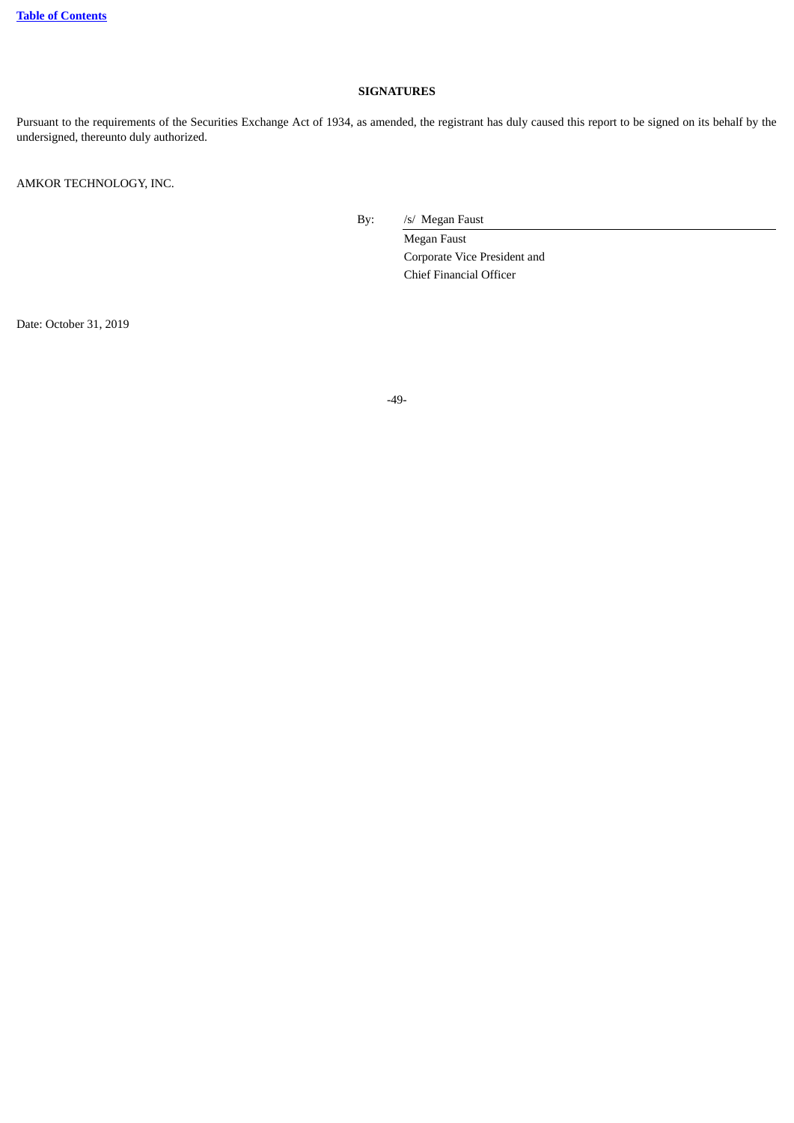# **SIGNATURES**

Pursuant to the requirements of the Securities Exchange Act of 1934, as amended, the registrant has duly caused this report to be signed on its behalf by the undersigned, thereunto duly authorized.

AMKOR TECHNOLOGY, INC.

By: /s/ Megan Faust

Megan Faust Corporate Vice President and Chief Financial Officer

Date: October 31, 2019

-49-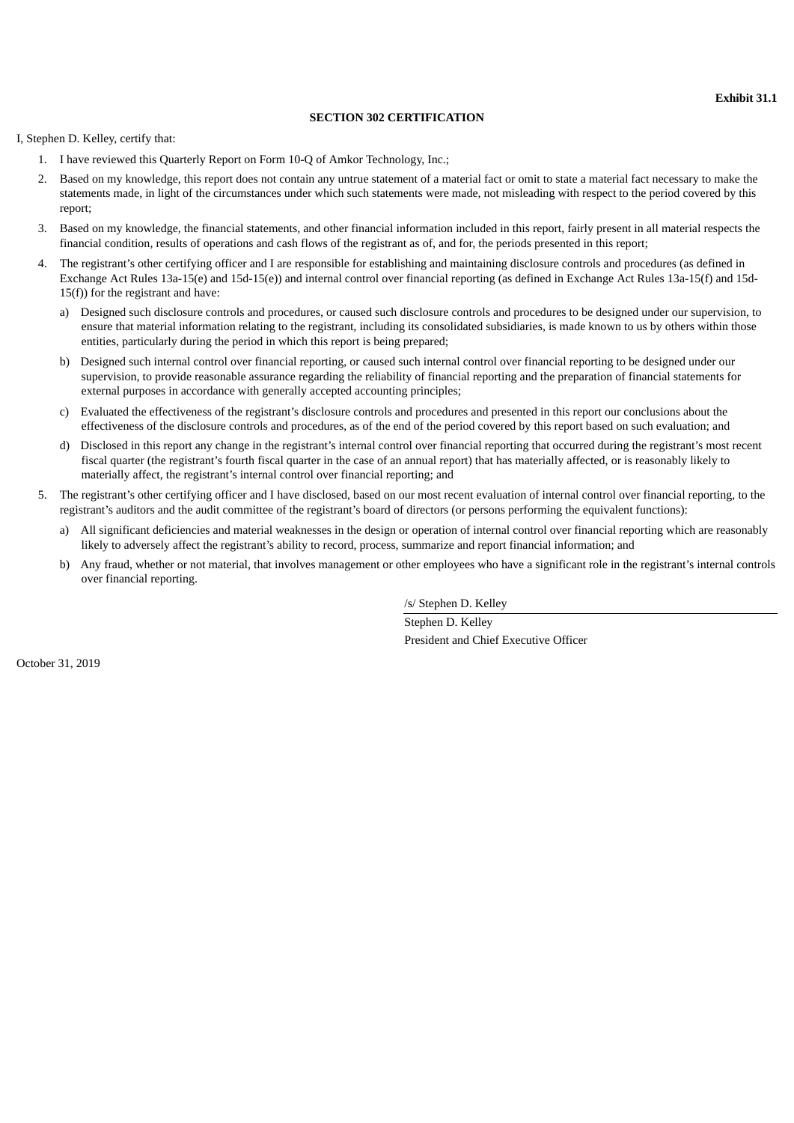### **SECTION 302 CERTIFICATION**

<span id="page-50-0"></span>I, Stephen D. Kelley, certify that:

- 1. I have reviewed this Quarterly Report on Form 10-Q of Amkor Technology, Inc.;
- 2. Based on my knowledge, this report does not contain any untrue statement of a material fact or omit to state a material fact necessary to make the statements made, in light of the circumstances under which such statements were made, not misleading with respect to the period covered by this report;
- 3. Based on my knowledge, the financial statements, and other financial information included in this report, fairly present in all material respects the financial condition, results of operations and cash flows of the registrant as of, and for, the periods presented in this report;
- 4. The registrant's other certifying officer and I are responsible for establishing and maintaining disclosure controls and procedures (as defined in Exchange Act Rules 13a-15(e) and 15d-15(e)) and internal control over financial reporting (as defined in Exchange Act Rules 13a-15(f) and 15d-15(f)) for the registrant and have:
	- a) Designed such disclosure controls and procedures, or caused such disclosure controls and procedures to be designed under our supervision, to ensure that material information relating to the registrant, including its consolidated subsidiaries, is made known to us by others within those entities, particularly during the period in which this report is being prepared;
	- b) Designed such internal control over financial reporting, or caused such internal control over financial reporting to be designed under our supervision, to provide reasonable assurance regarding the reliability of financial reporting and the preparation of financial statements for external purposes in accordance with generally accepted accounting principles;
	- c) Evaluated the effectiveness of the registrant's disclosure controls and procedures and presented in this report our conclusions about the effectiveness of the disclosure controls and procedures, as of the end of the period covered by this report based on such evaluation; and
	- d) Disclosed in this report any change in the registrant's internal control over financial reporting that occurred during the registrant's most recent fiscal quarter (the registrant's fourth fiscal quarter in the case of an annual report) that has materially affected, or is reasonably likely to materially affect, the registrant's internal control over financial reporting; and
- 5. The registrant's other certifying officer and I have disclosed, based on our most recent evaluation of internal control over financial reporting, to the registrant's auditors and the audit committee of the registrant's board of directors (or persons performing the equivalent functions):
	- a) All significant deficiencies and material weaknesses in the design or operation of internal control over financial reporting which are reasonably likely to adversely affect the registrant's ability to record, process, summarize and report financial information; and
	- b) Any fraud, whether or not material, that involves management or other employees who have a significant role in the registrant's internal controls over financial reporting.

/s/ Stephen D. Kelley

Stephen D. Kelley President and Chief Executive Officer

October 31, 2019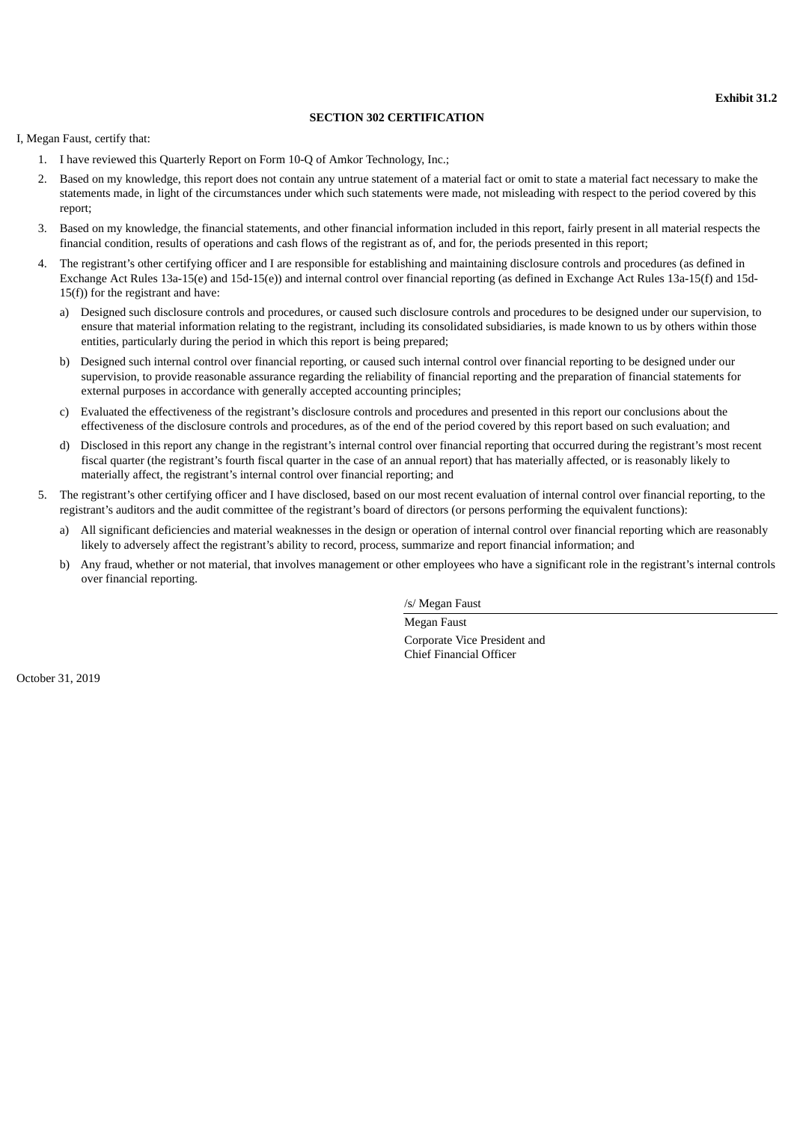# **SECTION 302 CERTIFICATION**

<span id="page-51-0"></span>I, Megan Faust, certify that:

- 1. I have reviewed this Quarterly Report on Form 10-Q of Amkor Technology, Inc.;
- 2. Based on my knowledge, this report does not contain any untrue statement of a material fact or omit to state a material fact necessary to make the statements made, in light of the circumstances under which such statements were made, not misleading with respect to the period covered by this report;
- 3. Based on my knowledge, the financial statements, and other financial information included in this report, fairly present in all material respects the financial condition, results of operations and cash flows of the registrant as of, and for, the periods presented in this report;
- 4. The registrant's other certifying officer and I are responsible for establishing and maintaining disclosure controls and procedures (as defined in Exchange Act Rules 13a-15(e) and 15d-15(e)) and internal control over financial reporting (as defined in Exchange Act Rules 13a-15(f) and 15d-15(f)) for the registrant and have:
	- a) Designed such disclosure controls and procedures, or caused such disclosure controls and procedures to be designed under our supervision, to ensure that material information relating to the registrant, including its consolidated subsidiaries, is made known to us by others within those entities, particularly during the period in which this report is being prepared;
	- b) Designed such internal control over financial reporting, or caused such internal control over financial reporting to be designed under our supervision, to provide reasonable assurance regarding the reliability of financial reporting and the preparation of financial statements for external purposes in accordance with generally accepted accounting principles;
	- c) Evaluated the effectiveness of the registrant's disclosure controls and procedures and presented in this report our conclusions about the effectiveness of the disclosure controls and procedures, as of the end of the period covered by this report based on such evaluation; and
	- d) Disclosed in this report any change in the registrant's internal control over financial reporting that occurred during the registrant's most recent fiscal quarter (the registrant's fourth fiscal quarter in the case of an annual report) that has materially affected, or is reasonably likely to materially affect, the registrant's internal control over financial reporting; and
- 5. The registrant's other certifying officer and I have disclosed, based on our most recent evaluation of internal control over financial reporting, to the registrant's auditors and the audit committee of the registrant's board of directors (or persons performing the equivalent functions):
	- a) All significant deficiencies and material weaknesses in the design or operation of internal control over financial reporting which are reasonably likely to adversely affect the registrant's ability to record, process, summarize and report financial information; and
	- b) Any fraud, whether or not material, that involves management or other employees who have a significant role in the registrant's internal controls over financial reporting.

### /s/ Megan Faust

Megan Faust Corporate Vice President and Chief Financial Officer

October 31, 2019